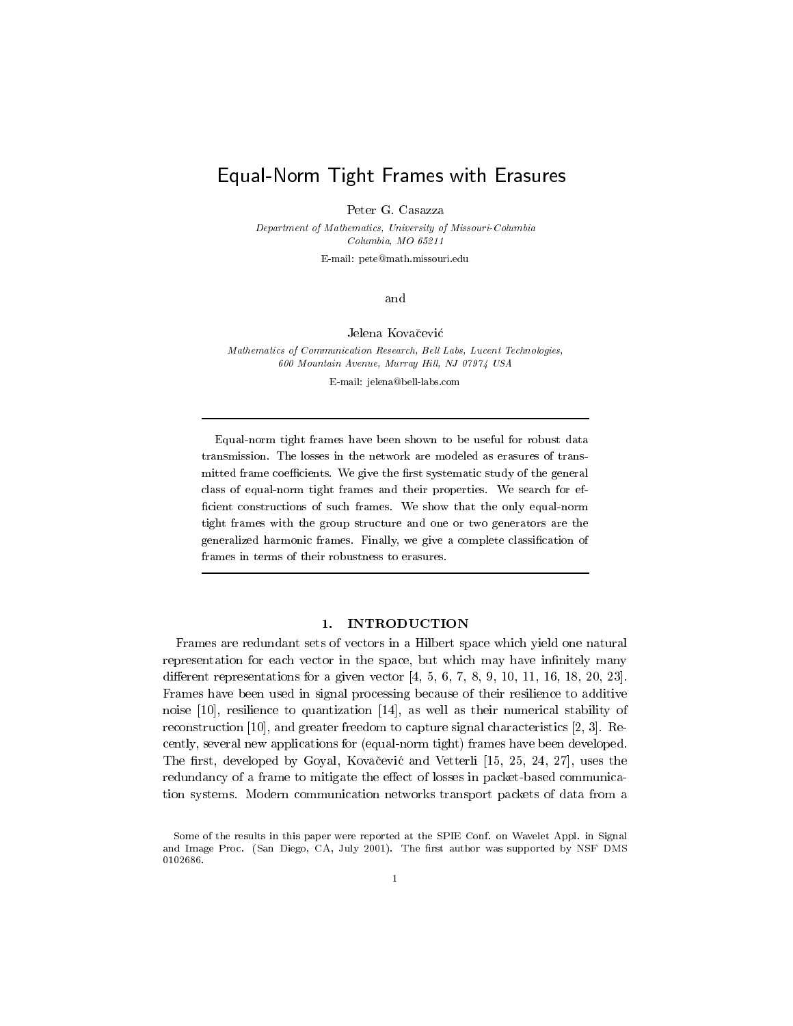# Equal-Norm Tight Frames with Erasures

Peter G. Casazza

Department of Mathematics, University of Missouri-Columbia Columbia, MO 65211

E-mail: pete@math.missouri.edu

and

Jelena Kovačević

Mathematics of Communication Research, Bell Labs, Lucent Technologies, 600 Mountain Avenue, Murray Hill, NJ 07974 USA

E-mail: jelena@bell-labs.com

Equal-norm tight frames have been shown to be useful for robust data transmission. The losses in the network are modeled as erasures of transmitted frame coefficients. We give the first systematic study of the general class of equal-norm tight frames and their properties. We search for efficient constructions of such frames. We show that the only equal-norm tight frames with the group structure and one or two generators are the generalized harmonic frames. Finally, we give a complete classification of frames in terms of their robustness to erasures.

### 1. INTRODUCTION

Frames are redundant sets of vectors in a Hilbert space which yield one natural representation for each vector in the space, but which may have infinitely many different representations for a given vector  $[4, 5, 6, 7, 8, 9, 10, 11, 16, 18, 20, 23]$ . Frames have been used in signal processing because of their resilience to additive noise  $[10]$ , resilience to quantization  $[14]$ , as well as their numerical stability of reconstruction [10], and greater freedom to capture signal characteristics [2, 3]. Recently, several new applications for (equal-norm tight) frames have been developed. The first, developed by Goyal, Kovačević and Vetterli [15, 25, 24, 27], uses the redundancy of a frame to mitigate the effect of losses in packet-based communication systems. Modern communication networks transport packets of data from a

Some of the results in this paper were reported at the SPIE Conf. on Wavelet Appl. in Signal and Image Proc. (San Diego, CA, July 2001). The first author was supported by NSF DMS 0102686.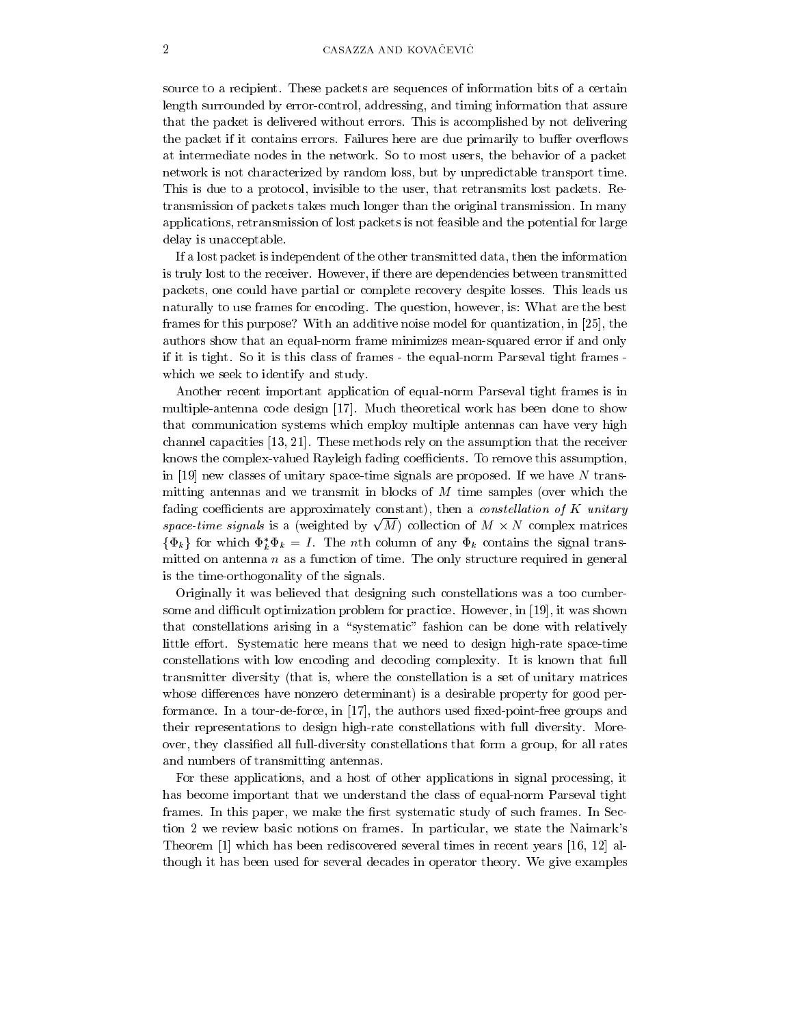source to a recipient. These packets are sequences of information bits of a certain length surrounded by error-control, addressing, and timing information that assure that the packet is delivered without errors. This is accomplished by not delivering the packet if it contains errors. Failures here are due primarily to buffer overflows at intermediate nodes in the network. So to most users, the behavior of a packet network is not characterized by random loss, but by unpredictable transport time. This is due to a protocol, invisible to the user, that retransmits lost packets. Retransmission of packets takes much longer than the original transmission. In many applications, retransmission of lost packets is not feasible and the potential for large delay is unacceptable.

If a lost packet is independent of the other transmitted data, then the information is truly lost to the receiver. However, if there are dependencies between transmitted packets, one could have partial or complete recovery despite losses. This leads us naturally to use frames for encoding. The question, however, is: What are the best frames for this purpose? With an additive noise model for quantization, in [25], the authors show that an equal-norm frame minimizes mean-squared error if and only if it is tight. So it is this class of frames - the equal-norm Parseval tight frames which we seek to identify and study.

Another recent important application of equal-norm Parseval tight frames is in multiple-antenna code design [17]. Much theoretical work has been done to show that communication systems which employ multiple antennas can have very high channel capacities  $[13, 21]$ . These methods rely on the assumption that the receiver knows the complex-valued Rayleigh fading coefficients. To remove this assumption, in [19] new classes of unitary space-time signals are proposed. If we have  $N$  transmitting antennas and we transmit in blocks of  $M$  time samples (over which the fading coefficients are approximately constant), then a *constellation of K unitary* space-time signals is a (weighted by  $\sqrt{M}$ ) collection of  $M \times N$  complex matrices  $\{\Phi_k\}$  for which  $\Phi_k^* \Phi_k = I$ . The *n*th column of any  $\Phi_k$  contains the signal transmitted on antenna  $n$  as a function of time. The only structure required in general is the time-orthogonality of the signals.

Originally it was believed that designing such constellations was a too cumbersome and difficult optimization problem for practice. However, in [19], it was shown that constellations arising in a "systematic" fashion can be done with relatively little effort. Systematic here means that we need to design high-rate space-time constellations with low encoding and decoding complexity. It is known that full transmitter diversity (that is, where the constellation is a set of unitary matrices whose differences have nonzero determinant) is a desirable property for good performance. In a tour-de-force, in  $[17]$ , the authors used fixed-point-free groups and their representations to design high-rate constellations with full diversity. Moreover, they classified all full-diversity constellations that form a group, for all rates and numbers of transmitting antennas.

For these applications, and a host of other applications in signal processing, it has become important that we understand the class of equal-norm Parseval tight frames. In this paper, we make the first systematic study of such frames. In Section 2 we review basic notions on frames. In particular, we state the Naimark's Theorem [1] which has been rediscovered several times in recent years [16, 12] although it has been used for several decades in operator theory. We give examples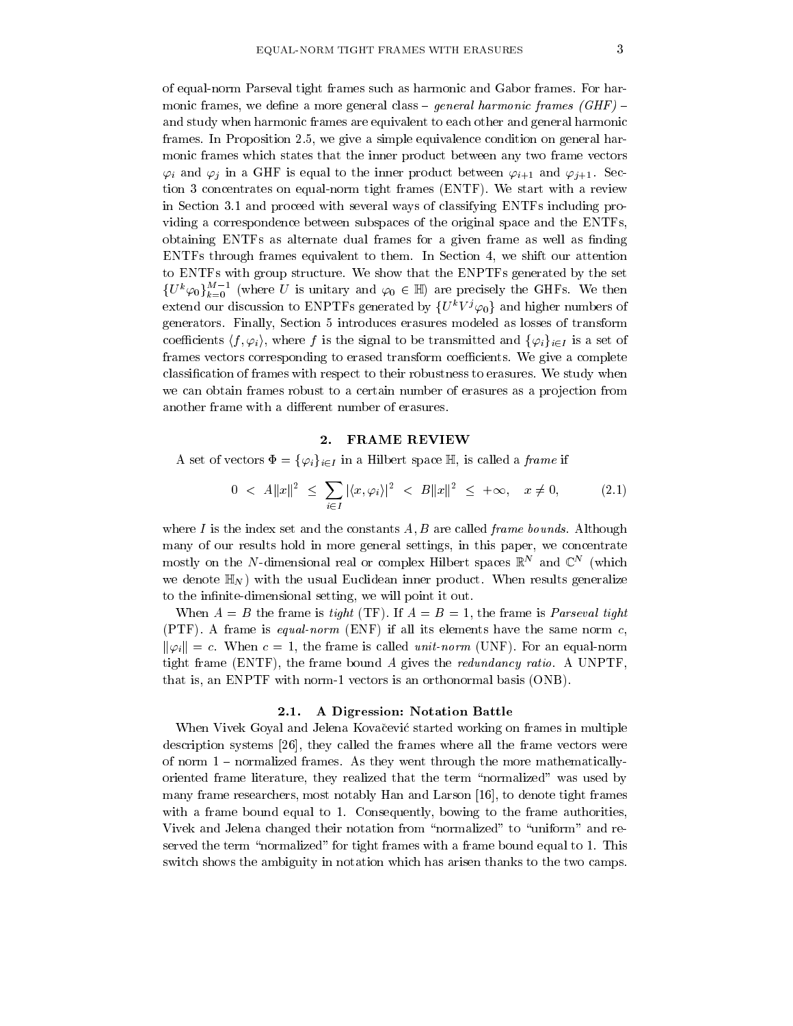of equal-norm Parseval tight frames such as harmonic and Gabor frames. For harmonic frames, we define a more general class – general harmonic frames (GHF) – and study when harmonic frames are equivalent to each other and general harmonic frames. In Proposition 2.5, we give a simple equivalence condition on general harmonic frames which states that the inner product between any two frame vectors  $\varphi_i$  and  $\varphi_j$  in a GHF is equal to the inner product between  $\varphi_{i+1}$  and  $\varphi_{j+1}$ . Section 3 concentrates on equal-norm tight frames (ENTF). We start with a review in Section 3.1 and proceed with several ways of classifying ENTFs including providing a correspondence between subspaces of the original space and the ENTFs, obtaining ENTFs as alternate dual frames for a given frame as well as finding ENTFs through frames equivalent to them. In Section 4, we shift our attention to ENTFs with group structure. We show that the ENPTFs generated by the set  ${U^k \varphi_0}_{k=0}^{M-1}$  (where U is unitary and  $\varphi_0 \in \mathbb{H}$ ) are precisely the GHFs. We then extend our discussion to ENPTFs generated by  $\{U^kV^j\varphi_0\}$  and higher numbers of generators. Finally, Section 5 introduces erasures modeled as losses of transform coefficients  $\langle f, \varphi_i \rangle$ , where f is the signal to be transmitted and  $\{\varphi_i\}_{i \in I}$  is a set of frames vectors corresponding to erased transform coefficients. We give a complete classification of frames with respect to their robustness to erasures. We study when we can obtain frames robust to a certain number of erasures as a projection from another frame with a different number of erasures.

### 2. FRAME REVIEW

A set of vectors  $\Phi = {\varphi_i}_{i \in I}$  in a Hilbert space  $\mathbb{H}$ , is called a *frame* if

$$
0 < A||x||^2 \le \sum_{i \in I} |\langle x, \varphi_i \rangle|^2 < B||x||^2 \le +\infty, \quad x \ne 0,\tag{2.1}
$$

where I is the index set and the constants  $A, B$  are called *frame bounds*. Although many of our results hold in more general settings, in this paper, we concentrate mostly on the N-dimensional real or complex Hilbert spaces  $\mathbb{R}^N$  and  $\mathbb{C}^N$  (which we denote  $\mathbb{H}_N$ ) with the usual Euclidean inner product. When results generalize to the infinite-dimensional setting, we will point it out.

When  $A = B$  the frame is tight (TF). If  $A = B = 1$ , the frame is *Parseval tight* (PTF). A frame is equal-norm (ENF) if all its elements have the same norm  $c$ ,  $\|\varphi_i\|=c.$  When  $c=1$ , the frame is called *unit-norm* (UNF). For an equal-norm tight frame (ENTF), the frame bound A gives the redundancy ratio. A UNPTF, that is, an ENPTF with norm-1 vectors is an orthonormal basis (ONB).

### 2.1. A Digression: Notation Battle

When Vivek Goyal and Jelena Kovačević started working on frames in multiple description systems [26], they called the frames where all the frame vectors were of norm  $1$  – normalized frames. As they went through the more mathematicallyoriented frame literature, they realized that the term "normalized" was used by many frame researchers, most notably Han and Larson [16], to denote tight frames with a frame bound equal to 1. Consequently, bowing to the frame authorities, Vivek and Jelena changed their notation from "normalized" to "uniform" and reserved the term "normalized" for tight frames with a frame bound equal to 1. This switch shows the ambiguity in notation which has arisen thanks to the two camps.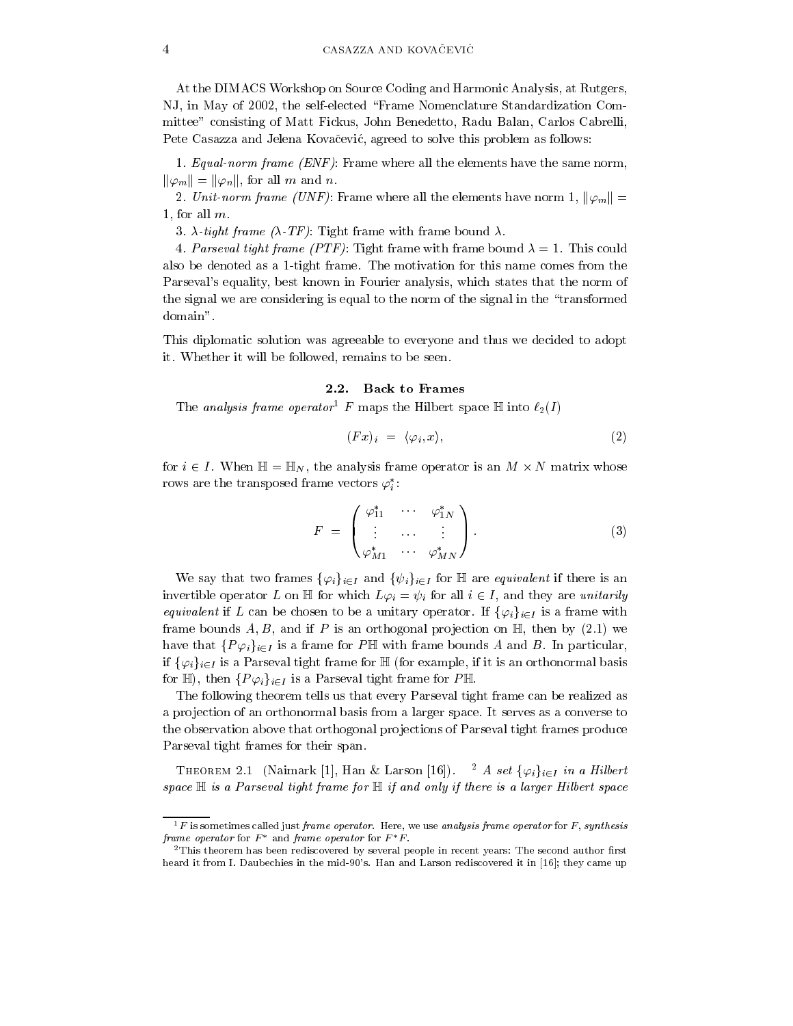At the DIMACS Workshop on Source Coding and Harmonic Analysis, at Rutgers, NJ, in May of 2002, the self-elected "Frame Nomenclature Standardization Committee" consisting of Matt Fickus, John Benedetto, Radu Balan, Carlos Cabrelli, Pete Casazza and Jelena Kovačević, agreed to solve this problem as follows:

1. Equal-norm frame (ENF): Frame where all the elements have the same norm,  $\|\varphi_m\| = \|\varphi_n\|$ , for all m and n.

2. Unit-norm frame (UNF): Frame where all the elements have norm 1,  $\|\varphi_m\| =$ 1, for all  $m$ .

3.  $\lambda$ -tight frame ( $\lambda$ -TF): Tight frame with frame bound  $\lambda$ .

4. Parseval tight frame (PTF): Tight frame with frame bound  $\lambda = 1$ . This could also be denoted as a 1-tight frame. The motivation for this name comes from the Parseval's equality, best known in Fourier analysis, which states that the norm of the signal we are considering is equal to the norm of the signal in the "transformed" domain".

This diplomatic solution was agreeable to everyone and thus we decided to adopt it. Whether it will be followed, remains to be seen.

## 2.2. Back to Frames

The analysis frame operator<sup>1</sup> F maps the Hilbert space  $\mathbb H$  into  $\ell_2(I)$ 

$$
(Fx)_i = \langle \varphi_i, x \rangle, \tag{2}
$$

for  $i \in I$ . When  $\mathbb{H} = \mathbb{H}_N$ , the analysis frame operator is an  $M \times N$  matrix whose rows are the transposed frame vectors  $\varphi_i^*$ :

$$
F = \begin{pmatrix} \varphi_{11}^* & \cdots & \varphi_{1N}^* \\ \vdots & \cdots & \vdots \\ \varphi_{M1}^* & \cdots & \varphi_{MN}^* \end{pmatrix} . \tag{3}
$$

We say that two frames  $\{\varphi_i\}_{i\in I}$  and  $\{\psi_i\}_{i\in I}$  for  $\mathbb H$  are *equivalent* if there is an invertible operator L on  $\mathbb H$  for which  $L\varphi_i = \psi_i$  for all  $i \in I$ , and they are *unitarily equivalent* if L can be chosen to be a unitary operator. If  $\{\varphi_i\}_{i\in I}$  is a frame with frame bounds A, B, and if P is an orthogonal projection on  $\mathbb{H}$ , then by (2.1) we have that  $\{P\varphi_i\}_{i\in I}$  is a frame for PH with frame bounds A and B. In particular, if  $\{\varphi_i\}_{i\in I}$  is a Parseval tight frame for  $\mathbb H$  (for example, if it is an orthonormal basis for H, then  $\{P\varphi_i\}_{i\in I}$  is a Parseval tight frame for PH.

The following theorem tells us that every Parseval tight frame can be realized as a projection of an orthonormal basis from a larger space. It serves as a converse to the observation above that orthogonal projections of Parseval tight frames produce Parseval tight frames for their span.

THEOREM 2.1 (Naimark [1], Han & Larson [16]). <sup>2</sup> A set  $\{\varphi_i\}_{i\in I}$  in a Hilbert space  $\mathbb H$  is a Parseval tight frame for  $\mathbb H$  if and only if there is a larger Hilbert space

 ${}^{1}F$  is sometimes called just frame operator. Here, we use analysis frame operator for F, synthesis frame operator for  $F^*$  and frame operator for  $F^*F$ .

 $2$ This theorem has been rediscovered by several people in recent years: The second author first heard it from I. Daubechies in the mid-90's. Han and Larson rediscovered it in [16]; they came up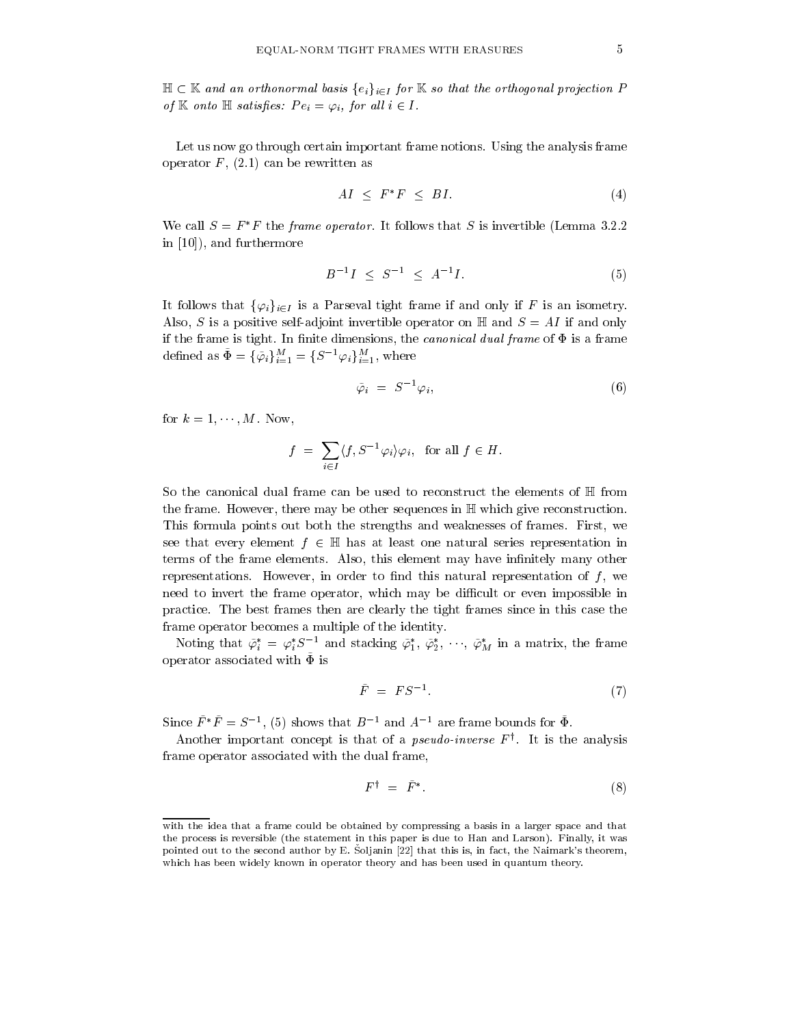$\mathbb{H} \subset \mathbb{K}$  and an orthonormal basis  $\{e_i\}_{i \in I}$  for  $\mathbb{K}$  so that the orthogonal projection P of  $\mathbb K$  onto  $\mathbb H$  satisfies:  $Pe_i = \varphi_i$ , for all  $i \in I$ .

Let us now go through certain important frame notions. Using the analysis frame operator  $F$ , (2.1) can be rewritten as

$$
AI \leq F^*F \leq BI. \tag{4}
$$

We call  $S = F^*F$  the frame operator. It follows that S is invertible (Lemma 3.2.2) in  $[10]$ , and furthermore

$$
B^{-1}I \leq S^{-1} \leq A^{-1}I. \tag{5}
$$

It follows that  $\{\varphi_i\}_{i\in I}$  is a Parseval tight frame if and only if F is an isometry. Also, S is a positive self-adjoint invertible operator on  $\mathbb H$  and  $S = AI$  if and only if the frame is tight. In finite dimensions, the *canonical dual frame* of  $\Phi$  is a frame defined as  $\tilde{\Phi} = {\{\tilde{\varphi}_i\}}_{i=1}^M = {S^{-1}\varphi_i}_{i=1}^M$ , where

$$
\tilde{\varphi}_i = S^{-1} \varphi_i,\tag{6}
$$

for  $k = 1, \dots, M$ . Now,

$$
f = \sum_{i \in I} \langle f, S^{-1} \varphi_i \rangle \varphi_i, \text{ for all } f \in H.
$$

So the canonical dual frame can be used to reconstruct the elements of  $\mathbb H$  from the frame. However, there may be other sequences in  $\mathbb H$  which give reconstruction. This formula points out both the strengths and weaknesses of frames. First, we see that every element  $f \in \mathbb{H}$  has at least one natural series representation in terms of the frame elements. Also, this element may have infinitely many other representations. However, in order to find this natural representation of  $f$ , we need to invert the frame operator, which may be difficult or even impossible in practice. The best frames then are clearly the tight frames since in this case the frame operator becomes a multiple of the identity.

Noting that  $\tilde{\varphi}_i^* = \varphi_i^* S^{-1}$  and stacking  $\tilde{\varphi}_1^*, \tilde{\varphi}_2^*, \cdots, \tilde{\varphi}_M^*$  in a matrix, the frame operator associated with  $\Phi$  is

$$
\tilde{F} = FS^{-1}.\tag{7}
$$

Since  $\tilde{F}^* \tilde{F} = S^{-1}$ , (5) shows that  $B^{-1}$  and  $A^{-1}$  are frame bounds for  $\tilde{\Phi}$ .

Another important concept is that of a *pseudo-inverse*  $F^{\dagger}$ . It is the analysis frame operator associated with the dual frame,

$$
F^{\dagger} = \tilde{F}^*.
$$
 (8)

with the idea that a frame could be obtained by compressing a basis in a larger space and that the process is reversible (the statement in this paper is due to Han and Larson). Finally, it was pointed out to the second author by E. Soljanin [22] that this is, in fact, the Naimark's theorem, which has been widely known in operator theory and has been used in quantum theory.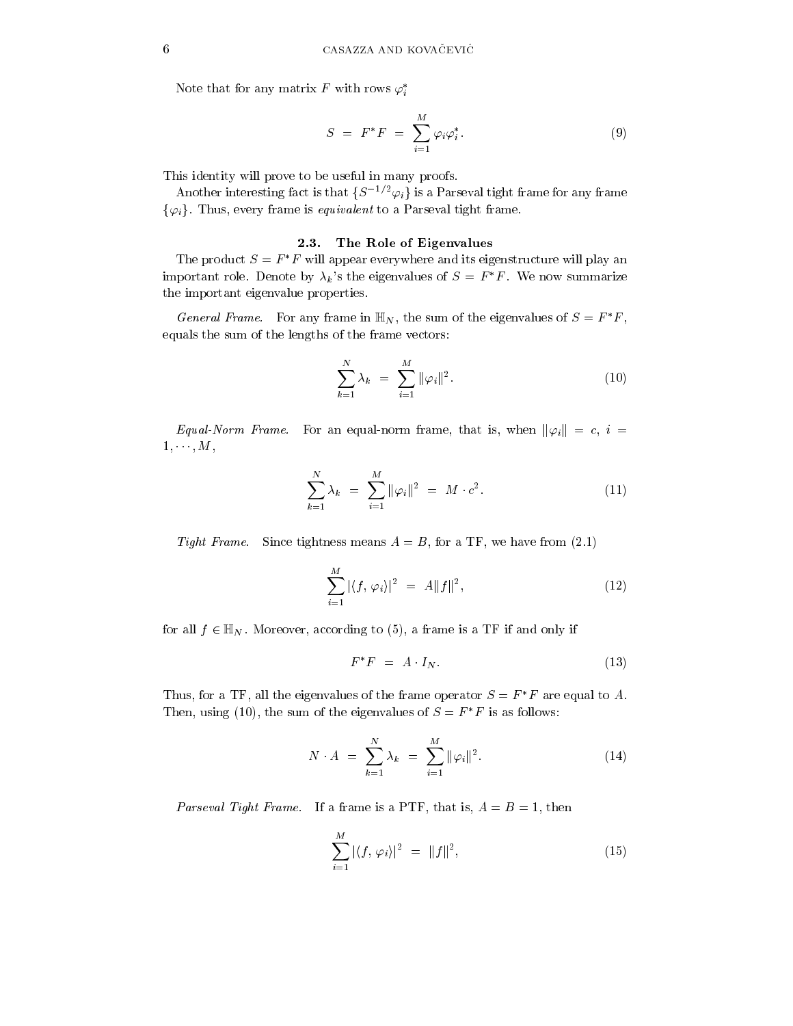Note that for any matrix F with rows  $\varphi_i^*$ 

$$
S = F^*F = \sum_{i=1}^M \varphi_i \varphi_i^*.
$$
 (9)

This identity will prove to be useful in many proofs.

Another interesting fact is that  $\{S^{-1/2}\varphi_i\}$  is a Parseval tight frame for any frame  $\{\varphi_i\}$ . Thus, every frame is *equivalent* to a Parseval tight frame.

### 2.3. The Role of Eigenvalues

The product  $S = F^*F$  will appear everywhere and its eigenstructure will play an important role. Denote by  $\lambda_k$ 's the eigenvalues of  $S = F^*F$ . We now summarize the important eigenvalue properties.

*General Frame.* For any frame in  $\mathbb{H}_N$ , the sum of the eigenvalues of  $S = F^*F$ , equals the sum of the lengths of the frame vectors:

$$
\sum_{k=1}^{N} \lambda_k = \sum_{i=1}^{M} ||\varphi_i||^2.
$$
 (10)

Equal-Norm Frame. For an equal-norm frame, that is, when  $\|\varphi_i\| = c$ ,  $i =$  $1, \cdots, M,$ 

$$
\sum_{k=1}^{N} \lambda_k = \sum_{i=1}^{M} ||\varphi_i||^2 = M \cdot c^2.
$$
 (11)

Tight Frame. Since tightness means  $A = B$ , for a TF, we have from (2.1)

$$
\sum_{i=1}^{M} |\langle f, \varphi_i \rangle|^2 = A \|f\|^2, \tag{12}
$$

for all  $f \in \mathbb{H}_N$ . Moreover, according to (5), a frame is a TF if and only if

$$
F^*F = A \cdot I_N. \tag{13}
$$

Thus, for a TF, all the eigenvalues of the frame operator  $S = F^*F$  are equal to A. Then, using (10), the sum of the eigenvalues of  $S = F^*F$  is as follows:

$$
N \cdot A = \sum_{k=1}^{N} \lambda_k = \sum_{i=1}^{M} ||\varphi_i||^2.
$$
 (14)

*Parseval Tight Frame.* If a frame is a PTF, that is,  $A = B = 1$ , then

$$
\sum_{i=1}^{M} |\langle f, \varphi_i \rangle|^2 = ||f||^2, \tag{15}
$$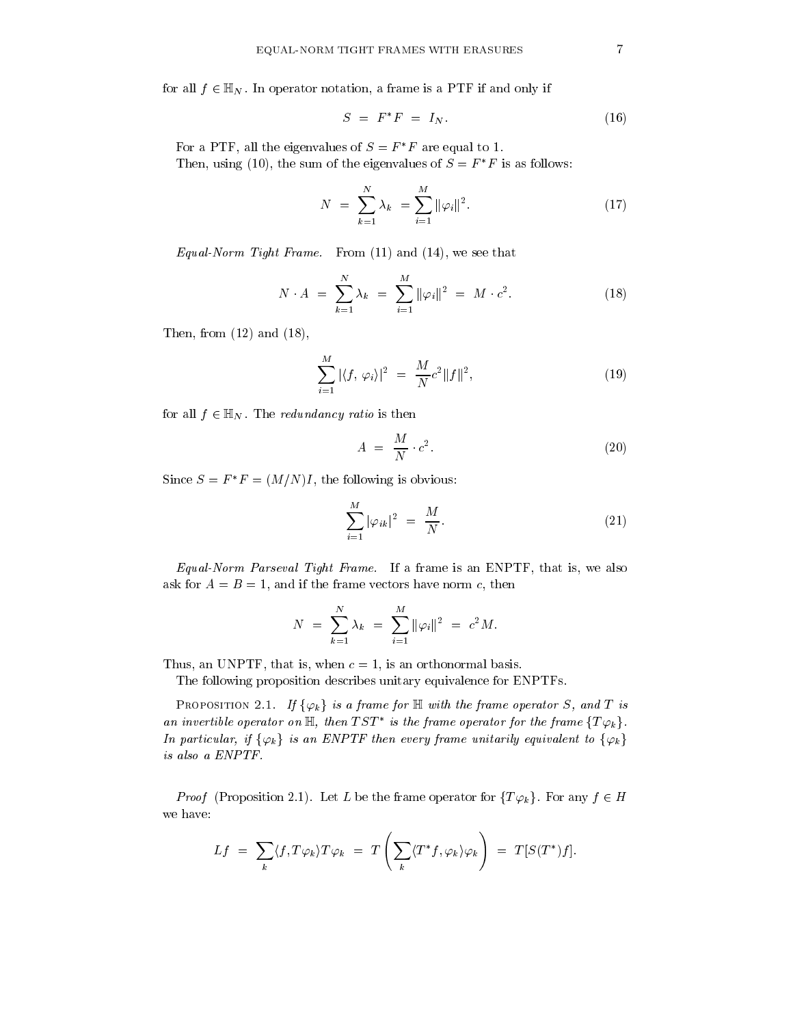for all  $f \in \mathbb{H}_N$ . In operator notation, a frame is a PTF if and only if

$$
S = F^*F = I_N. \t\t(16)
$$

For a PTF, all the eigenvalues of  $S = F^*F$  are equal to 1. Then, using (10), the sum of the eigenvalues of  $S = F^*F$  is as follows:

$$
N = \sum_{k=1}^{N} \lambda_k = \sum_{i=1}^{M} ||\varphi_i||^2.
$$
 (17)

Equal-Norm Tight Frame. From  $(11)$  and  $(14)$ , we see that

$$
N \cdot A = \sum_{k=1}^{N} \lambda_k = \sum_{i=1}^{M} ||\varphi_i||^2 = M \cdot c^2.
$$
 (18)

Then, from  $(12)$  and  $(18)$ ,

$$
\sum_{i=1}^{M} |\langle f, \varphi_i \rangle|^2 = \frac{M}{N} c^2 \|f\|^2,
$$
\n(19)

for all  $f \in \mathbb{H}_N$ . The *redundancy ratio* is then

$$
A = \frac{M}{N} \cdot c^2. \tag{20}
$$

Since  $S = F^*F = (M/N)I$ , the following is obvious:

$$
\sum_{i=1}^{M} |\varphi_{ik}|^2 = \frac{M}{N}.
$$
 (21)

Equal-Norm Parseval Tight Frame. If a frame is an ENPTF, that is, we also ask for  $A = B = 1$ , and if the frame vectors have norm c, then

$$
N = \sum_{k=1}^{N} \lambda_k = \sum_{i=1}^{M} ||\varphi_i||^2 = c^2 M.
$$

Thus, an UNPTF, that is, when  $c = 1$ , is an orthonormal basis.

The following proposition describes unitary equivalence for ENPTFs.

PROPOSITION 2.1. If  $\{\varphi_k\}$  is a frame for  $\mathbb H$  with the frame operator S, and T is an invertible operator on  $\mathbb{H}$ , then  $TST^*$  is the frame operator for the frame  $\{T\varphi_k\}$ . In particular, if  $\{\varphi_k\}$  is an ENPTF then every frame unitarily equivalent to  $\{\varphi_k\}$ is also a ENPTF.

*Proof* (Proposition 2.1). Let L be the frame operator for  $\{T\varphi_k\}$ . For any  $f \in H$ we have:

$$
Lf = \sum_{k} \langle f, T\varphi_k \rangle T \varphi_k = T \left( \sum_{k} \langle T^* f, \varphi_k \rangle \varphi_k \right) = T[S(T^*)f].
$$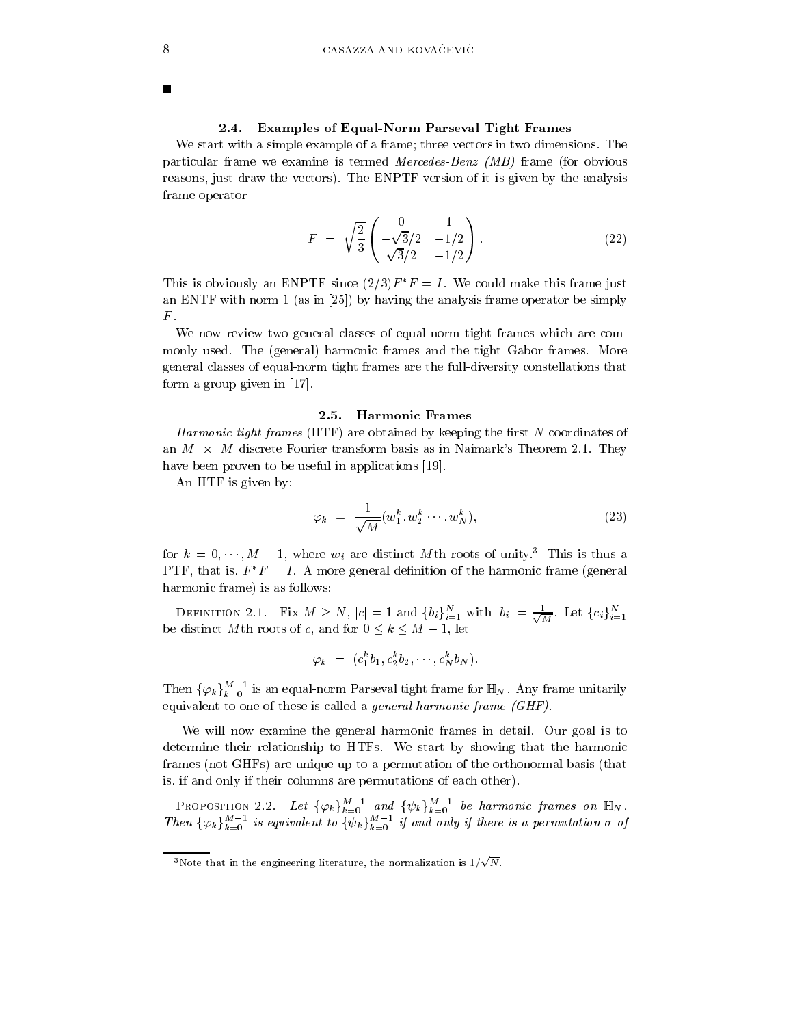### 2.4. Examples of Equal-Norm Parseval Tight Frames

We start with a simple example of a frame; three vectors in two dimensions. The particular frame we examine is termed Mercedes-Benz  $(MB)$  frame (for obvious reasons, just draw the vectors). The ENPTF version of it is given by the analysis frame operator

$$
F = \sqrt{\frac{2}{3}} \begin{pmatrix} 0 & 1 \\ -\sqrt{3}/2 & -1/2 \\ \sqrt{3}/2 & -1/2 \end{pmatrix} . \tag{22}
$$

This is obviously an ENPTF since  $(2/3)F^*F = I$ . We could make this frame just an ENTF with norm 1 (as in [25]) by having the analysis frame operator be simply  $F$ .

We now review two general classes of equal-norm tight frames which are commonly used. The (general) harmonic frames and the tight Gabor frames. More general classes of equal-norm tight frames are the full-diversity constellations that form a group given in  $[17]$ .

### 2.5. Harmonic Frames

*Harmonic tight frames* (HTF) are obtained by keeping the first N coordinates of an  $M \times M$  discrete Fourier transform basis as in Naimark's Theorem 2.1. They have been proven to be useful in applications [19].

An HTF is given by:

$$
\varphi_k = \frac{1}{\sqrt{M}} (w_1^k, w_2^k \cdots, w_N^k), \qquad (23)
$$

for  $k = 0, \dots, M - 1$ , where  $w_i$  are distinct Mth roots of unity.<sup>3</sup> This is thus a PTF, that is,  $F^*F = I$ . A more general definition of the harmonic frame (general harmonic frame) is as follows:

DEFINITION 2.1. Fix  $M \geq N$ ,  $|c| = 1$  and  $\{b_i\}_{i=1}^N$  with  $|b_i| = \frac{1}{\sqrt{M}}$ . Let  $\{c_i\}_{i=1}^N$ be distinct M<sup>th</sup> roots of c, and for  $0 \le k \le M - 1$ , let

$$
\varphi_k = (c_1^k b_1, c_2^k b_2, \cdots, c_N^k b_N).
$$

Then  $\{\varphi_k\}_{k=0}^{M-1}$  is an equal-norm Parseval tight frame for  $\mathbb{H}_N$ . Any frame unitarily equivalent to one of these is called a general harmonic frame (GHF).

We will now examine the general harmonic frames in detail. Our goal is to determine their relationship to HTFs. We start by showing that the harmonic frames (not GHFs) are unique up to a permutation of the orthonormal basis (that is, if and only if their columns are permutations of each other).

PROPOSITION 2.2. Let  $\{\varphi_k\}_{k=0}^{M-1}$  and  $\{\psi_k\}_{k=0}^{M-1}$  be harmonic frames on  $\mathbb{H}_N$ .<br>Then  $\{\varphi_k\}_{k=0}^{M-1}$  is equivalent to  $\{\psi_k\}_{k=0}^{M-1}$  if and only if there is a permutation  $\sigma$  of

<sup>&</sup>lt;sup>3</sup>Note that in the engineering literature, the normalization is  $1/\sqrt{N}$ .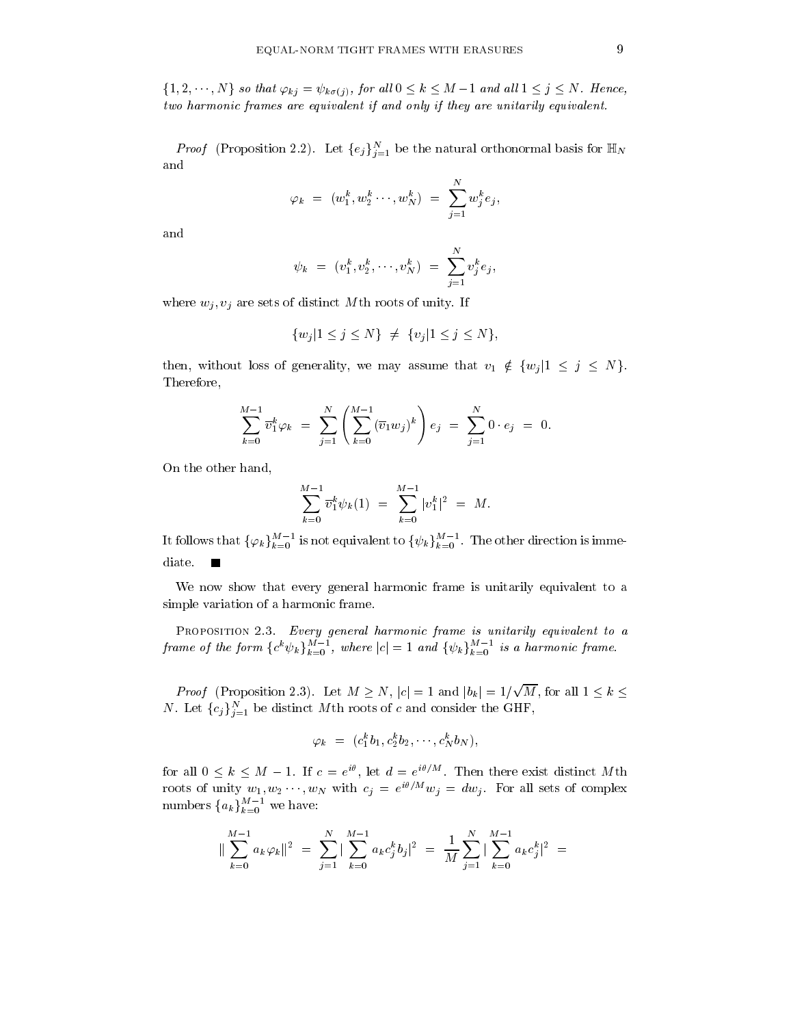$\{1, 2, \dots, N\}$  so that  $\varphi_{kj} = \psi_{k\sigma(j)}$ , for all  $0 \leq k \leq M-1$  and all  $1 \leq j \leq N$ . Hence, two harmonic frames are equivalent if and only if they are unitarily equivalent.

*Proof* (Proposition 2.2). Let  $\{e_j\}_{j=1}^N$  be the natural orthonormal basis for  $\mathbb{H}_N$ and

$$
\varphi_k = (w_1^k, w_2^k \cdots, w_N^k) = \sum_{j=1}^N w_j^k e_j,
$$

and

$$
\psi_k = (v_1^k, v_2^k, \cdots, v_N^k) = \sum_{j=1}^N v_j^k e_j,
$$

where  $w_i, v_i$  are sets of distinct Mth roots of unity. If

$$
\{w_j|1\leq j\leq N\}\ \neq\ \{v_j|1\leq j\leq N\},
$$

then, without loss of generality, we may assume that  $v_1 \notin \{w_j | 1 \leq j \leq N\}.$ Therefore,

$$
\sum_{k=0}^{M-1} \overline{v}_1^k \varphi_k = \sum_{j=1}^N \left( \sum_{k=0}^{M-1} (\overline{v}_1 w_j)^k \right) e_j = \sum_{j=1}^N 0 \cdot e_j = 0.
$$

On the other hand,

$$
\sum_{k=0}^{M-1} \overline{v}_1^k \psi_k(1) = \sum_{k=0}^{M-1} |v_1^k|^2 = M.
$$

It follows that  $\{\varphi_k\}_{k=0}^{M-1}$  is not equivalent to  $\{\psi_k\}_{k=0}^{M-1}$ . The other direction is immediate.

We now show that every general harmonic frame is unitarily equivalent to a simple variation of a harmonic frame.

PROPOSITION 2.3. Every general harmonic frame is unitarily equivalent to a frame of the form  ${c^k \psi_k}_{k=0}^{M-1}$ , where  $|c|=1$  and  ${\psi_k}_{k=0}^{M-1}$  is a harmonic frame.

*Proof* (Proposition 2.3). Let  $M \geq N$ ,  $|c| = 1$  and  $|b_k| = 1/\sqrt{M}$ , for all  $1 \leq k \leq$ *N*. Let  ${c_j}_{j=1}^N$  be distinct *M*<sup>th</sup> roots of *c* and consider the GHF,

$$
\varphi_k = (c_1^k b_1, c_2^k b_2, \cdots, c_N^k b_N),
$$

for all  $0 \leq k \leq M-1$ . If  $c = e^{i\theta}$ , let  $d = e^{i\theta/M}$ . Then there exist distinct Mth roots of unity  $w_1, w_2 \cdots, w_N$  with  $c_j = e^{i\theta/M} w_j = dw_j$ . For all sets of complex<br>numbers  $\{a_k\}_{k=0}^{M-1}$  we have:

$$
\|\sum_{k=0}^{M-1} a_k \varphi_k\|^2 = \sum_{j=1}^N |\sum_{k=0}^{M-1} a_k c_j^k b_j|^2 = \frac{1}{M} \sum_{j=1}^N |\sum_{k=0}^{M-1} a_k c_j^k|^2 =
$$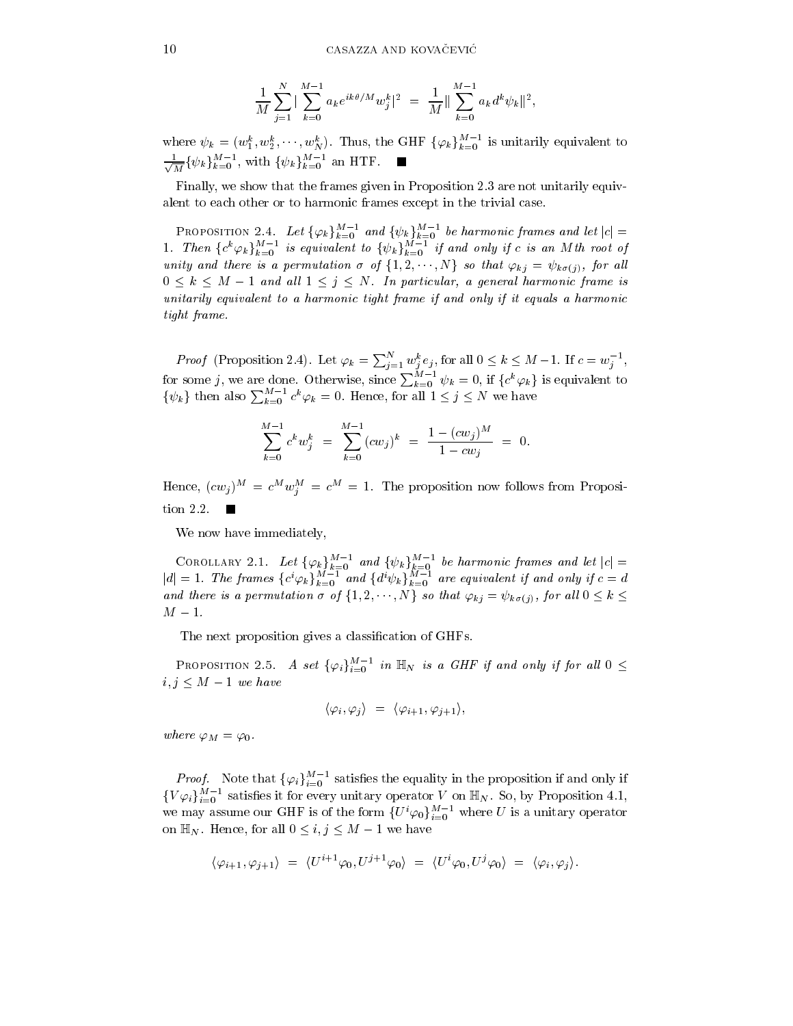$$
\frac{1}{M}\sum_{j=1}^N \|\sum_{k=0}^{M-1} a_k e^{ik\theta/M} w_j^k\|^2 = \frac{1}{M} \|\sum_{k=0}^{M-1} a_k d^k \psi_k\|^2,
$$

where  $\psi_k = (w_1^k, w_2^k, \dots, w_N^k)$ . Thus, the GHF  $\{\varphi_k\}_{k=0}^{M-1}$  is unitarily equivalent to  $\frac{1}{\sqrt{M}} \{\psi_k\}_{k=0}^{M-1}$ , with  $\{\psi_k\}_{k=0}^{M-1}$  an HTF.

Finally, we show that the frames given in Proposition 2.3 are not unitarily equivalent to each other or to harmonic frames except in the trivial case.

PROPOSITION 2.4. Let  $\{\varphi_k\}_{k=0}^{M-1}$  and  $\{\psi_k\}_{k=0}^{M-1}$  be harmonic frames and let  $|c| = 1$ . Then  $\{c^k \varphi_k\}_{k=0}^{M-1}$  is equivalent to  $\{\psi_k\}_{k=0}^{M-1}$  if and only if c is an Mth root of unity and there is a per  $0 \leq k \leq M-1$  and all  $1 \leq j \leq N$ . In particular, a general harmonic frame is unitarily equivalent to a harmonic tight frame if and only if it equals a harmonic tight frame.

**Proof** (Proposition 2.4). Let  $\varphi_k = \sum_{j=1}^N w_j^k e_j$ , for all  $0 \le k \le M-1$ . If  $c = w_j^{-1}$ , for some j, we are done. Otherwise, since  $\sum_{k=0}^{M-1} \psi_k = 0$ , if  $\{c^k \varphi_k\}$  is equivalent to  $\begin{bmatrix} 0 & \cdots & \cdots & \cdots & \cdots & \cdots & \cdots$  $\{\psi_k\}$  then also  $\sum_{k=0}^{M-1} c^k \varphi_k = 0$ . Hence, for all  $1 \leq j \leq N$  we have

$$
\sum_{k=0}^{M-1} c^k w_j^k = \sum_{k=0}^{M-1} (cw_j)^k = \frac{1 - (cw_j)^M}{1 - cw_j} = 0.
$$

Hence,  $(cw_j)^M = c^M w_i^M = c^M = 1$ . The proposition now follows from Proposition 2.2.

We now have immediately,

COROLLARY 2.1. Let  $\{\varphi_k\}_{k=0}^{M-1}$  and  $\{\psi_k\}_{k=0}^{M-1}$  be harmonic frames and let  $|c| = |d| = 1$ . The frames  $\{c^i \varphi_k\}_{k=0}^{M-1}$  and  $\{d^i \psi_k\}_{k=0}^{M-1}$  are equivalent if and only if  $c = d$ and there is a permutation  $\sigma$  of  $\{1,2,\cdots,N\}$  so that  $\varphi_{kj} = \psi_{k\sigma(j)}$ , for all  $0 \leq k \leq$  $M-1$ .

The next proposition gives a classification of GHFs.

PROPOSITION 2.5. A set  $\{\varphi_i\}_{i=0}^{M-1}$  in  $\mathbb{H}_N$  is a GHF if and only if for all  $0 \leq$  $i, j \leq M-1$  we have

$$
\langle \varphi_i, \varphi_j \rangle = \langle \varphi_{i+1}, \varphi_{j+1} \rangle,
$$

where  $\varphi_M = \varphi_0$ .

*Proof.* Note that  $\{\varphi_i\}_{i=0}^{M-1}$  satisfies the equality in the proposition if and only if  $\{V\varphi_i\}_{i=0}^{M-1}$  satisfies it for every unitary operator V on  $\mathbb{H}_N$ . So, by Proposition 4.1, we may assume our GHF is of the form  $\{U^i\varphi_0\}_{i=0}^{M-1}$  where U is a unitary operator on  $\mathbb{H}_N$ . Hence, for all  $0 \leq i, j \leq M-1$  we have

$$
\langle \varphi_{i+1}, \varphi_{j+1} \rangle = \langle U^{i+1} \varphi_0, U^{j+1} \varphi_0 \rangle = \langle U^i \varphi_0, U^j \varphi_0 \rangle = \langle \varphi_i, \varphi_j \rangle
$$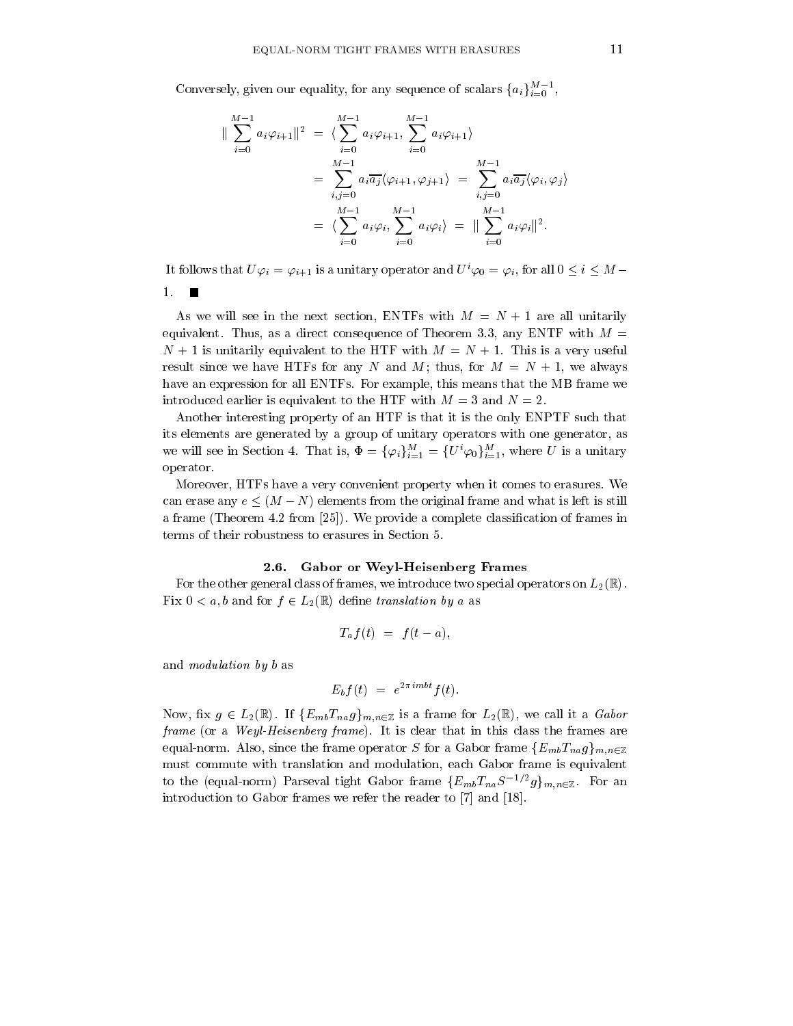Conversely, given our equality, for any sequence of scalars  $\{a_i\}_{i=0}^{M-1}$ ,

$$
\|\sum_{i=0}^{M-1} a_i \varphi_{i+1}\|^2 = \langle \sum_{i=0}^{M-1} a_i \varphi_{i+1}, \sum_{i=0}^{M-1} a_i \varphi_{i+1} \rangle
$$
  
= 
$$
\sum_{i,j=0}^{M-1} a_i \overline{a_j} \langle \varphi_{i+1}, \varphi_{j+1} \rangle = \sum_{i,j=0}^{M-1} a_i \overline{a_j} \langle \varphi_i, \varphi_j \rangle
$$
  
= 
$$
\langle \sum_{i=0}^{M-1} a_i \varphi_i, \sum_{i=0}^{M-1} a_i \varphi_i \rangle = \|\sum_{i=0}^{M-1} a_i \varphi_i\|^2.
$$

It follows that  $U\varphi_i = \varphi_{i+1}$  is a unitary operator and  $U^i\varphi_0 = \varphi_i$ , for all  $0 \leq i \leq M$ 

 $1.$ 

As we will see in the next section, ENTFs with  $M = N + 1$  are all unitarily equivalent. Thus, as a direct consequence of Theorem 3.3, any ENTF with  $M =$  $N+1$  is unitarily equivalent to the HTF with  $M = N+1$ . This is a very useful result since we have HTFs for any N and M; thus, for  $M = N + 1$ , we always have an expression for all ENTFs. For example, this means that the MB frame we introduced earlier is equivalent to the HTF with  $M = 3$  and  $N = 2$ .

Another interesting property of an HTF is that it is the only ENPTF such that its elements are generated by a group of unitary operators with one generator, as we will see in Section 4. That is,  $\Phi = {\{\varphi_i\}}_{i=1}^M = \{U^i\varphi_0\}_{i=1}^M$ , where U is a unitary operator.

Moreover, HTFs have a very convenient property when it comes to erasures. We can erase any  $e \leq (M-N)$  elements from the original frame and what is left is still a frame (Theorem 4.2 from [25]). We provide a complete classification of frames in terms of their robustness to erasures in Section 5.

### 2.6. Gabor or Weyl-Heisenberg Frames

For the other general class of frames, we introduce two special operators on  $L_2(\mathbb{R})$ . Fix  $0 < a, b$  and for  $f \in L_2(\mathbb{R})$  define translation by a as

$$
T_a f(t) = f(t-a),
$$

and *modulation* by b as

$$
E_b f(t) = e^{2\pi i mbt} f(t).
$$

Now, fix  $g \in L_2(\mathbb{R})$ . If  $\{E_{mb}T_{na}g\}_{m,n\in\mathbb{Z}}$  is a frame for  $L_2(\mathbb{R})$ , we call it a *Gabor* frame (or a Weyl-Heisenberg frame). It is clear that in this class the frames are equal-norm. Also, since the frame operator S for a Gabor frame  $\{E_{mb}T_{na}g\}_{m,n\in\mathbb{Z}}$ must commute with translation and modulation, each Gabor frame is equivalent to the (equal-norm) Parseval tight Gabor frame  ${E_{mb}}{T_{na}}S^{-1/2}g_{m,n\in\mathbb{Z}}$ . For an introduction to Gabor frames we refer the reader to [7] and [18].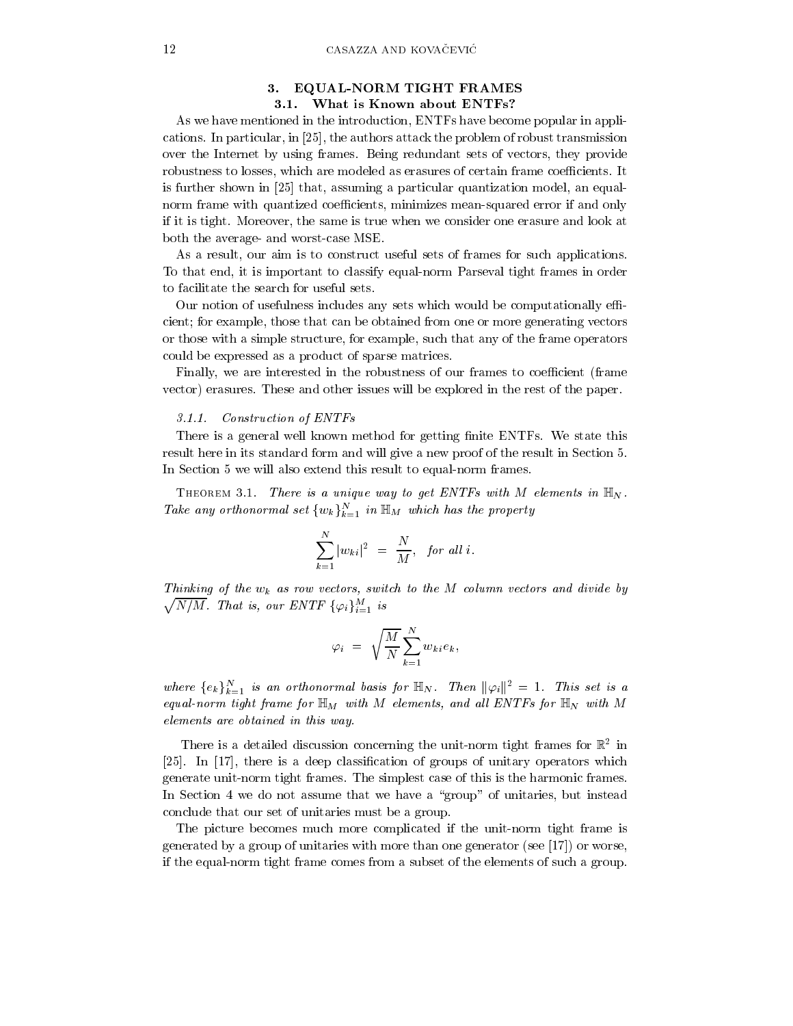## 3. EQUAL-NORM TIGHT FRAMES 3.1. What is Known about ENTFs?

As we have mentioned in the introduction, ENTFs have become popular in applications. In particular, in [25], the authors attack the problem of robust transmission over the Internet by using frames. Being redundant sets of vectors, they provide robustness to losses, which are modeled as erasures of certain frame coefficients. It is further shown in [25] that, assuming a particular quantization model, an equalnorm frame with quantized coefficients, minimizes mean-squared error if and only if it is tight. Moreover, the same is true when we consider one erasure and look at both the average- and worst-case MSE.

As a result, our aim is to construct useful sets of frames for such applications. To that end, it is important to classify equal-norm Parseval tight frames in order to facilitate the search for useful sets.

Our notion of usefulness includes any sets which would be computationally efficient; for example, those that can be obtained from one or more generating vectors or those with a simple structure, for example, such that any of the frame operators could be expressed as a product of sparse matrices.

Finally, we are interested in the robustness of our frames to coefficient (frame vector) erasures. These and other issues will be explored in the rest of the paper.

#### $3.1.1.$ Construction of ENTFs

There is a general well known method for getting finite ENTFs. We state this result here in its standard form and will give a new proof of the result in Section 5. In Section 5 we will also extend this result to equal-norm frames.

THEOREM 3.1. There is a unique way to get ENTFs with M elements in  $\mathbb{H}_N$ . Take any orthonormal set  $\{w_k\}_{k=1}^N$  in  $\mathbb{H}_M$  which has the property

$$
\sum_{k=1}^N |w_{ki}|^2 = \frac{N}{M}, \text{ for all } i.
$$

Thinking of the  $w_k$  as row vectors, switch to the M column vectors and divide by  $\sqrt{N/M}$ . That is, our ENTF  $\{\varphi_i\}_{i=1}^M$  is

$$
\varphi_i = \sqrt{\frac{M}{N}} \sum_{k=1}^N w_{ki} e_k,
$$

where  $\{e_k\}_{k=1}^N$  is an orthonormal basis for  $\mathbb{H}_N$ . Then  $\|\varphi_i\|^2 = 1$ . This set is a equal-norm tight frame for  $\mathbb{H}_M$  with M elements, and all ENTFs for  $\mathbb{H}_N$  with M elements are obtained in this way

There is a detailed discussion concerning the unit-norm tight frames for  $\mathbb{R}^2$  in [25]. In [17], there is a deep classification of groups of unitary operators which generate unit-norm tight frames. The simplest case of this is the harmonic frames. In Section 4 we do not assume that we have a "group" of unitaries, but instead conclude that our set of unitaries must be a group.

The picture becomes much more complicated if the unit-norm tight frame is generated by a group of unitaries with more than one generator (see [17]) or worse, if the equal-norm tight frame comes from a subset of the elements of such a group.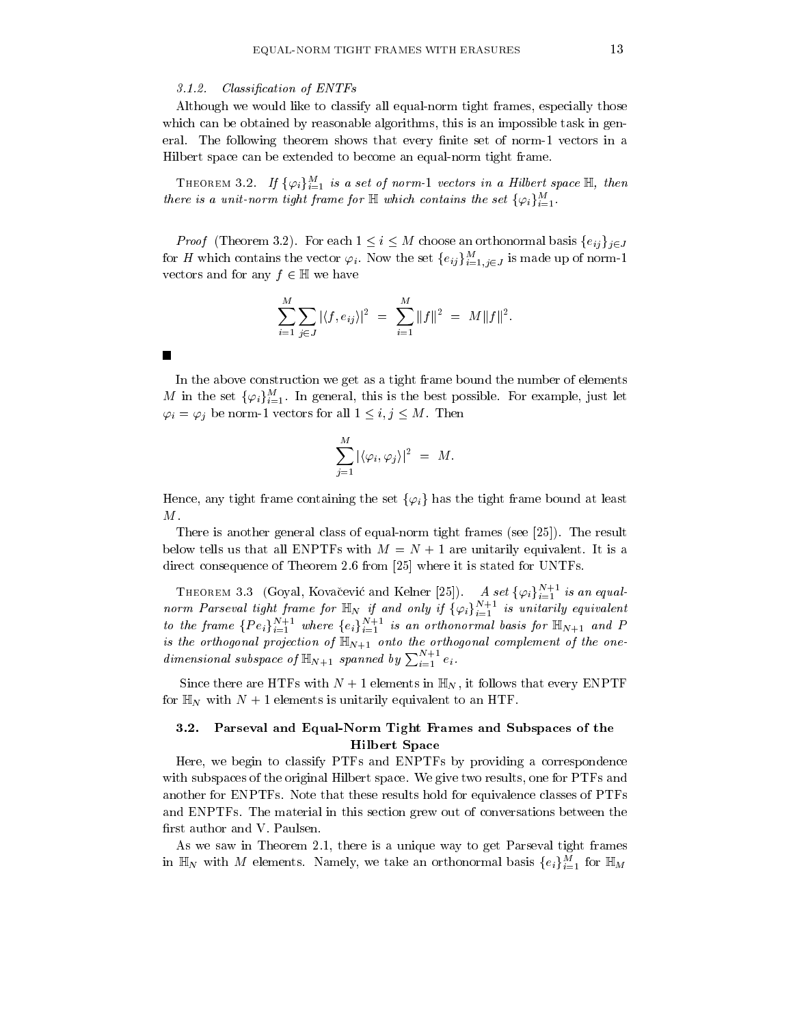#### $3.1.2.$ Classification of ENTFs

Although we would like to classify all equal-norm tight frames, especially those which can be obtained by reasonable algorithms, this is an impossible task in general. The following theorem shows that every finite set of norm-1 vectors in a Hilbert space can be extended to become an equal-norm tight frame.

THEOREM 3.2. If  $\{\varphi_i\}_{i=1}^M$  is a set of norm-1 vectors in a Hilbert space  $\mathbb{H}$ , then there is a unit-norm tight frame for  $\mathbb H$  which contains the set  $\{\varphi_i\}_{i=1}^M$ .

*Proof* (Theorem 3.2). For each  $1 \leq i \leq M$  choose an orthonormal basis  $\{e_{ij}\}_{i \in J}$ for H which contains the vector  $\varphi_i$ . Now the set  $\{e_{ij}\}_{i=1,j\in J}^M$  is made up of norm-1 vectors and for any  $f \in \mathbb{H}$  we have

$$
\sum_{i=1}^{M} \sum_{j \in J} |\langle f, e_{ij} \rangle|^2 = \sum_{i=1}^{M} ||f||^2 = M ||f||^2.
$$

In the above construction we get as a tight frame bound the number of elements M in the set  $\{\varphi_i\}_{i=1}^M$ . In general, this is the best possible. For example, just let  $\varphi_i = \varphi_j$  be norm-1 vectors for all  $1 \leq i, j \leq M$ . Then

$$
\sum_{j=1}^M |\langle \varphi_i, \varphi_j \rangle|^2 = M.
$$

Hence, any tight frame containing the set  $\{\varphi_i\}$  has the tight frame bound at least  $M$  .

There is another general class of equal-norm tight frames (see [25]). The result below tells us that all ENPTFs with  $M = N + 1$  are unitarily equivalent. It is a direct consequence of Theorem 2.6 from [25] where it is stated for UNTFs.

THEOREM 3.3 (Goyal, Kovačević and Kelner [25]). A set  $\{\varphi_i\}_{i=1}^{N+1}$  is an equalnorm Parseval tight frame for  $\mathbb{H}_N$  if and only if  $\{\varphi_i\}_{i=1}^{N+1}$  is unitarily equivalent<br>to the frame  $\{Pe_i\}_{i=1}^{N+1}$  where  $\{e_i\}_{i=1}^{N+1}$  is an orthonormal basis for  $\mathbb{H}_{N+1}$  and P is the orthogonal projection of  $\mathbb{H}_{N+1}$  onto the orthogonal complement of the onedimensional subspace of  $\mathbb{H}_{N+1}$  spanned by  $\sum_{i=1}^{N+1} e_i$ .

Since there are HTFs with  $N+1$  elements in  $\mathbb{H}_N$ , it follows that every ENPTF for  $\mathbb{H}_N$  with  $N+1$  elements is unitarily equivalent to an HTF.

## 3.2. Parseval and Equal-Norm Tight Frames and Subspaces of the **Hilbert Space**

Here, we begin to classify PTFs and ENPTFs by providing a correspondence with subspaces of the original Hilbert space. We give two results, one for PTFs and another for ENPTFs. Note that these results hold for equivalence classes of PTFs and ENPTFs. The material in this section grew out of conversations between the first author and V. Paulsen.

As we saw in Theorem 2.1, there is a unique way to get Parseval tight frames in  $\mathbb{H}_N$  with M elements. Namely, we take an orthonormal basis  $\{e_i\}_{i=1}^M$  for  $\mathbb{H}_M$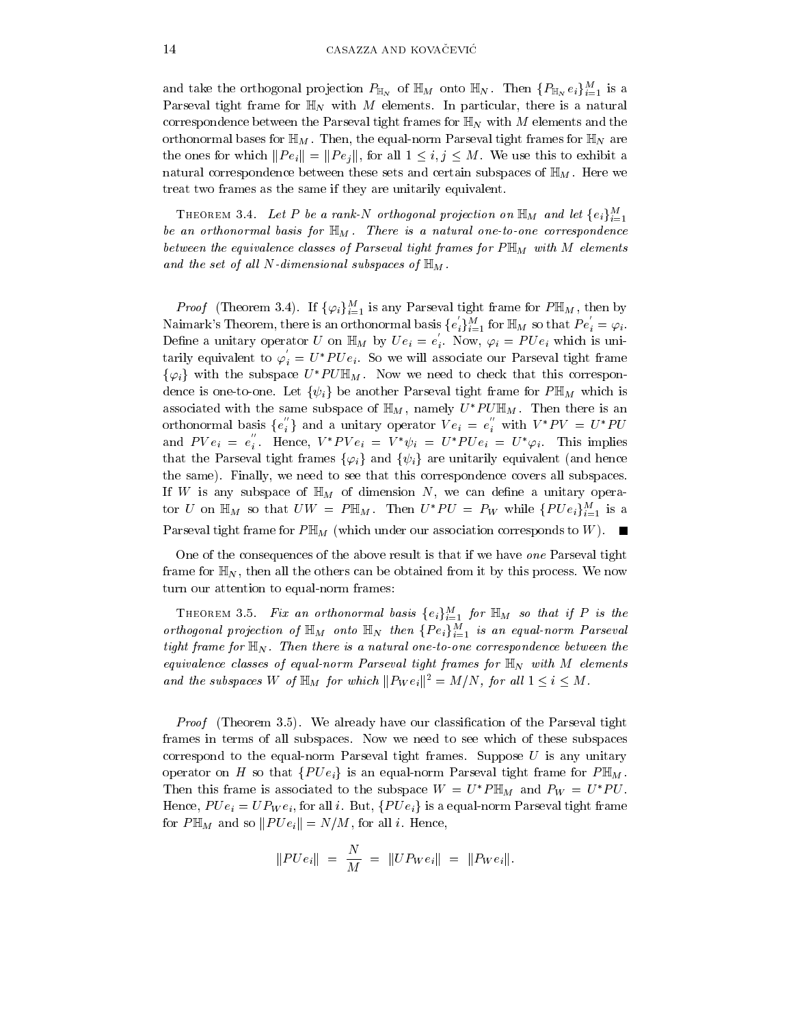and take the orthogonal projection  $P_{\mathbb{H}_N}$  of  $\mathbb{H}_M$  onto  $\mathbb{H}_N$ . Then  $\{P_{\mathbb{H}_N}e_i\}_{i=1}^M$  is a Parseval tight frame for  $\mathbb{H}_N$  with M elements. In particular, there is a natural correspondence between the Parseval tight frames for  $\mathbb{H}_N$  with M elements and the orthonormal bases for  $\mathbb{H}_M$ . Then, the equal-norm Parseval tight frames for  $\mathbb{H}_N$  are the ones for which  $||Pe_i|| = ||Pe_j||$ , for all  $1 \le i, j \le M$ . We use this to exhibit a natural correspondence between these sets and certain subspaces of  $\mathbb{H}_M$ . Here we treat two frames as the same if they are unitarily equivalent.

THEOREM 3.4. Let P be a rank-N orthogonal projection on  $\mathbb{H}_M$  and let  $\{e_i\}_{i=1}^M$ be an orthonormal basis for  $\mathbb{H}_M$ . There is a natural one-to-one correspondence between the equivalence classes of Parseval tight frames for  $P \mathbb{H}_M$  with M elements and the set of all N-dimensional subspaces of  $\mathbb{H}_M$ .

*Proof* (Theorem 3.4). If  $\{\varphi_i\}_{i=1}^M$  is any Parseval tight frame for  $P\mathbb{H}_M$ , then by Naimark's Theorem, there is an orthonormal basis  $\{e'_i\}_{i=1}^M$  for  $\mathbb{H}_M$  so that  $Pe'_i = \varphi_i$ . Define a unitary operator U on  $\mathbb{H}_M$  by  $Ue_i = e'_i$ . Now,  $\varphi_i = PUe_i$  which is unitarily equivalent to  $\varphi_i = U^*P U e_i$ . So we will associate our Parseval tight frame  $\{\varphi_i\}$  with the subspace  $U^*P U \mathbb{H}_M$ . Now we need to check that this correspondence is one-to-one. Let  $\{\psi_i\}$  be another Parseval tight frame for  $P \mathbb{H}_M$  which is associated with the same subspace of  $\mathbb{H}_M$ , namely  $U^*P U \mathbb{H}_M$ . Then there is an orthonormal basis  $\{e_i^{\prime\prime}\}\$ and a unitary operator  $Ve_i = e_i^{\prime\prime}$  with  $V^*PV = U^*PU$ and  $PV e_i = e_i''$ . Hence,  $V^* P V e_i = V^* \psi_i = U^* P U e_i = U^* \varphi_i$ . This implies that the Parseval tight frames  $\{\varphi_i\}$  and  $\{\psi_i\}$  are unitarily equivalent (and hence the same). Finally, we need to see that this correspondence covers all subspaces. If W is any subspace of  $\mathbb{H}_M$  of dimension N, we can define a unitary operator U on  $\mathbb{H}_M$  so that  $UW = P\mathbb{H}_M$ . Then  $U^*PU = P_W$  while  $\{PUe_i\}_{i=1}^M$  is a Parseval tight frame for  $P \mathbb{H}_M$  (which under our association corresponds to W). П

One of the consequences of the above result is that if we have one Parseval tight frame for  $\mathbb{H}_N$ , then all the others can be obtained from it by this process. We now turn our attention to equal-norm frames:

THEOREM 3.5. Fix an orthonormal basis  $\{e_i\}_{i=1}^M$  for  $\mathbb{H}_M$  so that if P is the orthogonal projection of  $\mathbb{H}_M$  onto  $\mathbb{H}_N$  then  $\{Pe_i\}_{i=1}^M$  is an equal-norm Parseval tight frame for  $\mathbb{H}_N$ . Then there is a natural one-to-one correspondence between the equivalence classes of equal-norm Parseval tight frames for  $\mathbb{H}_N$  with M elements and the subspaces W of  $\mathbb{H}_M$  for which  $||P_We_i||^2 = M/N$ , for all  $1 \leq i \leq M$ .

*Proof* (Theorem 3.5). We already have our classification of the Parseval tight frames in terms of all subspaces. Now we need to see which of these subspaces correspond to the equal-norm Parseval tight frames. Suppose  $U$  is any unitary operator on H so that  $\{PUe_i\}$  is an equal-norm Parseval tight frame for  $P\mathbb{H}_M$ . Then this frame is associated to the subspace  $W = U^* P \mathbb{H}_M$  and  $P_W = U^* P U$ . Hence,  $PUe_i = UP_We_i$ , for all i. But,  $\{PUe_i\}$  is a equal-norm Parseval tight frame for  $P\mathbb{H}_M$  and so  $||P U e_i|| = N/M$ , for all *i*. Hence,

$$
||P U e_i|| = \frac{N}{M} = ||U P_W e_i|| = ||P_W e_i||.
$$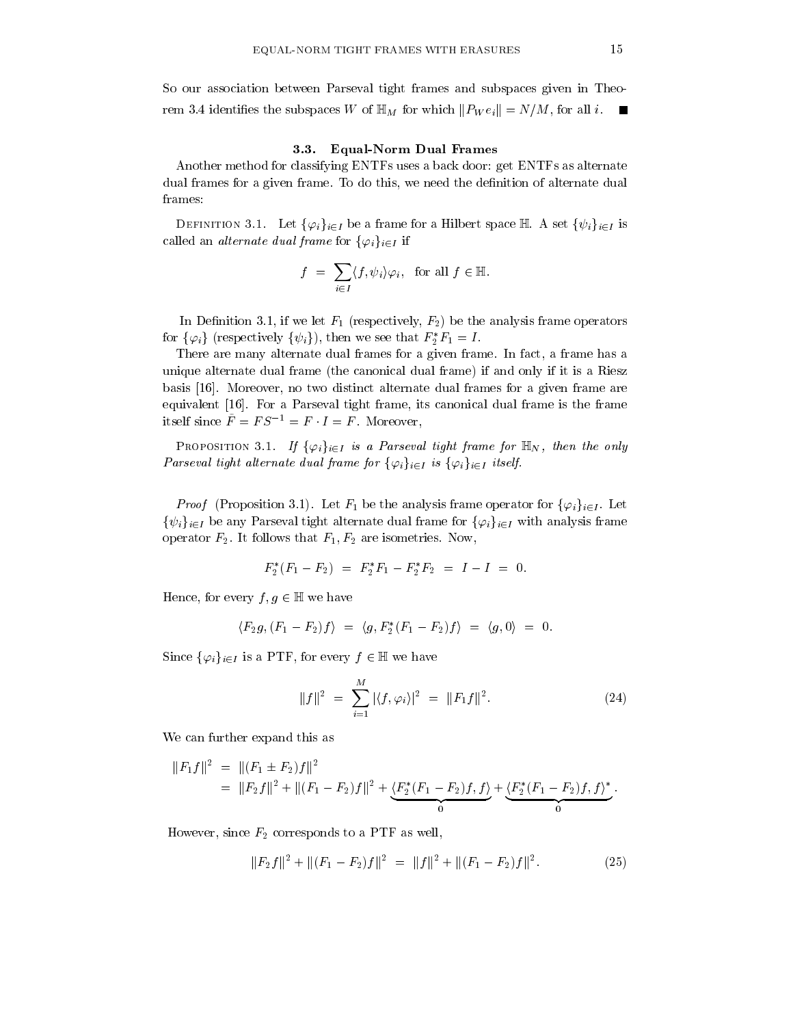So our association between Parseval tight frames and subspaces given in Theorem 3.4 identifies the subspaces W of  $\mathbb{H}_M$  for which  $||P_W e_i|| = N/M$ , for all *i*.

#### $3.3.$ **Equal-Norm Dual Frames**

Another method for classifying ENTFs uses a back door: get ENTFs as alternate dual frames for a given frame. To do this, we need the definition of alternate dual frames:

DEFINITION 3.1. Let  $\{\varphi_i\}_{i\in I}$  be a frame for a Hilbert space  $\mathbb H$  A set  $\{\psi_i\}_{i\in I}$  is called an *alternate* dual frame for  $\{\varphi_i\}_{i\in I}$  if

$$
f = \sum_{i \in I} \langle f, \psi_i \rangle \varphi_i, \text{ for all } f \in \mathbb{H}.
$$

In Definition 3.1, if we let  $F_1$  (respectively,  $F_2$ ) be the analysis frame operators for  $\{\varphi_i\}$  (respectively  $\{\psi_i\}$ ), then we see that  $F_2^*F_1 = I$ .

There are many alternate dual frames for a given frame. In fact, a frame has a unique alternate dual frame (the canonical dual frame) if and only if it is a Riesz basis  $[16]$ . Moreover, no two distinct alternate dual frames for a given frame are equivalent [16]. For a Parseval tight frame, its canonical dual frame is the frame itself since  $\tilde{F} = FS^{-1} = F \cdot I = F$ . Moreover,

**PROPOSITION 3.1.** If  $\{\varphi_i\}_{i\in I}$  is a Parseval tight frame for  $\mathbb{H}_N$ , then the only Parseval tight alternate dual frame for  $\{\varphi_i\}_{i\in I}$  is  $\{\varphi_i\}_{i\in I}$  itself.

*Proof* (Proposition 3.1). Let  $F_1$  be the analysis frame operator for  $\{\varphi_i\}_{i\in I}$ . Let  $\{\psi_i\}_{i\in I}$  be any Parseval tight alternate dual frame for  $\{\varphi_i\}_{i\in I}$  with analysis frame operator  $F_2$ . It follows that  $F_1, F_2$  are isometries. Now,

$$
F_2^*(F_1 - F_2) = F_2^*F_1 - F_2^*F_2 = I - I = 0.
$$

Hence, for every  $f, g \in \mathbb{H}$  we have

$$
\langle F_2g, (F_1-F_2)f \rangle = \langle g, F_2^*(F_1-F_2)f \rangle = \langle g, 0 \rangle = 0
$$

Since  $\{\varphi_i\}_{i\in I}$  is a PTF, for every  $f \in \mathbb{H}$  we have

$$
||f||^2 = \sum_{i=1}^{M} |\langle f, \varphi_i \rangle|^2 = ||F_1 f||^2.
$$
 (24)

We can further expand this as

$$
||F_1f||^2 = ||(F_1 \pm F_2)f||^2
$$
  
= 
$$
||F_2f||^2 + ||(F_1 - F_2)f||^2 + \underbrace{\langle F_2^*(F_1 - F_2)f, f \rangle}_{0} + \underbrace{\langle F_2^*(F_1 - F_2)f, f \rangle}_{0}^*.
$$

However, since  $F_2$  corresponds to a PTF as well,

$$
||F_2f||^2 + ||(F_1 - F_2)f||^2 = ||f||^2 + ||(F_1 - F_2)f||^2.
$$
 (25)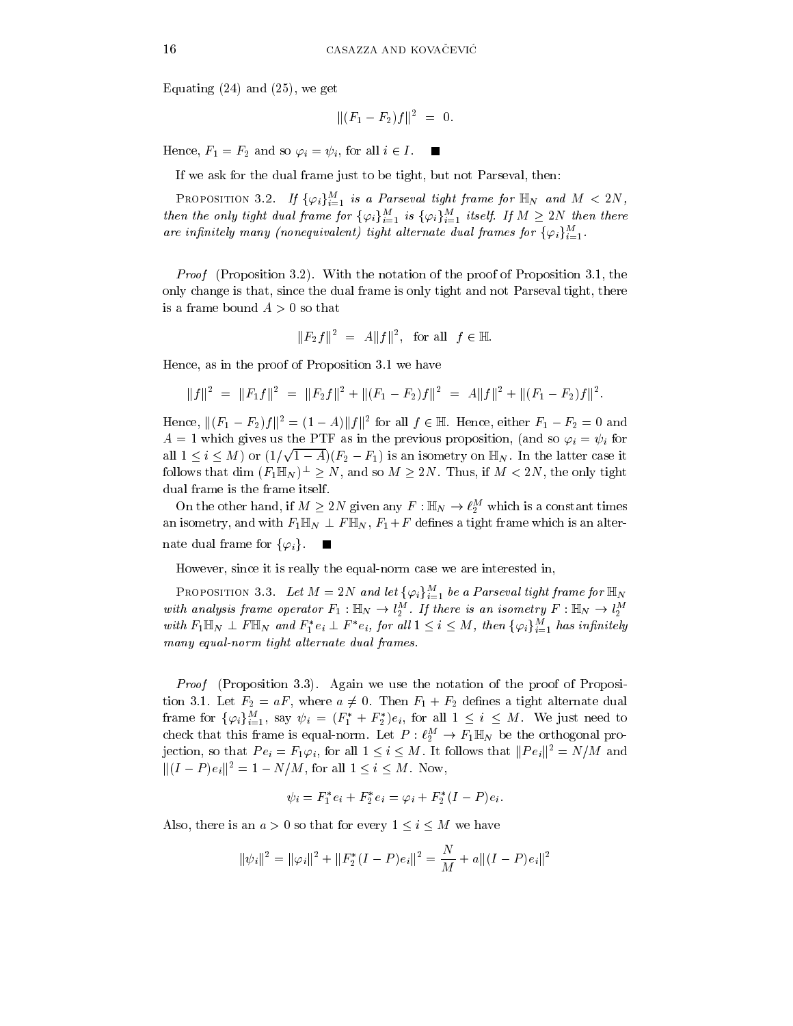Equating  $(24)$  and  $(25)$ , we get

$$
||(F_1-F_2)f||^2 = 0.
$$

Hence,  $F_1 = F_2$  and so  $\varphi_i = \psi_i$ , for all  $i \in I$ .

If we ask for the dual frame just to be tight, but not Parseval, then:

PROPOSITION 3.2. If  $\{\varphi_i\}_{i=1}^M$  is a Parseval tight frame for  $\mathbb{H}_N$  and  $M < 2N$ , then the only tight dual frame for  $\{\varphi_i\}_{i=1}^M$  is  $\{\varphi_i\}_{i=1}^M$  itself. If  $M \geq 2N$  then there are infinitely many (nonequivalent) tight alternate dual frames for  $\{\varphi_i\}_{i=1}^M$ .

*Proof* (Proposition 3.2). With the notation of the proof of Proposition 3.1, the only change is that, since the dual frame is only tight and not Parseval tight, there is a frame bound  $A > 0$  so that

$$
||F_2f||^2 = A||f||^2
$$
, for all  $f \in \mathbb{H}$ 

Hence, as in the proof of Proposition 3.1 we have

$$
||f||2 = ||F1f||2 = ||F2f||2 + ||(F1 - F2)f||2 = A||f||2 + ||(F1 - F2)f||2.
$$

Hence,  $||(F_1 - F_2)f||^2 = (1 - A)||f||^2$  for all  $f \in \mathbb{H}$ . Hence, either  $F_1 - F_2 = 0$  and  $A = 1$  which gives us the PTF as in the previous proposition, (and so  $\varphi_i = \psi_i$  for all  $1 \leq i \leq M$ ) or  $(1/\sqrt{1-A})(F_2-F_1)$  is an isometry on  $\mathbb{H}_N$ . In the latter case it follows that dim  $(F_1 \mathbb{H}_N)^{\perp} \geq N$ , and so  $M \geq 2N$ . Thus, if  $M < 2N$ , the only tight dual frame is the frame itself.

On the other hand, if  $M \geq 2N$  given any  $F : \mathbb{H}_N \to \ell_2^M$  which is a constant times an isometry, and with  $F_1 \mathbb{H}_N \perp F \mathbb{H}_N$ ,  $F_1 + F$  defines a tight frame which is an alternate dual frame for  $\{\varphi_i\}$ . П

However, since it is really the equal-norm case we are interested in,

**PROPOSITION 3.3.** Let  $M = 2N$  and let  $\{\varphi_i\}_{i=1}^M$  be a Parseval tight frame for  $\mathbb{H}_N$ with analysis frame operator  $F_1 : \mathbb{H}_N \to l_2^M$ . If there is an isometry  $F : \mathbb{H}_N \to l_2^M$ with  $F_1 \mathbb{H}_N \perp F \mathbb{H}_N$  and  $F_1^* e_i \perp F^* e_i$ , for all  $1 \leq i \leq M$ , then  $\{\varphi_i\}_{i=1}^M$  has infinitely many equal-norm tight alternate dual frames.

*Proof* (Proposition 3.3). Again we use the notation of the proof of Proposition 3.1. Let  $F_2 = aF$ , where  $a \neq 0$ . Then  $F_1 + F_2$  defines a tight alternate dual frame for  $\{\varphi_i\}_{i=1}^M$ , say  $\psi_i = (F_1^* + F_2^*)e_i$ , for all  $1 \leq i \leq M$ . We just need to check that this frame is equal-norm. Let  $P: \ell_2^M \to \overline{F_1} \mathbb{H}_N$  be the orthogonal projection, so that  $Pe_i = F_1 \varphi_i$ , for all  $1 \leq i \leq M$ . It follows that  $||Pe_i||^2 = N/M$  and  $||(I - P)e_i||^2 = 1 - N/M$ , for all  $1 \le i \le M$ . Now,

$$
\psi_i = F_1^* e_i + F_2^* e_i = \varphi_i + F_2^* (I - P) e_i.
$$

Also, there is an  $a > 0$  so that for every  $1 \leq i \leq M$  we have

$$
\|\psi_i\|^2 = \|\varphi_i\|^2 + \|F_2^*(I - P)e_i\|^2 = \frac{N}{M} + a\|(I - P)e_i\|^2
$$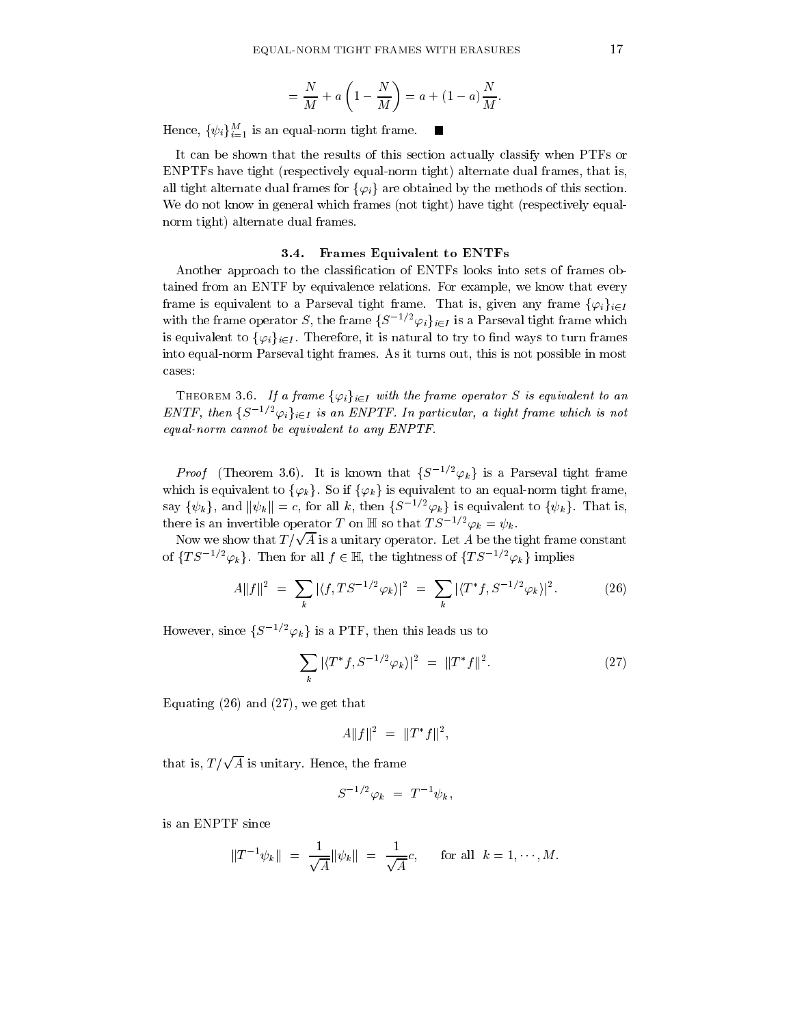$$
= \frac{N}{M} + a\left(1 - \frac{N}{M}\right) = a + (1 - a)\frac{N}{M}.
$$

ш

Hence,  $\{\psi_i\}_{i=1}^M$  is an equal-norm tight frame.

It can be shown that the results of this section actually classify when PTFs or ENPTFs have tight (respectively equal-norm tight) alternate dual frames, that is, all tight alternate dual frames for  $\{\varphi_i\}$  are obtained by the methods of this section. We do not know in general which frames (not tight) have tight (respectively equalnorm tight) alternate dual frames.

## 3.4. Frames Equivalent to ENTFs

Another approach to the classification of ENTFs looks into sets of frames obtained from an ENTF by equivalence relations. For example, we know that every frame is equivalent to a Parseval tight frame. That is, given any frame  $\{\varphi_i\}_{i\in I}$ with the frame operator S, the frame  $\{S^{-1/2}\varphi_i\}_{i\in I}$  is a Parseval tight frame which is equivalent to  $\{\varphi_i\}_{i\in I}$ . Therefore, it is natural to try to find ways to turn frames into equal-norm Parseval tight frames. As it turns out, this is not possible in most cases:

THEOREM 3.6. If a frame  $\{\varphi_i\}_{i\in I}$  with the frame operator S is equivalent to an ENTF, then  $\{S^{-1/2}\varphi_i\}_{i\in I}$  is an ENPTF. In particular, a tight frame which is not equal-norm cannot be equivalent to any ENPTF.

*Proof* (Theorem 3.6). It is known that  $\{S^{-1/2}\varphi_k\}$  is a Parseval tight frame which is equivalent to  $\{\varphi_k\}$ . So if  $\{\varphi_k\}$  is equivalent to an equal-norm tight frame, say  $\{\psi_k\}$ , and  $\|\psi_k\| = c$ , for all k, then  $\{S^{-1/2}\varphi_k\}$  is equivalent to  $\{\psi_k\}$ . That is, there is an invertible operator T on  $\mathbb H$  so that  $TS^{-1/2}\varphi_k = \psi_k$ .

Now we show that  $T/\sqrt{A}$  is a unitary operator. Let A be the tight frame constant of  $\{TS^{-1/2}\varphi_k\}$ . Then for all  $f \in \mathbb{H}$ , the tightness of  $\{TS^{-1/2}\varphi_k\}$  implies

$$
A||f||^2 = \sum_{k} |\langle f, TS^{-1/2} \varphi_k \rangle|^2 = \sum_{k} |\langle T^* f, S^{-1/2} \varphi_k \rangle|^2. \tag{26}
$$

However, since  $\{S^{-1/2}\varphi_k\}$  is a PTF, then this leads us to

$$
\sum_{k} |\langle T^* f, S^{-1/2} \varphi_k \rangle|^2 = ||T^* f||^2. \tag{27}
$$

Equating  $(26)$  and  $(27)$ , we get that

$$
A||f||^2 = ||T^*f||^2,
$$

that is,  $T/\sqrt{A}$  is unitary. Hence, the frame

$$
S^{-1/2}\varphi_k = T^{-1}\psi_k,
$$

is an ENPTF since

$$
||T^{-1}\psi_k|| = \frac{1}{\sqrt{A}} ||\psi_k|| = \frac{1}{\sqrt{A}}c
$$
, for all  $k = 1, \dots, M$ .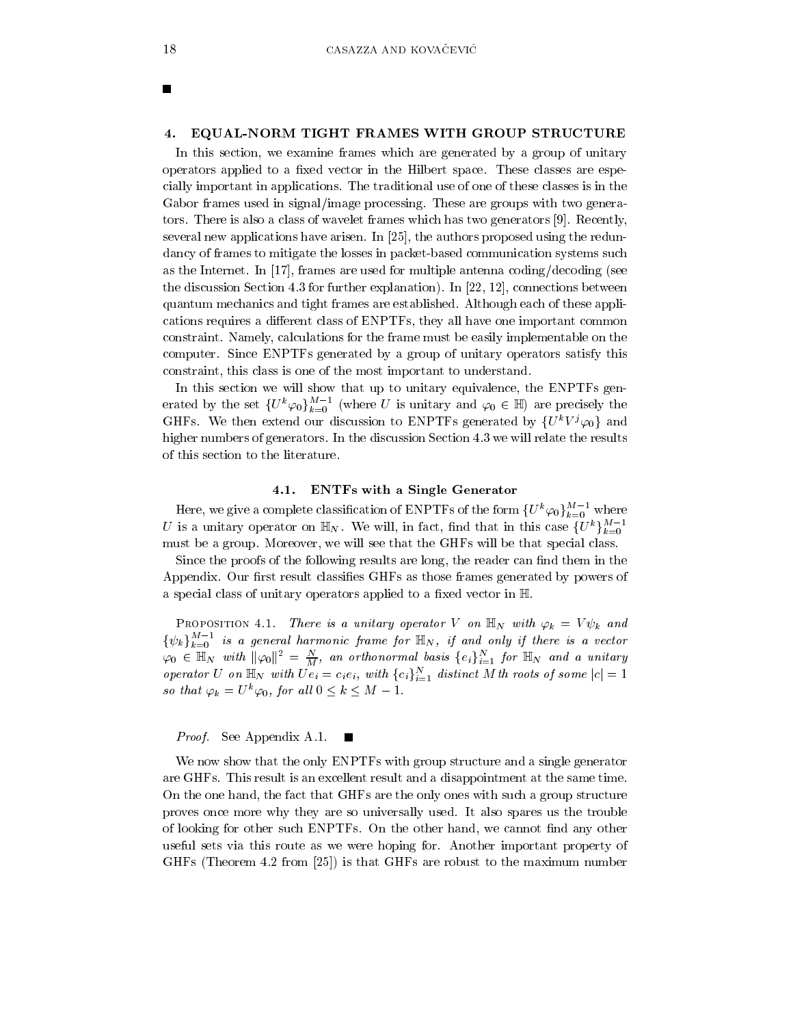×

#### EQUAL-NORM TIGHT FRAMES WITH GROUP STRUCTURE 4.

In this section, we examine frames which are generated by a group of unitary operators applied to a fixed vector in the Hilbert space. These classes are especially important in applications. The traditional use of one of these classes is in the Gabor frames used in signal/image processing. These are groups with two generators. There is also a class of wavelet frames which has two generators [9]. Recently, several new applications have arisen. In [25], the authors proposed using the redundancy of frames to mitigate the losses in packet-based communication systems such as the Internet. In [17], frames are used for multiple antenna coding/decoding (see the discussion Section 4.3 for further explanation). In [22, 12], connections between quantum mechanics and tight frames are established. Although each of these applications requires a different class of ENPTFs, they all have one important common constraint. Namely, calculations for the frame must be easily implementable on the computer. Since ENPTFs generated by a group of unitary operators satisfy this constraint, this class is one of the most important to understand.

In this section we will show that up to unitary equivalence, the ENPTFs generated by the set  $\{U^k\varphi_0\}_{k=0}^{M-1}$  (where U is unitary and  $\varphi_0 \in \mathbb{H}$ ) are precisely the GHFs. We then extend our discussion to ENPTFs generated by  $\{U^kV^j\varphi_0\}$  and higher numbers of generators. In the discussion Section 4.3 we will relate the results of this section to the literature.

#### $4.1.$ **ENTFs with a Single Generator**

Here, we give a complete classification of ENPTFs of the form  $\{U^k\varphi_0\}_{k=0}^{M-1}$  where U is a unitary operator on  $\mathbb{H}_N$ . We will, in fact, find that in this case  $\{U^k\}_{k=0}^{M-1}$ must be a group. Moreover, we will see that the GHFs will be that special class.

Since the proofs of the following results are long, the reader can find them in the Appendix. Our first result classifies GHFs as those frames generated by powers of a special class of unitary operators applied to a fixed vector in H.

**PROPOSITION** 4.1. There is a unitary operator V on  $\mathbb{H}_N$  with  $\varphi_k = V \psi_k$  and  $\{\psi_k\}_{k=0}^{M-1}$  is a general harmonic frame for  $\mathbb{H}_N$ , if and only if there is a vector  $\varphi_0 \in \mathbb{H}_N$  with  $\|\varphi_0\|^2 = \frac{N}{M}$ , an orthonormal basis  $\{e_i\}_{i=1}^N$  for  $\mathbb{H}_N$  and a unitary operator U on  $\mathbb{H}_N$  with  $Ue_i = c_i e_i$ , with  $\{c_i\}_{i=1}^N$  distinct M th roots of some  $|c| = 1$ so that  $\varphi_k = U^k \varphi_0$ , for all  $0 \leq k \leq M - 1$ .

Proof. See Appendix A.1.

We now show that the only ENPTFs with group structure and a single generator are GHFs. This result is an excellent result and a disappointment at the same time. On the one hand, the fact that GHFs are the only ones with such a group structure proves once more why they are so universally used. It also spares us the trouble of looking for other such ENPTFs. On the other hand, we cannot find any other useful sets via this route as we were hoping for. Another important property of GHFs (Theorem 4.2 from [25]) is that GHFs are robust to the maximum number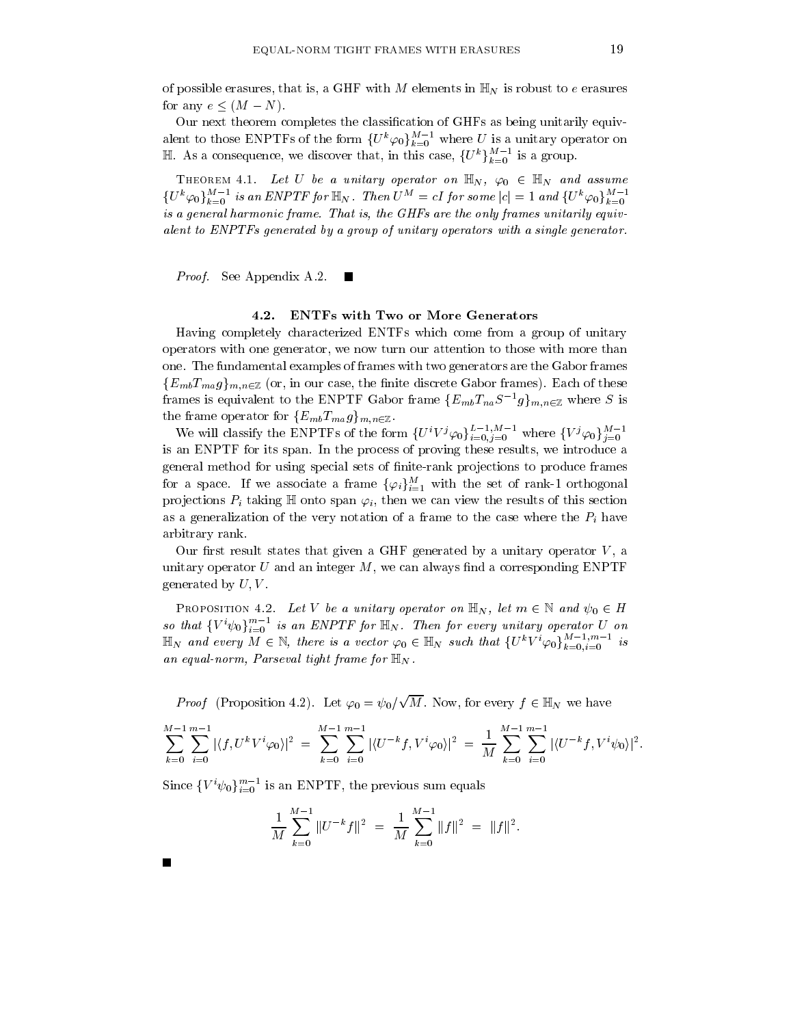of possible erasures, that is, a GHF with M elements in  $\mathbb{H}_N$  is robust to e erasures for any  $e \leq (M - N)$ .

Our next theorem completes the classification of GHFs as being unitarily equivalent to those ENPTFs of the form  $\{U^k\varphi_0\}_{k=0}^{M-1}$  where U is a unitary operator on  $\mathbb{H}$ . As a consequence, we discover that, in this case,  $\{U^k\}_{k=0}^{M-1}$  is a group.

THEOREM 4.1. Let U be a unitary operator on  $\mathbb{H}_N$ ,  $\varphi_0 \in \mathbb{H}_N$  and assume  $\{U^k\varphi_0\}_{k=0}^{M-1}$  is an ENPTF for  $\mathbb{H}_N$ . Then  $U^M = cI$  for some  $|c| = 1$  and  $\{U^k\varphi_0\}_{k=0}^{M-1}$ is a general harmonic frame. That is, the GHFs are the only frames unitarily equivalent to ENPTFs generated by a group of unitary operators with a single generator.

*Proof.* See Appendix A.2.

#### $4.2.$ **ENTFs with Two or More Generators**

Having completely characterized ENTFs which come from a group of unitary operators with one generator, we now turn our attention to those with more than one. The fundamental examples of frames with two generators are the Gabor frames  ${E_{mb}}T_{ma}g_{bm,n\in\mathbb{Z}}$  (or, in our case, the finite discrete Gabor frames). Each of these frames is equivalent to the ENPTF Gabor frame  ${E_{mb}}T_{na}S^{-1}g_{m,n\in\mathbb{Z}}$  where S is the frame operator for  $\{E_{mb}T_{ma}g\}_{m,n\in\mathbb{Z}}$ .

We will classify the ENPTFs of the form  $\{U^i V^j \varphi_0\}_{i=0,j=0}^{L-1,M-1}$  where  $\{V^j \varphi_0\}_{j=0}^{M-1}$ is an ENPTF for its span. In the process of proving these results, we introduce a general method for using special sets of finite-rank projections to produce frames for a space. If we associate a frame  $\{\varphi_i\}_{i=1}^M$  with the set of rank-1 orthogonal projections  $P_i$  taking  $\mathbb H$  onto span  $\varphi_i$ , then we can view the results of this section as a generalization of the very notation of a frame to the case where the  $P_i$  have arbitrary rank.

Our first result states that given a GHF generated by a unitary operator  $V$ , a unitary operator U and an integer  $M$ , we can always find a corresponding ENPTF generated by  $U, V$ .

PROPOSITION 4.2. Let V be a unitary operator on  $\mathbb{H}_N$ , let  $m \in \mathbb{N}$  and  $\psi_0 \in H$ so that  $\{V^i\psi_0\}_{i=0}^{m-1}$  is an ENPTF for  $\mathbb{H}_N$ . Then for every unitary operator U on  $\mathbb{H}_N$  and every  $M \in \mathbb{N}$ , there is a vector  $\varphi_0 \in \mathbb{H}_N$  such that  $\{U^k V^i \varphi_0\}_{k=0}^{M-1, m-1}$  is an equal-norm, Parseval tight frame for  $\mathbb{H}_N$ .

*Proof* (Proposition 4.2). Let  $\varphi_0 = \psi_0 / \sqrt{M}$ . Now, for every  $f \in \mathbb{H}_N$  we have

$$
\sum_{k=0}^{M-1} \sum_{i=0}^{m-1} |\langle f, U^k V^i \varphi_0 \rangle|^2 = \sum_{k=0}^{M-1} \sum_{i=0}^{m-1} |\langle U^{-k} f, V^i \varphi_0 \rangle|^2 = \frac{1}{M} \sum_{k=0}^{M-1} \sum_{i=0}^{m-1} |\langle U^{-k} f, V^i \psi_0 \rangle|^2
$$

Since  ${V^i \psi_0}_{i=0}^{m-1}$  is an ENPTF, the previous sum equals

$$
\frac{1}{M}\sum_{k=0}^{M-1}||U^{-k}f||^2 = \frac{1}{M}\sum_{k=0}^{M-1}||f||^2 = ||f||^2.
$$

 $\overline{\phantom{a}}$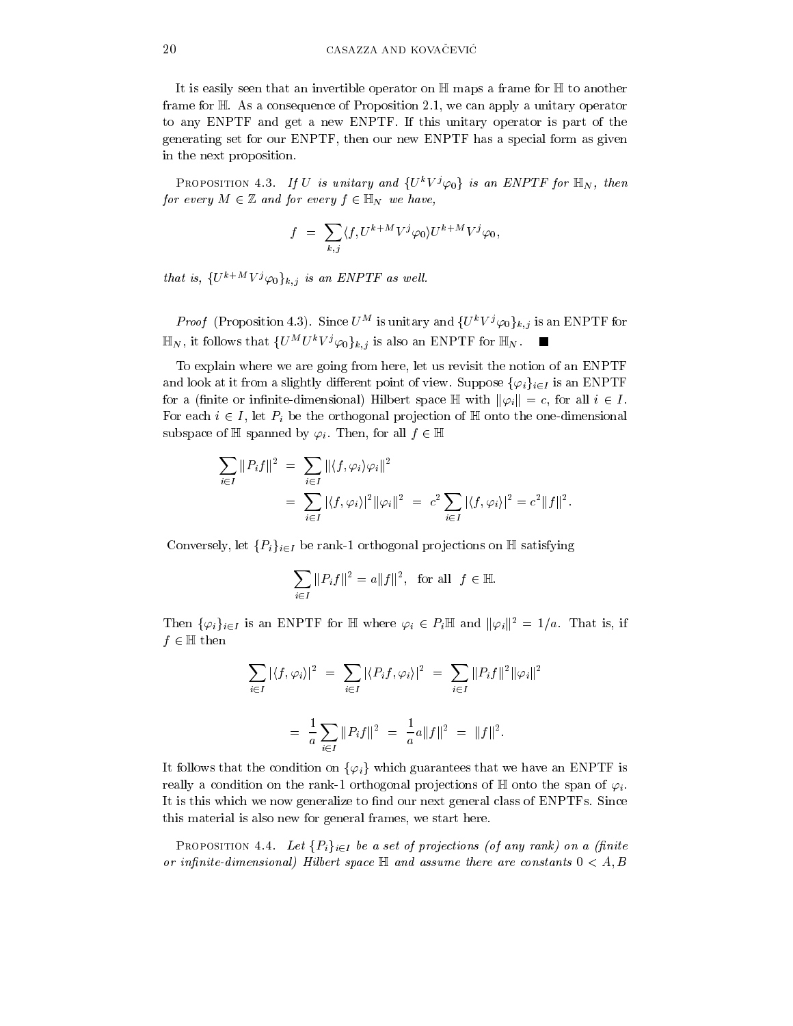It is easily seen that an invertible operator on  $\mathbb H$  maps a frame for  $\mathbb H$  to another frame for  $\mathbb{H}$ . As a consequence of Proposition 2.1, we can apply a unitary operator to any ENPTF and get a new ENPTF. If this unitary operator is part of the generating set for our ENPTF, then our new ENPTF has a special form as given in the next proposition.

**PROPOSITION 4.3.** If U is unitary and  $\{U^k V^j \varphi_0\}$  is an ENPTF for  $\mathbb{H}_N$ , then for every  $M \in \mathbb{Z}$  and for every  $f \in \mathbb{H}_N$  we have,

$$
f = \sum_{k,j} \langle f, U^{k+M} V^j \varphi_0 \rangle U^{k+M} V^j \varphi_0,
$$

that is,  $\{U^{k+M}V^j\varphi_0\}_{k,j}$  is an ENPTF as well.

*Proof* (Proposition 4.3). Since  $U^M$  is unitary and  $\{U^k V^j \varphi_0\}_{k,j}$  is an ENPTF for  $\mathbb{H}_N$ , it follows that  $\{U^M U^k V^j \varphi_0\}_{k,j}$  is also an ENPTF for  $\mathbb{H}_N$ .

To explain where we are going from here, let us revisit the notion of an ENPTF and look at it from a slightly different point of view. Suppose  $\{\varphi_i\}_{i\in I}$  is an ENPTF for a (finite or infinite-dimensional) Hilbert space  $\mathbb{H}$  with  $\|\varphi_i\|=c$ , for all  $i \in I$ . For each  $i \in I$ , let  $P_i$  be the orthogonal projection of  $\mathbb H$  onto the one-dimensional subspace of  $\mathbb H$  spanned by  $\varphi_i$ . Then, for all  $f \in \mathbb H$ 

$$
\sum_{i \in I} ||P_i f||^2 = \sum_{i \in I} ||\langle f, \varphi_i \rangle \varphi_i||^2
$$
  
= 
$$
\sum_{i \in I} |\langle f, \varphi_i \rangle|^2 ||\varphi_i||^2 = c^2 \sum_{i \in I} |\langle f, \varphi_i \rangle|^2 = c^2 ||f||^2.
$$

Conversely, let  $\{P_i\}_{i\in I}$  be rank-1 orthogonal projections on H satisfying

$$
\sum_{i\in I} ||P_i f||^2 = a||f||^2, \text{ for all } f \in \mathbb{H}
$$

Then  $\{\varphi_i\}_{i\in I}$  is an ENPTF for H where  $\varphi_i \in P_i$ H and  $\|\varphi_i\|^2 = 1/a$ . That is, if  $f \in \mathbb{H}$  then

$$
\sum_{i \in I} |\langle f, \varphi_i \rangle|^2 = \sum_{i \in I} |\langle P_i f, \varphi_i \rangle|^2 = \sum_{i \in I} ||P_i f||^2 ||\varphi_i||^2
$$
  
= 
$$
\frac{1}{a} \sum_{i \in I} ||P_i f||^2 = \frac{1}{a} a ||f||^2 = ||f||^2.
$$

It follows that the condition on  $\{\varphi_i\}$  which guarantees that we have an ENPTF is really a condition on the rank-1 orthogonal projections of  $\mathbb H$  onto the span of  $\varphi_i$ . It is this which we now generalize to find our next general class of ENPTFs. Since this material is also new for general frames, we start here.

**PROPOSITION** 4.4. Let  $\{P_i\}_{i\in I}$  be a set of projections (of any rank) on a (finite or infinite-dimensional) Hilbert space  $\mathbb H$  and assume there are constants  $0 < A, B$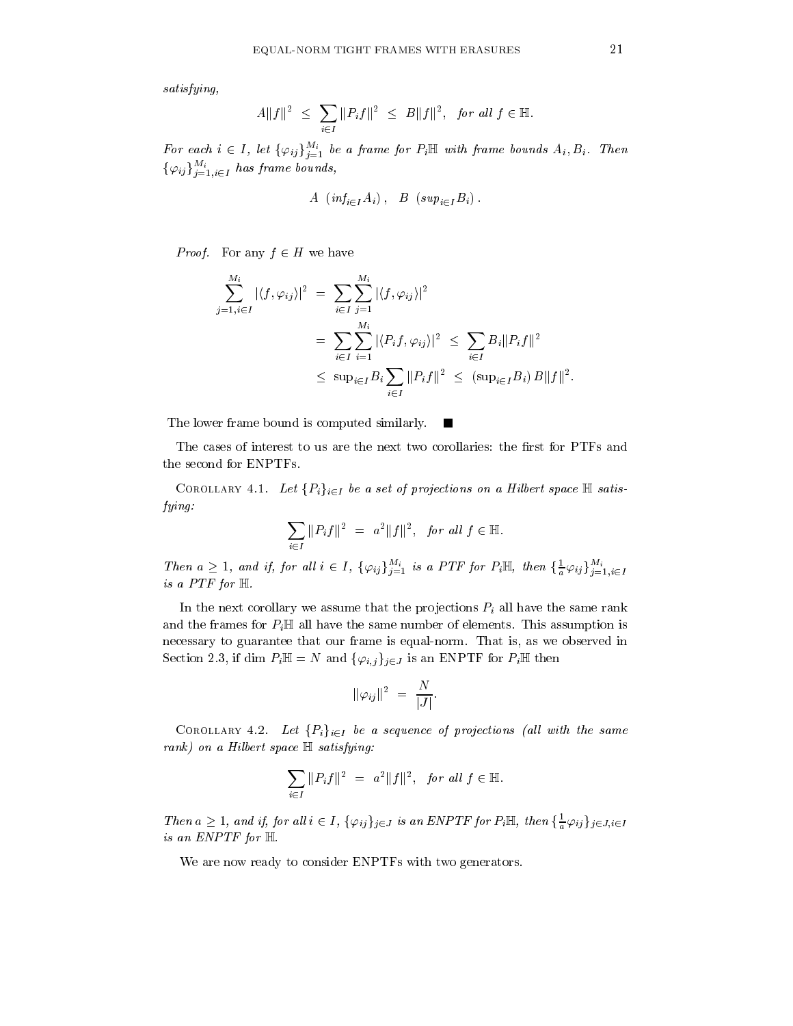$satisfying,$ 

$$
A||f||^2 \leq \sum_{i \in I} ||P_i f||^2 \leq B||f||^2, \text{ for all } f \in \mathbb{H}.
$$

For each  $i \in I$ , let  $\{\varphi_{ij}\}_{j=1}^{M_i}$  be a frame for  $P_i \mathbb{H}$  with frame bounds  $A_i, B_i$ . Then  $\{\varphi_{ij}\}_{j=1,i\in I}^{M_i}$  has frame bounds,

$$
A \ (inf_{i \in I} A_i), \ B \ (sup_{i \in I} B_i).
$$

*Proof.* For any  $f \in H$  we have

$$
\sum_{j=1, i \in I}^{M_i} |\langle f, \varphi_{ij} \rangle|^2 = \sum_{i \in I} \sum_{j=1}^{M_i} |\langle f, \varphi_{ij} \rangle|^2
$$
  
= 
$$
\sum_{i \in I} \sum_{i=1}^{M_i} |\langle P_i f, \varphi_{ij} \rangle|^2 \le \sum_{i \in I} B_i ||P_i f||^2
$$
  

$$
\le \sup_{i \in I} B_i \sum_{i \in I} ||P_i f||^2 \le (\sup_{i \in I} B_i) B ||f||^2
$$

The lower frame bound is computed similarly.  $\blacksquare$ 

The cases of interest to us are the next two corollaries: the first for PTFs and the second for ENPTFs.

COROLLARY 4.1. Let  $\{P_i\}_{i\in I}$  be a set of projections on a Hilbert space  $\mathbb H$  satisfying:

$$
\sum_{i \in I} ||P_i f||^2 = a^2 ||f||^2, \text{ for all } f \in \mathbb{H}.
$$

Then  $a \geq 1$ , and if, for all  $i \in I$ ,  $\{\varphi_{ij}\}_{j=1}^{M_i}$  is a PTF for  $P_i \mathbb{H}$ , then  $\{\frac{1}{a}\varphi_{ij}\}_{j=1, i \in I}^{M_i}$ is a  $PTF$  for  $H$ .

In the next corollary we assume that the projections  $P_i$  all have the same rank and the frames for  $P_i \mathbb{H}$  all have the same number of elements. This assumption is necessary to guarantee that our frame is equal-norm. That is, as we observed in Section 2.3, if dim  $P_i \mathbb{H} = N$  and  $\{\varphi_{i,j}\}_{j \in J}$  is an ENPTF for  $P_i \mathbb{H}$  then

$$
\|\varphi_{ij}\|^2 = \frac{N}{|J|}
$$

COROLLARY 4.2. Let  $\{P_i\}_{i\in I}$  be a sequence of projections (all with the same  $rank)$  on a Hilbert space  $\mathbb H$  satisfying:

$$
\sum_{i \in I} \|P_i f\|^2 = a^2 \|f\|^2, \text{ for all } f \in \mathbb{H}.
$$

Then  $a \geq 1$ , and if, for all  $i \in I$ ,  $\{\varphi_{ij}\}_{j \in J}$  is an ENPTF for  $P_i \mathbb{H}$ , then  $\{\frac{1}{a}\varphi_{ij}\}_{j \in J, i \in I}$ is an ENPTF for  $H$ .

We are now ready to consider ENPTFs with two generators.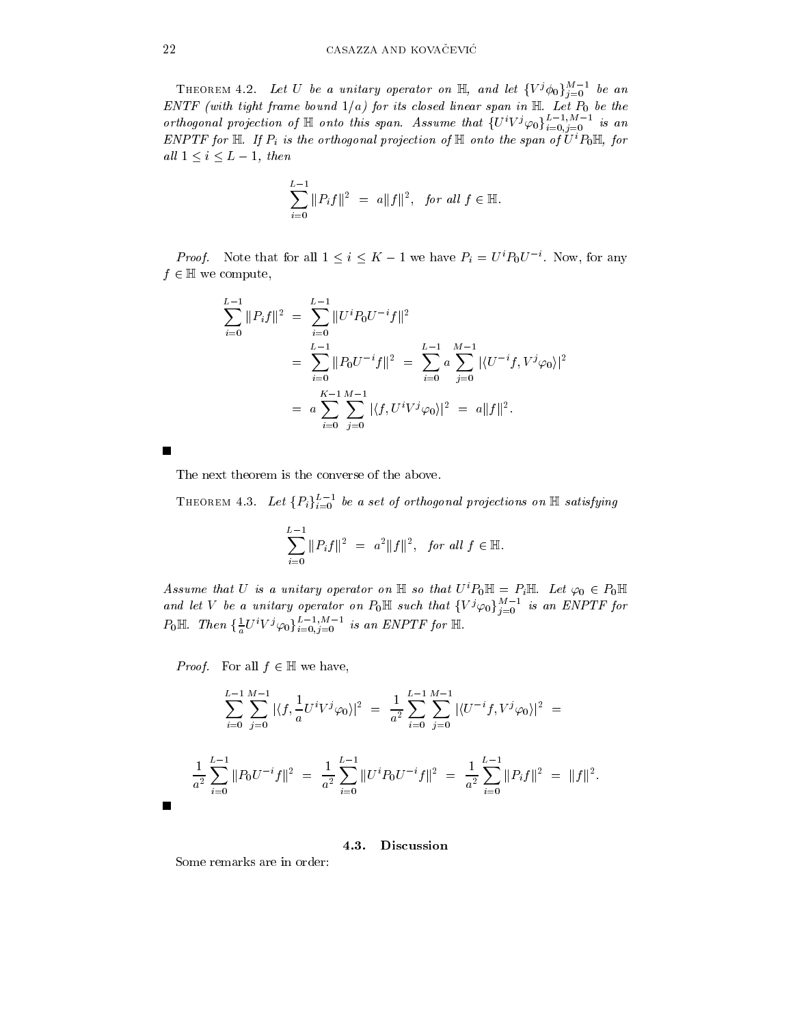THEOREM 4.2. Let U be a unitary operator on  $\mathbb{H}$ , and let  $\{V^j\phi_0\}_{j=0}^{M-1}$  be an ENTF (with tight frame bound  $1/a$ ) for its closed linear span in  $\mathbb{H}$ . Let  $P_0$  be the orthogonal projection of  $\mathbb H$  onto this span. Assume that  $\{U^i V^j \varphi_0\}_{i=0,j=0}^{L-1,M-1}$  is an ENPTF for  $\mathbb{H}$ . If  $P_i$  is the orthogonal projection of  $\mathbb{H}$  onto the span of  $U^i P_0 \mathbb{H}$ , for all  $1 \leq i \leq L-1$ , then

$$
\sum_{i=0}^{L-1} ||P_i f||^2 = a||f||^2, \text{ for all } f \in \mathbb{H}.
$$

*Proof.* Note that for all  $1 \leq i \leq K-1$  we have  $P_i = U^i P_0 U^{-i}$ . Now, for any  $f \in \mathbb{H}$  we compute,

$$
\sum_{i=0}^{L-1} ||P_i f||^2 = \sum_{i=0}^{L-1} ||U^i P_0 U^{-i} f||^2
$$
  
= 
$$
\sum_{i=0}^{L-1} ||P_0 U^{-i} f||^2 = \sum_{i=0}^{L-1} a \sum_{j=0}^{M-1} |\langle U^{-i} f, V^j \varphi_0 \rangle|^2
$$
  
= 
$$
a \sum_{i=0}^{K-1} \sum_{j=0}^{M-1} |\langle f, U^i V^j \varphi_0 \rangle|^2 = a ||f||^2.
$$

The next theorem is the converse of the above.

THEOREM 4.3. Let  $\{P_i\}_{i=0}^{L-1}$  be a set of orthogonal projections on  $\mathbb H$  satisfying

$$
\sum_{i=0}^{L-1} \|P_i f\|^2 = a^2 \|f\|^2, \text{ for all } f \in \mathbb{H}.
$$

Assume that U is a unitary operator on  $\mathbb H$  so that  $U^i P_0 \mathbb H = P_i \mathbb H$ . Let  $\varphi_0 \in P_0 \mathbb H$ and let V be a unitary operator on  $P_0 \mathbb{H}$  such that  $\{V^j \varphi_0\}_{j=0}^{M-1}$  is an ENPTF for<br>  $P_0 \mathbb{H}$ . Then  $\{\frac{1}{a}U^i V^j \varphi_0\}_{i=0,j=0}^{L-1,M-1}$  is an ENPTF for  $\mathbb{H}$ .

*Proof.* For all  $f \in \mathbb{H}$  we have,

$$
\sum_{i=0}^{L-1} \sum_{j=0}^{M-1} |\langle f, \frac{1}{a} U^i V^j \varphi_0 \rangle|^2 = \frac{1}{a^2} \sum_{i=0}^{L-1} \sum_{j=0}^{M-1} |\langle U^{-i} f, V^j \varphi_0 \rangle|^2 =
$$
  

$$
\frac{1}{a^2} \sum_{i=0}^{L-1} ||P_0 U^{-i} f||^2 = \frac{1}{a^2} \sum_{i=0}^{L-1} ||U^i P_0 U^{-i} f||^2 = \frac{1}{a^2} \sum_{i=0}^{L-1} ||P_i f||^2 = ||f||^2.
$$

### 4.3. Discussion

Some remarks are in order: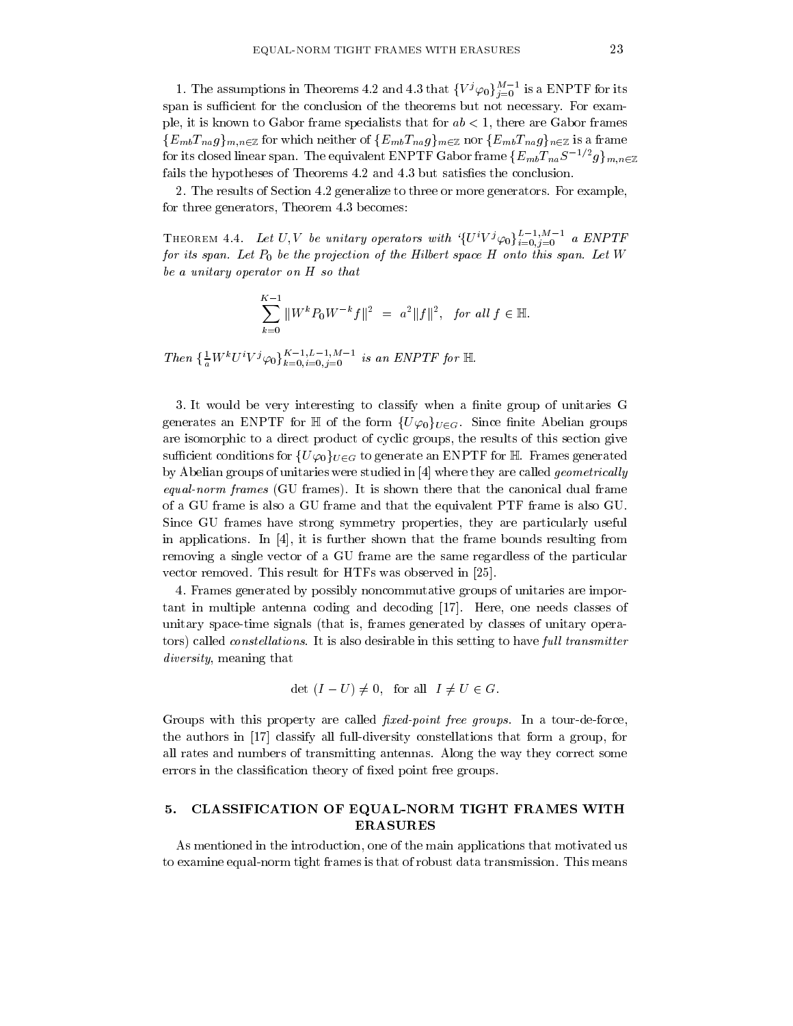1. The assumptions in Theorems 4.2 and 4.3 that  $\{V^j\varphi_0\}_{j=0}^{M-1}$  is a ENPTF for its span is sufficient for the conclusion of the theorems but not necessary. For example, it is known to Gabor frame specialists that for  $ab < 1$ , there are Gabor frames  $\{E_{mb}T_{na}g\}_{m,n\in\mathbb{Z}}$  for which neither of  $\{E_{mb}T_{na}g\}_{m\in\mathbb{Z}}$  nor  $\{E_{mb}T_{na}g\}_{n\in\mathbb{Z}}$  is a frame for its closed linear span. The equivalent ENPTF Gabor frame  $\{E_{mb}T_{na}S^{-1/2}g\}_{m,n\in\mathbb{Z}}$ fails the hypotheses of Theorems 4.2 and 4.3 but satisfies the conclusion.

2. The results of Section 4.2 generalize to three or more generators. For example, for three generators, Theorem 4.3 becomes:

THEOREM 4.4. Let U, V be unitary operators with  $\{U^i V^j \varphi_0\}_{i=0,j=0}^{L-1,M-1}$  a ENPTF for its span. Let  $P_0$  be the projection of the Hilbert space H onto this span. Let W be a unitary operator on H so that

$$
\sum_{k=0}^{K-1} ||W^k P_0 W^{-k} f||^2 = a^2 ||f||^2, \text{ for all } f \in \mathbb{H}.
$$

Then  $\{\frac{1}{a}W^kU^iV^j\varphi_0\}_{k=0,i=0,j=0}^{K-1,L-1,M-1}$  is an ENPTF for H.

3. It would be very interesting to classify when a finite group of unitaries G generates an ENPTF for  $\mathbb H$  of the form  $\{U\varphi_0\}_{U\in G}$ . Since finite Abelian groups are isomorphic to a direct product of cyclic groups, the results of this section give sufficient conditions for  ${U\varphi_0}_{U \in G}$  to generate an ENPTF for  $\mathbb H$  Frames generated by Abelian groups of unitaries were studied in [4] where they are called *geometrically* equal-norm frames (GU frames). It is shown there that the canonical dual frame of a GU frame is also a GU frame and that the equivalent PTF frame is also GU. Since GU frames have strong symmetry properties, they are particularly useful in applications. In [4], it is further shown that the frame bounds resulting from removing a single vector of a GU frame are the same regardless of the particular vector removed. This result for HTFs was observed in [25].

4. Frames generated by possibly noncommutative groups of unitaries are important in multiple antenna coding and decoding [17]. Here, one needs classes of unitary space-time signals (that is, frames generated by classes of unitary operators) called *constellations*. It is also desirable in this setting to have full transmitter *diversity*, meaning that

$$
\det (I - U) \neq 0, \text{ for all } I \neq U \in G.
$$

Groups with this property are called *fixed-point free groups*. In a tour-de-force, the authors in [17] classify all full-diversity constellations that form a group, for all rates and numbers of transmitting antennas. Along the way they correct some errors in the classification theory of fixed point free groups.

### CLASSIFICATION OF EQUAL-NORM TIGHT FRAMES WITH 5. **ERASURES**

As mentioned in the introduction, one of the main applications that motivated us to examine equal-norm tight frames is that of robust data transmission. This means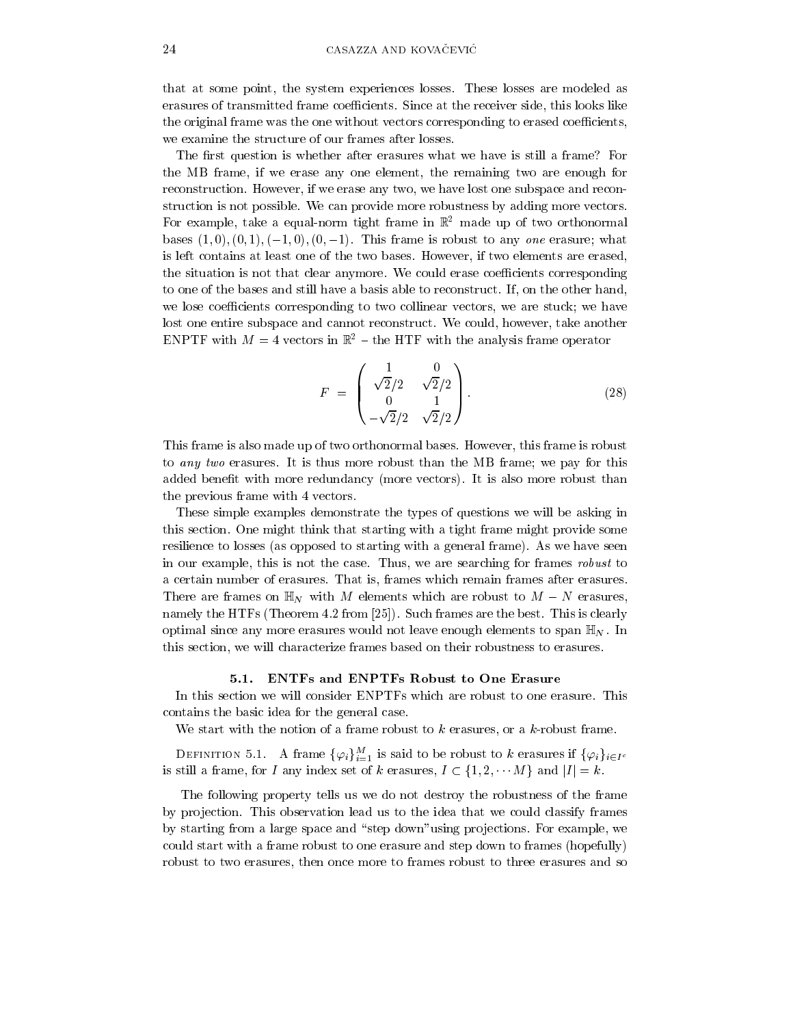that at some point, the system experiences losses. These losses are modeled as erasures of transmitted frame coefficients. Since at the receiver side, this looks like the original frame was the one without vectors corresponding to erased coefficients, we examine the structure of our frames after losses.

The first question is whether after erasures what we have is still a frame? For the MB frame, if we erase any one element, the remaining two are enough for reconstruction. However, if we erase any two, we have lost one subspace and reconstruction is not possible. We can provide more robustness by adding more vectors. For example, take a equal-norm tight frame in  $\mathbb{R}^2$  made up of two orthonormal bases  $(1,0), (0,1), (-1,0), (0,-1)$ . This frame is robust to any one erasure; what is left contains at least one of the two bases. However, if two elements are erased, the situation is not that clear anymore. We could erase coefficients corresponding to one of the bases and still have a basis able to reconstruct. If, on the other hand, we lose coefficients corresponding to two collinear vectors, we are stuck; we have lost one entire subspace and cannot reconstruct. We could, however, take another ENPTF with  $M = 4$  vectors in  $\mathbb{R}^2$  – the HTF with the analysis frame operator

$$
F = \begin{pmatrix} 1 & 0 \\ \sqrt{2}/2 & \sqrt{2}/2 \\ 0 & 1 \\ -\sqrt{2}/2 & \sqrt{2}/2 \end{pmatrix}.
$$
 (28)

This frame is also made up of two orthonormal bases. However, this frame is robust to any two erasures. It is thus more robust than the MB frame; we pay for this added benefit with more redundancy (more vectors). It is also more robust than the previous frame with 4 vectors.

These simple examples demonstrate the types of questions we will be asking in this section. One might think that starting with a tight frame might provide some resilience to losses (as opposed to starting with a general frame). As we have seen in our example, this is not the case. Thus, we are searching for frames robust to a certain number of erasures. That is, frames which remain frames after erasures. There are frames on  $\mathbb{H}_N$  with M elements which are robust to  $M - N$  erasures, namely the HTFs (Theorem 4.2 from [25]). Such frames are the best. This is clearly optimal since any more erasures would not leave enough elements to span  $\mathbb{H}_N$ . In this section, we will characterize frames based on their robustness to erasures.

## 5.1. ENTFs and ENPTFs Robust to One Erasure

In this section we will consider ENPTFs which are robust to one erasure. This contains the basic idea for the general case.

We start with the notion of a frame robust to  $k$  erasures, or a  $k$ -robust frame.

DEFINITION 5.1. A frame  $\{\varphi_i\}_{i=1}^M$  is said to be robust to k erasures if  $\{\varphi_i\}_{i\in I^c}$ is still a frame, for I any index set of k erasures,  $I \subset \{1, 2, \dots M\}$  and  $|I| = k$ .

The following property tells us we do not destroy the robustness of the frame by projection. This observation lead us to the idea that we could classify frames by starting from a large space and "step down" using projections. For example, we could start with a frame robust to one erasure and step down to frames (hopefully) robust to two erasures, then once more to frames robust to three erasures and so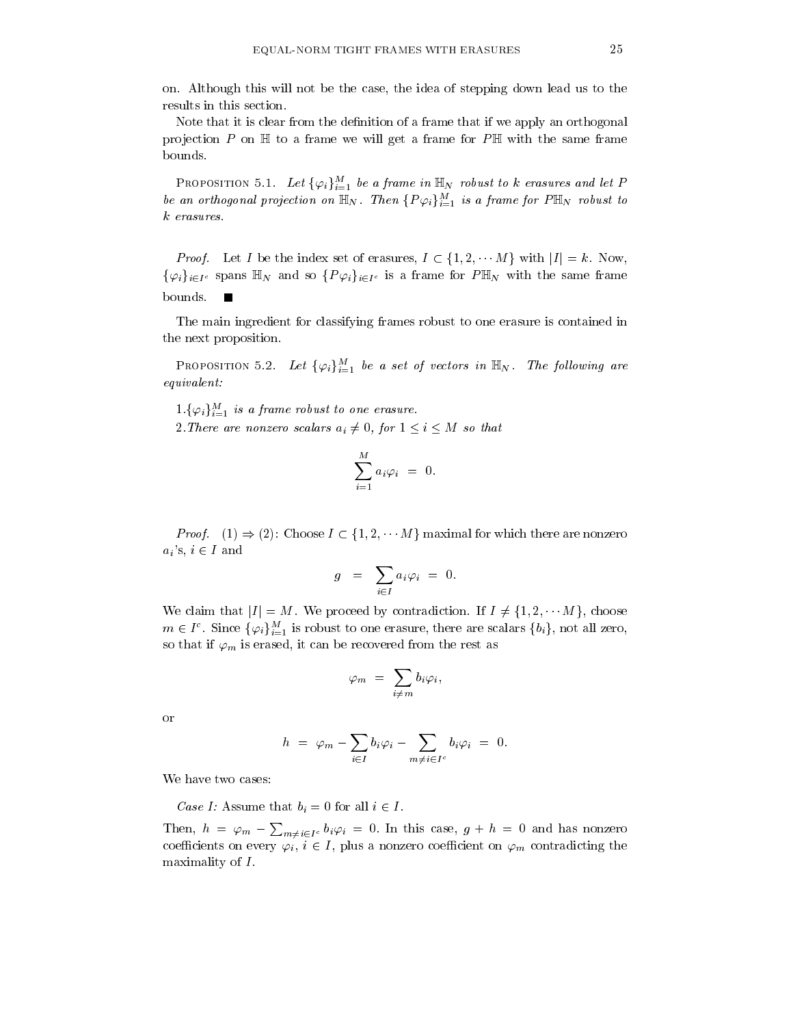on. Although this will not be the case, the idea of stepping down lead us to the results in this section.

Note that it is clear from the definition of a frame that if we apply an orthogonal projection P on  $\mathbb H$  to a frame we will get a frame for P $\mathbb H$  with the same frame bounds.

**PROPOSITION** 5.1. Let  $\{\varphi_i\}_{i=1}^M$  be a frame in  $\mathbb{H}_N$  robust to k erasures and let P be an orthogonal projection on  $\mathbb{H}_N$ . Then  $\{P\varphi_i\}_{i=1}^M$  is a frame for  $P\mathbb{H}_N$  robust to  $k$  erasures.

*Proof.* Let I be the index set of erasures,  $I \subset \{1, 2, \cdots M\}$  with  $|I| = k$ . Now,  $\{\varphi_i\}_{i\in I^c}$  spans  $\mathbb{H}_N$  and so  $\{P\varphi_i\}_{i\in I^c}$  is a frame for  $P\mathbb{H}_N$  with the same frame bounds.  $\blacksquare$ 

The main ingredient for classifying frames robust to one erasure is contained in the next proposition.

PROPOSITION 5.2. Let  $\{\varphi_i\}_{i=1}^M$  be a set of vectors in  $\mathbb{H}_N$ . The following are  $equivalent:$ 

 $1.\{\varphi_i\}_{i=1}^M$  is a frame robust to one erasure.

2. There are nonzero scalars  $a_i \neq 0$ , for  $1 \leq i \leq M$  so that

$$
\sum_{i=1}^{M} a_i \varphi_i = 0
$$

*Proof.* (1)  $\Rightarrow$  (2): Choose  $I \subset \{1, 2, \cdots M\}$  maximal for which there are nonzero  $a_i$ 's,  $i \in I$  and

$$
g = \sum_{i \in I} a_i \varphi_i = 0.
$$

We claim that  $|I| = M$ . We proceed by contradiction. If  $I \neq \{1, 2, \dots M\}$ , choose  $m \in I^c$ . Since  $\{\varphi_i\}_{i=1}^M$  is robust to one erasure, there are scalars  $\{b_i\}$ , not all zero, so that if  $\varphi_m$  is erased, it can be recovered from the rest as

$$
\varphi_m \,\,=\,\, \sum_{i\neq\, m} b_i \varphi_i,
$$

<sub>or</sub>

$$
h \ = \ \varphi_m \, - \sum_{i \in I} b_i \varphi_i \, - \sum_{m \neq i \in I^c} b_i \varphi_i \ = \ 0.
$$

We have two cases:

Case I: Assume that  $b_i = 0$  for all  $i \in I$ .

Then,  $h = \varphi_m - \sum_{m \neq i \in I^c} b_i \varphi_i = 0$ . In this case,  $g + h = 0$  and has nonzero coefficients on every  $\varphi_i, i \in I$ , plus a nonzero coefficient on  $\varphi_m$  contradicting the maximality of  $I$ .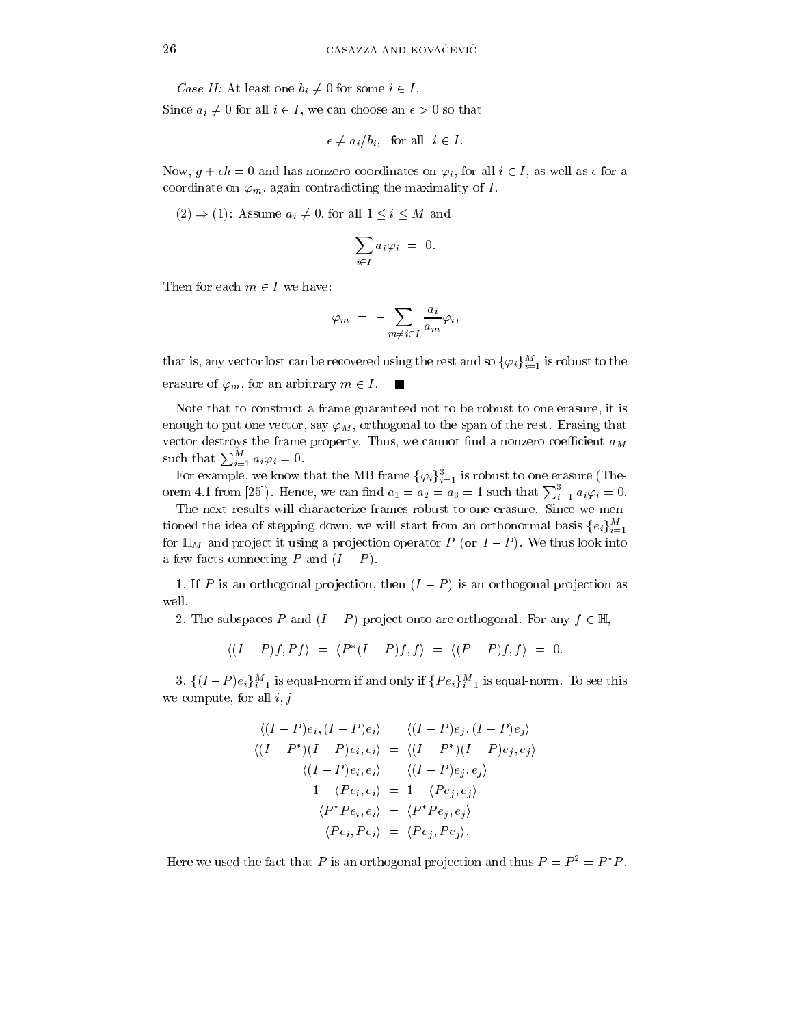Case II: At least one  $b_i \neq 0$  for some  $i \in I$ .

Since  $a_i \neq 0$  for all  $i \in I$ , we can choose an  $\epsilon > 0$  so that

$$
\epsilon \neq a_i/b_i
$$
, for all  $i \in I$ .

Now,  $g + \epsilon h = 0$  and has nonzero coordinates on  $\varphi_i$ , for all  $i \in I$ , as well as  $\epsilon$  for a coordinate on  $\varphi_m$ , again contradicting the maximality of I.

 $(2) \Rightarrow (1)$ : Assume  $a_i \neq 0$ , for all  $1 \leq i \leq M$  and

$$
\sum_{i\in I} a_i\varphi_i = 0
$$

Then for each  $m \in I$  we have:

$$
\varphi_m = -\sum_{m \neq i \in I} \frac{a_i}{a_m} \varphi_i,
$$

that is, any vector lost can be recovered using the rest and so  $\{\varphi_i\}_{i=1}^M$  is robust to the erasure of  $\varphi_m$ , for an arbitrary  $m \in I$ . ш

Note that to construct a frame guaranteed not to be robust to one erasure, it is enough to put one vector, say  $\varphi_M$ , orthogonal to the span of the rest. Erasing that vector destroys the frame property. Thus, we cannot find a nonzero coefficient  $a_M$ such that  $\sum_{i=1}^M a_i \varphi_i = 0$ .

For example, we know that the MB frame  $\{\varphi_i\}_{i=1}^3$  is robust to one erasure (Theorem 4.1 from [25]). Hence, we can find  $a_1 = a_2 = a_3 = 1$  such that  $\sum_{i=1}^{3} a_i \varphi_i = 0$ .

The next results will characterize frames robust to one erasure. Since we mentioned the idea of stepping down, we will start from an orthonormal basis  $\{e_i\}_{i=1}^M$ for  $\mathbb{H}_M$  and project it using a projection operator P (or  $I-P$ ). We thus look into a few facts connecting P and  $(I - P)$ .

1. If P is an orthogonal projection, then  $(I - P)$  is an orthogonal projection as well.

2. The subspaces P and  $(I - P)$  project onto are orthogonal. For any  $f \in \mathbb{H}$ ,

$$
\langle (I - P)f, Pf \rangle = \langle P^*(I - P)f, f \rangle = \langle (P - P)f, f \rangle = 0
$$

3.  $\{(I-P)e_i\}_{i=1}^M$  is equal-norm if and only if  $\{Pe_i\}_{i=1}^M$  is equal-norm. To see this we compute, for all  $i, j$ 

$$
\langle (I - P)e_i, (I - P)e_i \rangle = \langle (I - P)e_j, (I - P)e_j \rangle
$$

$$
\langle (I - P^*)(I - P)e_i, e_i \rangle = \langle (I - P^*)(I - P)e_j, e_j \rangle
$$

$$
\langle (I - P)e_i, e_i \rangle = \langle (I - P)e_j, e_j \rangle
$$

$$
1 - \langle Pe_i, e_i \rangle = 1 - \langle Pe_j, e_j \rangle
$$

$$
\langle P^*Pe_i, e_i \rangle = \langle P^*Pe_j, e_j \rangle
$$

$$
\langle Pe_i, Pe_i \rangle = \langle Pe_j, Pe_j \rangle.
$$

Here we used the fact that P is an orthogonal projection and thus  $P = P^2 = P^*P$ .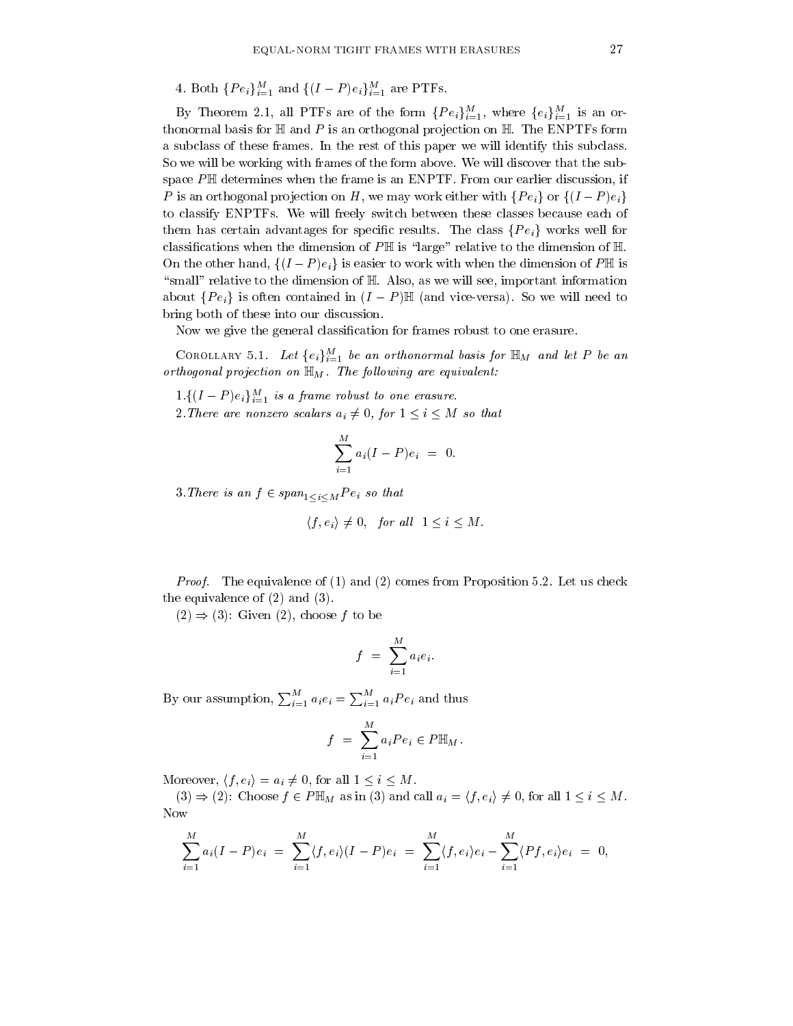4. Both  $\{Pe_i\}_{i=1}^M$  and  $\{(I-P)e_i\}_{i=1}^M$  are PTFs.

By Theorem 2.1, all PTFs are of the form  $\{Pe_i\}_{i=1}^M$ , where  $\{e_i\}_{i=1}^M$  is an orthonormal basis for  $\mathbb H$  and P is an orthogonal projection on  $\mathbb H$  The ENPTFs form a subclass of these frames. In the rest of this paper we will identify this subclass. So we will be working with frames of the form above. We will discover that the subspace  $P \mathbb{H}$  determines when the frame is an ENPTF. From our earlier discussion, if P is an orthogonal projection on H, we may work either with  $\{Pe_i\}$  or  $\{(I-P)e_i\}$ to classify ENPTFs. We will freely switch between these classes because each of them has certain advantages for specific results. The class  $\{Pe_i\}$  works well for classifications when the dimension of  $P \mathbb{H}$  is "large" relative to the dimension of  $\mathbb{H}$ . On the other hand,  $\{(I-P)e_i\}$  is easier to work with when the dimension of P\m is "small" relative to the dimension of H. Also, as we will see, important information about  $\{Pe_i\}$  is often contained in  $(I - P)\mathbb{H}$  (and vice-versa). So we will need to bring both of these into our discussion.

Now we give the general classification for frames robust to one erasure.

COROLLARY 5.1. Let  $\{e_i\}_{i=1}^M$  be an orthonormal basis for  $\mathbb{H}_M$  and let P be an orthogonal projection on  $\mathbb{H}_M$  . The following are equivalent:

 $1.\{(I-P)e_i\}_{i=1}^M$  is a frame robust to one erasure.

2. There are nonzero scalars  $a_i \neq 0$ , for  $1 \leq i \leq M$  so that

$$
\sum_{i=1}^M a_i (I - P) e_i = 0.
$$

3. There is an  $f \in span_{1 \leq i \leq M} Pe_i$  so that

$$
\langle f, e_i \rangle \neq 0
$$
, for all  $1 \leq i \leq M$ .

*Proof.* The equivalence of (1) and (2) comes from Proposition 5.2. Let us check the equivalence of  $(2)$  and  $(3)$ .

 $(2) \Rightarrow (3)$ : Given  $(2)$ , choose f to be

$$
f = \sum_{i=1}^{M} a_i e_i.
$$

By our assumption,  $\sum_{i=1}^{M} a_i e_i = \sum_{i=1}^{M} a_i Pe_i$  and thus

$$
f = \sum_{i=1}^{M} a_i Pe_i \in P\mathbb{H}_M
$$

Moreover,  $\langle f, e_i \rangle = a_i \neq 0$ , for all  $1 \leq i \leq M$ .

 $(3) \Rightarrow (2)$ : Choose  $f \in P \mathbb{H}_M$  as in (3) and call  $a_i = \langle f, e_i \rangle \neq 0$ , for all  $1 \leq i \leq M$ . Now

$$
\sum_{i=1}^{M} a_i (I - P) e_i = \sum_{i=1}^{M} \langle f, e_i \rangle (I - P) e_i = \sum_{i=1}^{M} \langle f, e_i \rangle e_i - \sum_{i=1}^{M} \langle Pf, e_i \rangle e_i = 0,
$$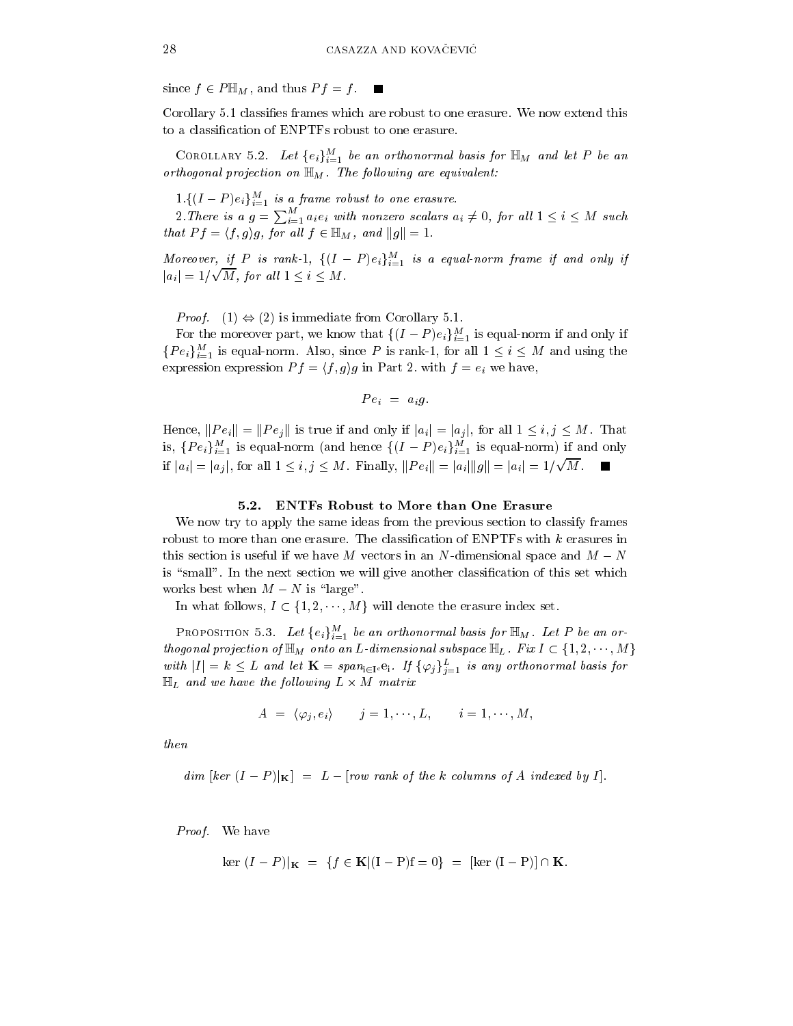since  $f \in P \mathbb{H}_M$ , and thus  $Pf = f$ .  $\blacksquare$ 

Corollary 5.1 classifies frames which are robust to one erasure. We now extend this to a classification of ENPTFs robust to one erasure.

COROLLARY 5.2. Let  $\{e_i\}_{i=1}^M$  be an orthonormal basis for  $\mathbb{H}_M$  and let P be an orthogonal projection on  $\mathbb{H}_M$ . The following are equivalent:

 $1.\{(I-P)e_i\}_{i=1}^M$  is a frame robust to one erasure.

2. There is a  $g = \sum_{i=1}^{M} a_i e_i$  with nonzero scalars  $a_i \neq 0$ , for all  $1 \leq i \leq M$  such that  $Pf = \langle f, g \rangle g$ , for all  $f \in \mathbb{H}_M$ , and  $||g|| = 1$ .

Moreover, if P is rank-1,  $\{(I-P)e_i\}_{i=1}^M$  is a equal-norm frame if and only if  $|a_i| = 1/\sqrt{M}$ , for all  $1 \leq i \leq M$ .

*Proof.* (1)  $\Leftrightarrow$  (2) is immediate from Corollary 5.1.

For the moreover part, we know that  $\{(I-P)e_i\}_{i=1}^M$  is equal-norm if and only if  ${Pe<sub>i</sub>}_{i=1}^M$  is equal-norm. Also, since P is rank-1, for all  $1 \le i \le M$  and using the expression expression  $Pf = \langle f, g \rangle g$  in Part 2. with  $f = e_i$  we have,

$$
Pe_i = a_i g.
$$

Hence,  $||Pe_i|| = ||Pe_j||$  is true if and only if  $|a_i| = |a_j|$ , for all  $1 \le i, j \le M$ . That is,  $\{Pe_i\}_{i=1}^M$  is equal-norm (and hence  $\{(I-P)e_i\}_{i=1}^M$  is equal-norm) if and only if  $|a_i| = |a_j|$ , for all  $1 \le i, j \le M$ . Finally,  $||Pe_i|| = |a_i|| ||g|| = |a_i|| = 1/\sqrt{M}$ .

## 5.2. ENTFs Robust to More than One Erasure

We now try to apply the same ideas from the previous section to classify frames robust to more than one erasure. The classification of ENPTFs with  $k$  erasures in this section is useful if we have M vectors in an N-dimensional space and  $M - N$ is "small". In the next section we will give another classification of this set which works best when  $M - N$  is "large".

In what follows,  $I \subset \{1, 2, \dots, M\}$  will denote the erasure index set.

**PROPOSITION** 5.3. Let  $\{e_i\}_{i=1}^M$  be an orthonormal basis for  $\mathbb{H}_M$ . Let P be an orthogonal projection of  $\mathbb{H}_M$  onto an L-dimensional subspace  $\mathbb{H}_L$ . Fix  $I \subset \{1,2,\cdots,M\}$ with  $|I| = k \leq L$  and let  $\mathbf{K} = span_{i \in I^c} e_i$ . If  $\{\varphi_j\}_{j=1}^L$  is any orthonormal basis for  $\mathbb{H}_L$  and we have the following  $L \times M$  matrix

$$
A = \langle \varphi_j, e_i \rangle \qquad j = 1, \dots, L, \qquad i = 1, \dots, M,
$$

then

$$
dim [ker (I - P)|K] = L - [row rank of the k columns of A indexed by I].
$$

*Proof.* We have

$$
\ker (I - P)|_{\mathbf{K}} = \{ f \in \mathbf{K} | (I - P)f = 0 \} = [\ker (I - P)] \cap \mathbf{K}
$$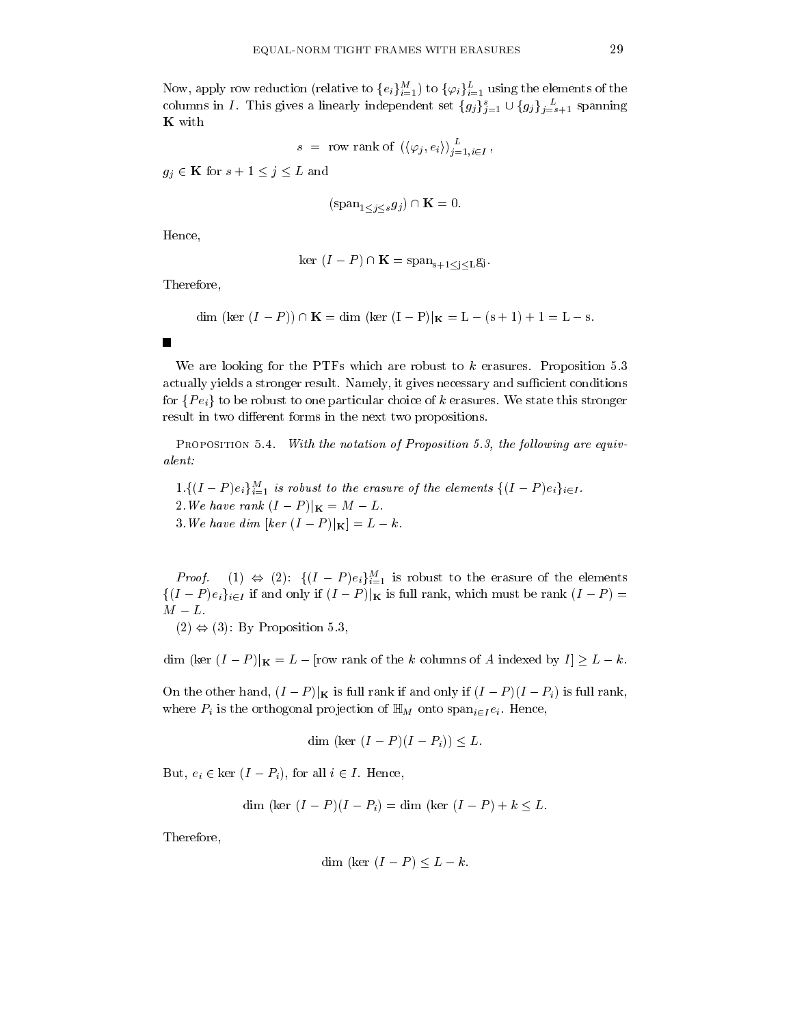Now, apply row reduction (relative to  $\{e_i\}_{i=1}^M$ ) to  $\{\varphi_i\}_{i=1}^L$  using the elements of the columns in *I*. This gives a linearly independent set  $\{g_j\}_{j=1}^s \cup \{g_j\}_{j=s+1}^L$  spanning K with

$$
s = \text{row rank of } \left( \langle \varphi_j, e_i \rangle \right)_{j=1, i \in I}^{L}
$$

 $g_j \in \mathbf{K}$  for  $s+1 \leq j \leq L$  and

$$
(\operatorname{span}_{1 \le i \le s} g_j) \cap \mathbf{K} = 0.
$$

Hence,

п

$$
\ker (I - P) \cap \mathbf{K} = \text{span}_{s+1 \le i \le L} g_i.
$$

Therefore,

dim (ker 
$$
(I - P)
$$
)  $\cap$  **K** = dim (ker  $(I - P)|K = L - (s + 1) + 1 = L - s$ 

We are looking for the PTFs which are robust to  $k$  erasures. Proposition 5.3 actually yields a stronger result. Namely, it gives necessary and sufficient conditions for  $\{Pe_i\}$  to be robust to one particular choice of k erasures. We state this stronger result in two different forms in the next two propositions.

PROPOSITION 5.4. With the notation of Proposition 5.3, the following are equivalent:

 $1.\{(I-P)e_i\}_{i=1}^M$  is robust to the erasure of the elements  $\{(I-P)e_i\}_{i\in I}$ . 2. We have rank  $(I - P)|_{\mathbf{K}} = M - L$ . 3. We have dim [ker  $(I - P)|_{\mathbf{K}} = L - k$ .

*Proof.* (1)  $\Leftrightarrow$  (2):  $\{(I-P)e_i\}_{i=1}^M$  is robust to the erasure of the elements  $\{(I-P)e_i\}_{i\in I}$  if and only if  $(I-P)|_K$  is full rank, which must be rank  $(I-P)$  =  $M-L$ .

 $(2) \Leftrightarrow (3)$ : By Proposition 5.3,

dim (ker  $(I - P)|_{\mathbf{K}} = L -$  [row rank of the k columns of A indexed by  $I] \geq L - k$ .

On the other hand,  $(I - P)|_{\mathbf{K}}$  is full rank if and only if  $(I - P)(I - P_i)$  is full rank, where  $P_i$  is the orthogonal projection of  $\mathbb{H}_M$  onto  $\text{span}_{i\in I}e_i$ . Hence,

$$
\dim (\ker (I - P)(I - P_i)) \leq L.
$$

But,  $e_i \in \text{ker } (I - P_i)$ , for all  $i \in I$ . Hence,

$$
\dim (\ker (I - P)(I - P_i) = \dim (\ker (I - P) + k < L)
$$

Therefore,

dim (ker 
$$
(I - P) \leq L - k
$$
.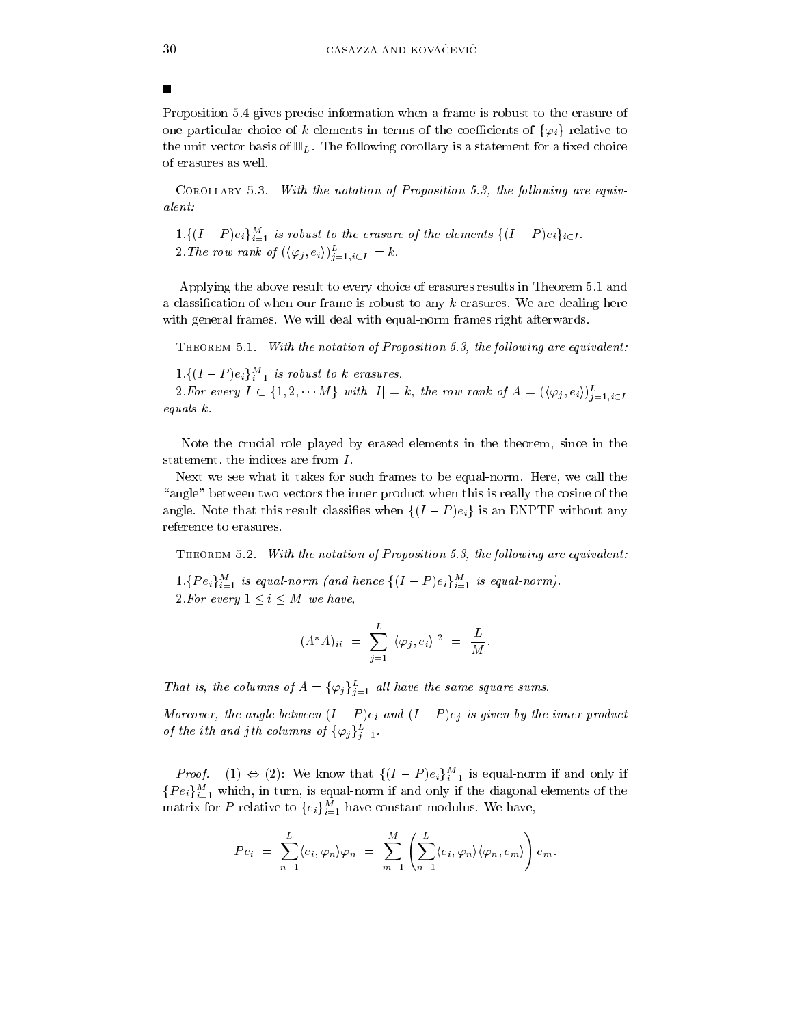Proposition 5.4 gives precise information when a frame is robust to the erasure of one particular choice of k elements in terms of the coefficients of  $\{\varphi_i\}$  relative to the unit vector basis of  $\mathbb{H}_L$ . The following corollary is a statement for a fixed choice of erasures as well.

COROLLARY 5.3. With the notation of Proposition 5.3, the following are equivalent:

 $1.\{(I-P)e_i\}_{i=1}^M$  is robust to the erasure of the elements  $\{(I-P)e_i\}_{i\in I}$ . 2. The row rank of  $(\langle \varphi_j, e_i \rangle)_{j=1, i \in I}^L = k$ .

Applying the above result to every choice of erasures results in Theorem 5.1 and a classification of when our frame is robust to any  $k$  erasures. We are dealing here with general frames. We will deal with equal-norm frames right afterwards.

THEOREM 5.1. With the notation of Proposition 5.3, the following are equivalent:

 $1.\{(I-P)e_i\}_{i=1}^M$  is robust to k erasures.

2. For every  $I \subset \{1, 2, \cdots M\}$  with  $|I| = k$ , the row rank of  $A = (\langle \varphi_j, e_i \rangle)_{i=1, i \in I}^L$ equals  $k$ .

Note the crucial role played by erased elements in the theorem, since in the statement, the indices are from  $I$ .

Next we see what it takes for such frames to be equal-norm. Here, we call the "angle" between two vectors the inner product when this is really the cosine of the angle. Note that this result classifies when  $\{(I-P)e_i\}$  is an ENPTF without any reference to erasures.

THEOREM 5.2. With the notation of Proposition 5.3, the following are equivalent:

 $1.\{Pe_i\}_{i=1}^M$  is equal-norm (and hence  $\{(I-P)e_i\}_{i=1}^M$  is equal-norm). 2. For every  $1 \leq i \leq M$  we have,

$$
(A^*A)_{ii} = \sum_{j=1}^{L} |\langle \varphi_j, e_i \rangle|^2 = \frac{L}{M}
$$

That is, the columns of  $A = {\{\varphi_j\}}_{j=1}^L$  all have the same square sums.

Moreover, the angle between  $(I - P)e_i$  and  $(I - P)e_j$  is given by the inner product of the ith and jth columns of  $\{\varphi_j\}_{j=1}^L$ .

*Proof.* (1)  $\Leftrightarrow$  (2): We know that  $\{(I-P)e_i\}_{i=1}^M$  is equal-norm if and only if  $\{Pe_i\}_{i=1}^M$  which, in turn, is equal-norm if and only if the diagonal elements of the matrix for P relative to  ${e_i}_{i=1}^M$  have constant modulus. We have,

$$
Pe_i = \sum_{n=1}^{L} \langle e_i, \varphi_n \rangle \varphi_n = \sum_{m=1}^{M} \left( \sum_{n=1}^{L} \langle e_i, \varphi_n \rangle \langle \varphi_n, e_m \rangle \right) e_m.
$$

П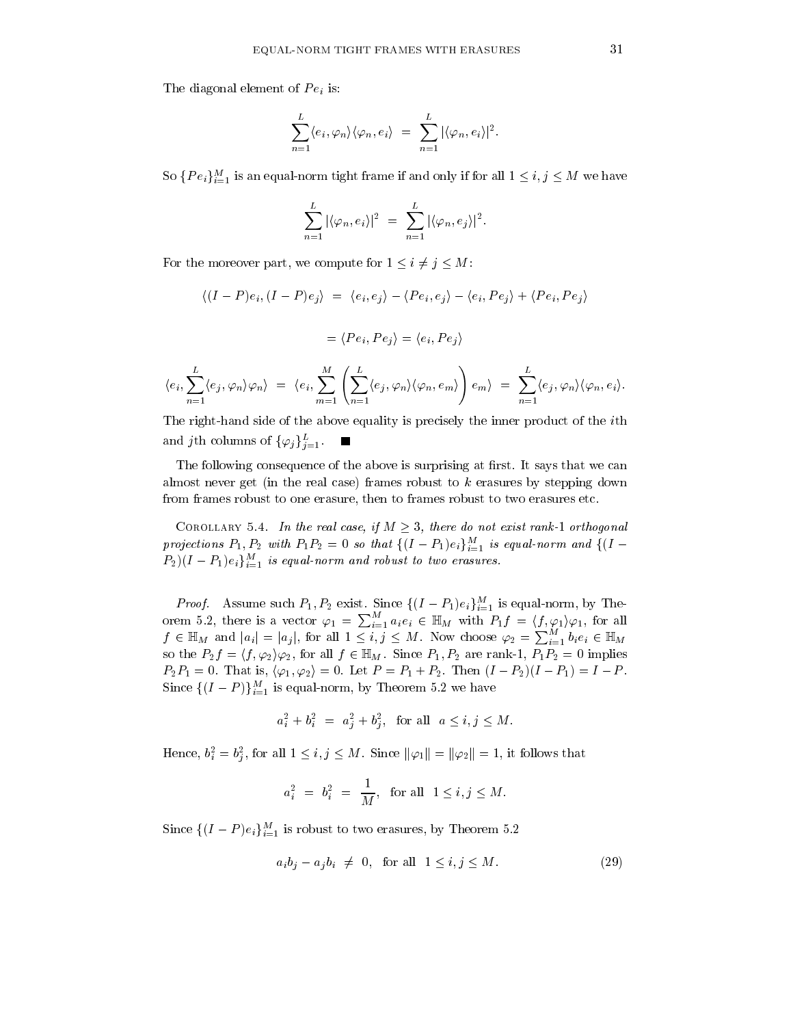The diagonal element of  $Pe<sub>i</sub>$  is:

$$
\sum_{n=1}^{L} \langle e_i, \varphi_n \rangle \langle \varphi_n, e_i \rangle = \sum_{n=1}^{L} |\langle \varphi_n, e_i \rangle|^2.
$$

So  $\{Pe_i\}_{i=1}^M$  is an equal-norm tight frame if and only if for all  $1 \leq i, j \leq M$  we have

$$
\sum_{n=1}^{L} |\langle \varphi_n, e_i \rangle|^2 = \sum_{n=1}^{L} |\langle \varphi_n, e_j \rangle|^2.
$$

For the moreover part, we compute for  $1 \leq i \neq j \leq M$ :

$$
\langle (I - P)e_i, (I - P)e_j \rangle = \langle e_i, e_j \rangle - \langle Pe_i, e_j \rangle - \langle e_i, Pe_j \rangle + \langle Pe_i, Pe_j \rangle
$$

$$
= \langle Pe_i, Pe_j \rangle = \langle e_i, Pe_j \rangle
$$

$$
\langle e_i, \sum_{n=1}^L \langle e_j, \varphi_n \rangle \varphi_n \rangle = \langle e_i, \sum_{m=1}^M \left( \sum_{n=1}^L \langle e_j, \varphi_n \rangle \langle \varphi_n, e_m \rangle \right) e_m \rangle = \sum_{n=1}^L \langle e_j, \varphi_n \rangle \langle \varphi_n, e_i \rangle.
$$

The right-hand side of the above equality is precisely the inner product of the *i*th and jth columns of  $\{\varphi_j\}_{j=1}^L$ .

The following consequence of the above is surprising at first. It says that we can almost never get (in the real case) frames robust to  $k$  erasures by stepping down from frames robust to one erasure, then to frames robust to two erasures etc.

COROLLARY 5.4. In the real case, if  $M \geq 3$ , there do not exist rank-1 orthogonal projections  $P_1, P_2$  with  $P_1P_2 = 0$  so that  $\{(I - P_1)e_i\}_{i=1}^M$  is equal-norm and  $\{(I - P_1)e_i\}_{i=1}^M$  $(P_2)(I-P_1)e_i\}_{i=1}^M$  is equal-norm and robust to two erasures.

*Proof.* Assume such  $P_1, P_2$  exist. Since  $\{(I - P_1)e_i\}_{i=1}^M$  is equal-norm, by Theorder 5.2, there is a vector  $\varphi_1 = \sum_{i=1}^M a_i e_i \in \mathbb{H}_M$  with  $P_1 f = \langle f, \varphi_1 \rangle \varphi_1$ , for all  $f \in \mathbb{H}_M$  and  $|a_i| = |a_j|$ , for all  $1 \le i, j \le M$ . Now choose  $\varphi_2 = \sum_{i=1}^M b_i e_i \in \mathbb{H}_M$ so the  $P_2 f = \langle f, \varphi_2 \rangle \varphi_2$ , for all  $f \in \mathbb{H}_M$ . Since  $P_1, P_2$  are rank-1,  $P_1 P_2 = 0$  implies  $P_2P_1 = 0$ . That is,  $\langle \varphi_1, \varphi_2 \rangle = 0$ . Let  $P = P_1 + P_2$ . Then  $(I - P_2)(I - P_1) = I - P$ . Since  $\{(I-P)\}_{i=1}^M$  is equal-norm, by Theorem 5.2 we have

$$
a_i^2 + b_i^2 = a_j^2 + b_j^2
$$
, for all  $a \le i, j \le M$ .

Hence,  $b_i^2 = b_i^2$ , for all  $1 \le i, j \le M$ . Since  $\|\varphi_1\| = \|\varphi_2\| = 1$ , it follows that

$$
a_i^2 = b_i^2 = \frac{1}{M}
$$
, for all  $1 \le i, j \le M$ 

Since  $\{(I-P)e_i\}_{i=1}^M$  is robust to two erasures, by Theorem 5.2

$$
a_i b_j - a_j b_i \neq 0, \text{ for all } 1 \le i, j \le M. \tag{29}
$$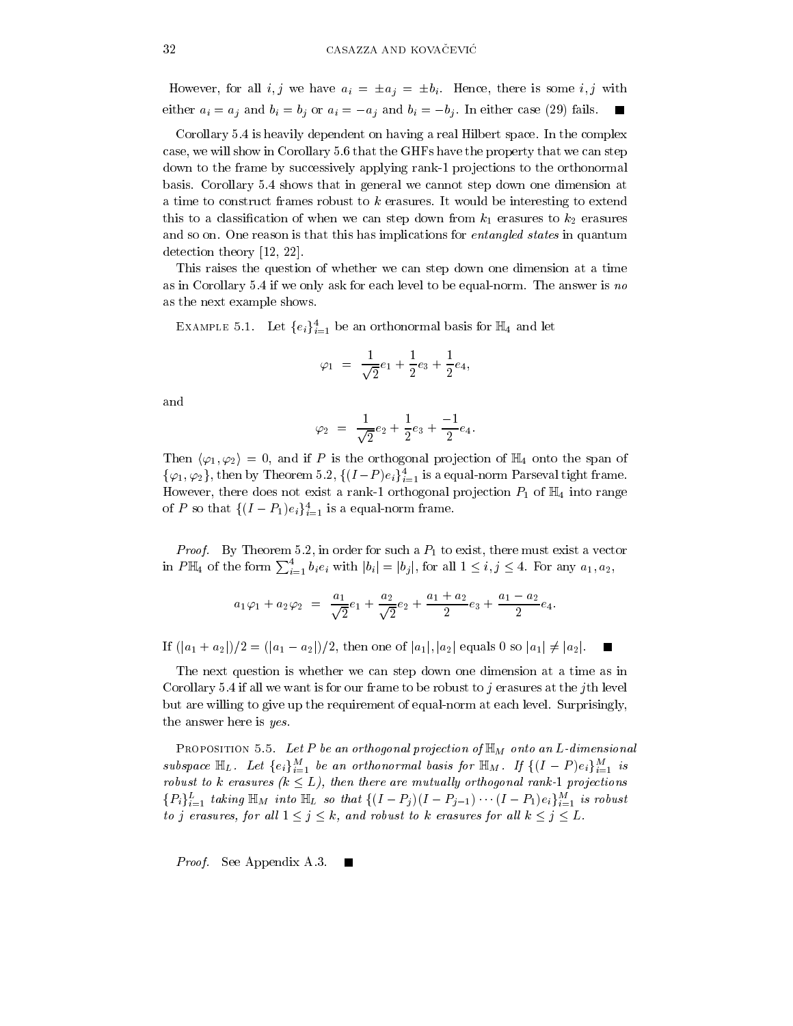However, for all i, j we have  $a_i = \pm a_j = \pm b_i$ . Hence, there is some i, j with either  $a_i = a_j$  and  $b_i = b_j$  or  $a_i = -a_j$  and  $b_i = -b_j$ . In either case (29) fails.

Corollary 5.4 is heavily dependent on having a real Hilbert space. In the complex case, we will show in Corollary 5.6 that the GHFs have the property that we can step down to the frame by successively applying rank-1 projections to the orthonormal basis. Corollary 5.4 shows that in general we cannot step down one dimension at a time to construct frames robust to k erasures. It would be interesting to extend this to a classification of when we can step down from  $k_1$  erasures to  $k_2$  erasures and so on. One reason is that this has implications for *entangled states* in quantum detection theory  $[12, 22]$ .

This raises the question of whether we can step down one dimension at a time as in Corollary 5.4 if we only ask for each level to be equal-norm. The answer is no as the next example shows.

EXAMPLE 5.1. Let  ${e_i}_{i=1}^4$  be an orthonormal basis for  $\mathbb{H}_4$  and let

$$
\varphi_1 = \frac{1}{\sqrt{2}}e_1 + \frac{1}{2}e_3 + \frac{1}{2}e_4,
$$

and

$$
\varphi_2 = \frac{1}{\sqrt{2}}e_2 + \frac{1}{2}e_3 + \frac{-1}{2}e_4
$$

Then  $\langle \varphi_1, \varphi_2 \rangle = 0$ , and if P is the orthogonal projection of  $\mathbb{H}_4$  onto the span of  $\{\varphi_1,\varphi_2\}$ , then by Theorem 5.2,  $\{(I-P)e_i\}_{i=1}^4$  is a equal-norm Parseval tight frame. However, there does not exist a rank-1 orthogonal projection  $P_1$  of  $\mathbb{H}_4$  into range of P so that  $\{(I-P_1)e_i\}_{i=1}^4$  is a equal-norm frame.

*Proof.* By Theorem 5.2, in order for such a  $P_1$  to exist, there must exist a vector in  $P\mathbb{H}_4$  of the form  $\sum_{i=1}^4 b_i e_i$  with  $|b_i|=|b_j|$ , for all  $1\leq i,j\leq 4$ . For any  $a_1,a_2$ ,

$$
a_1\varphi_1 + a_2\varphi_2 = \frac{a_1}{\sqrt{2}}e_1 + \frac{a_2}{\sqrt{2}}e_2 + \frac{a_1 + a_2}{2}e_3 + \frac{a_1 - a_2}{2}e_4
$$

If  $(|a_1 + a_2|)/2 = (|a_1 - a_2|)/2$ , then one of  $|a_1|, |a_2|$  equals 0 so  $|a_1| \neq |a_2|$ .

The next question is whether we can step down one dimension at a time as in Corollary 5.4 if all we want is for our frame to be robust to j erasures at the jth level but are willing to give up the requirement of equal-norm at each level. Surprisingly, the answer here is yes.

PROPOSITION 5.5. Let P be an orthogonal projection of  $\mathbb{H}_M$  onto an L-dimensional subspace  $\mathbb{H}_L$ . Let  $\{e_i\}_{i=1}^M$  be an orthonormal basis for  $\mathbb{H}_M$ . If  $\{(I-P)e_i\}_{i=1}^M$  is robust to k erasures  $(k \leq L)$ , then there are mutually orthogonal rank-1 projections  ${P_i}_{i=1}^L$  taking  $\mathbb{H}_M$  into  $\mathbb{H}_L$  so that  ${(I-P_j)(I-P_{j-1})\cdots (I-P_1)e_i}_{i=1}^M$  is robust to j erasures, for all  $1 \leq j \leq k$ , and robust to k erasures for all  $k \leq j \leq L$ .

*Proof.* See Appendix A.3.  $\blacksquare$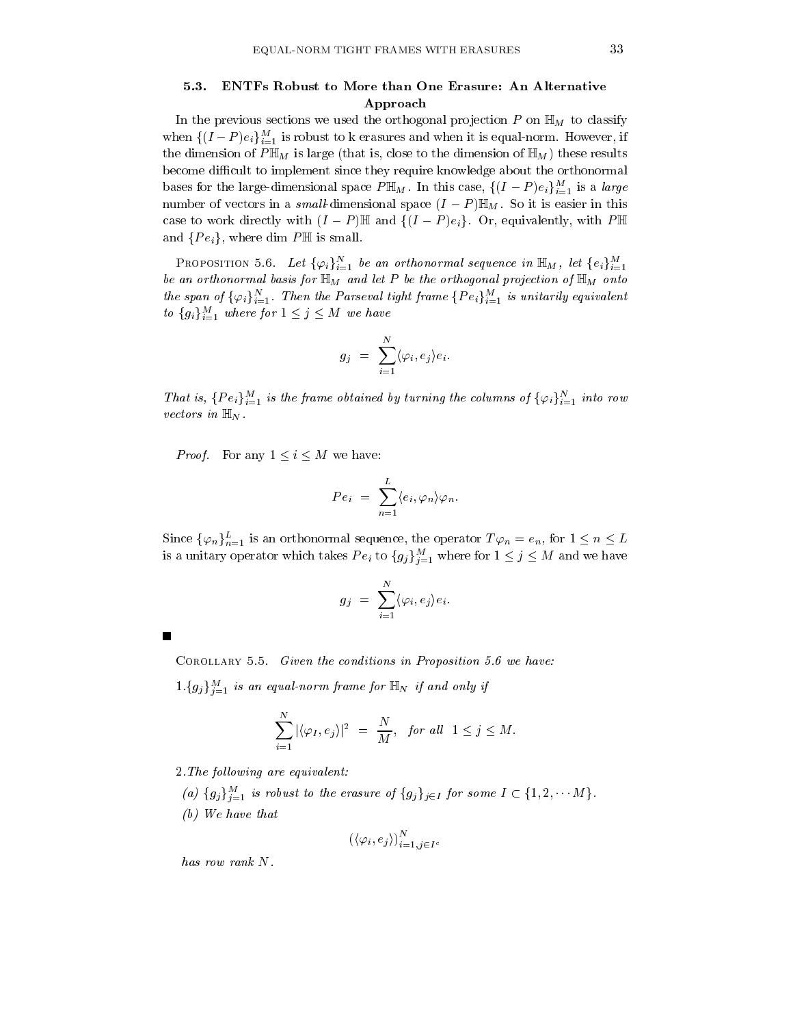### 5.3. ENTFs Robust to More than One Erasure: An Alternative Approach

In the previous sections we used the orthogonal projection  $P$  on  $\mathbb{H}_M$  to classify when  $\{(I-P)e_i\}_{i=1}^M$  is robust to k erasures and when it is equal-norm. However, if the dimension of  $P\mathbb{H}_M$  is large (that is, close to the dimension of  $\mathbb{H}_M$ ) these results become difficult to implement since they require knowledge about the orthonormal bases for the large-dimensional space  $P \mathbb{H}_M$ . In this case,  $\{(I-P)e_i\}_{i=1}^M$  is a *large* number of vectors in a small-dimensional space  $(I - P)\mathbb{H}_M$ . So it is easier in this case to work directly with  $(I - P) \mathbb{H}$  and  $\{(I - P)e_i\}$ . Or, equivalently, with PH and  $\{Pe_i\}$ , where dim  $P \mathbb{H}$  is small.

**PROPOSITION** 5.6. Let  $\{\varphi_i\}_{i=1}^N$  be an orthonormal sequence in  $\mathbb{H}_M$ , let  $\{e_i\}_{i=1}^M$ be an orthonormal basis for  $\mathbb{H}_M$  and let P be the orthogonal projection of  $\mathbb{H}_M$  onto the span of  $\{\varphi_i\}_{i=1}^N$ . Then the Parseval tight frame  $\{Pe_i\}_{i=1}^M$  is unitarily equivalent to  $\{g_i\}_{i=1}^M$  where for  $1 \leq j \leq M$  we have

$$
g_j \ = \ \sum_{i=1}^N \langle \varphi_i, e_j \rangle e_i
$$

That is,  $\{Pe_i\}_{i=1}^M$  is the frame obtained by turning the columns of  $\{\varphi_i\}_{i=1}^N$  into row vectors in  $\mathbb{H}_N$ .

*Proof.* For any  $1 \leq i \leq M$  we have:

$$
Pe_i = \sum_{n=1}^{L} \langle e_i, \varphi_n \rangle \varphi_n.
$$

Since  $\{\varphi_n\}_{n=1}^L$  is an orthonormal sequence, the operator  $T\varphi_n = e_n$ , for  $1 \leq n \leq L$ is a unitary operator which takes  $Pe_i$  to  $\{g_j\}_{j=1}^M$  where for  $1 \leq j \leq M$  and we have

$$
g_j = \sum_{i=1}^N \langle \varphi_i, e_j \rangle e_i
$$

| COROLLARY 5.5. Given the conditions in Proposition 5.6 we have: |  |  |  |  |  |  |  |
|-----------------------------------------------------------------|--|--|--|--|--|--|--|
|-----------------------------------------------------------------|--|--|--|--|--|--|--|

 $1.\{g_j\}_{j=1}^M$  is an equal-norm frame for  $\mathbb{H}_N$  if and only if

$$
\sum_{i=1}^N |\langle \varphi_I, e_j \rangle|^2 = \frac{N}{M}, \text{ for all } 1 \le j \le M.
$$

2. The following are equivalent:

- (a)  $\{g_j\}_{j=1}^M$  is robust to the erasure of  $\{g_j\}_{j\in I}$  for some  $I \subset \{1,2,\dots M\}$ .
- $(b)$  We have that

$$
\left(\langle \varphi_i, e_j \rangle\right)_{i=1, j \in I^c}^N
$$

has row rank N.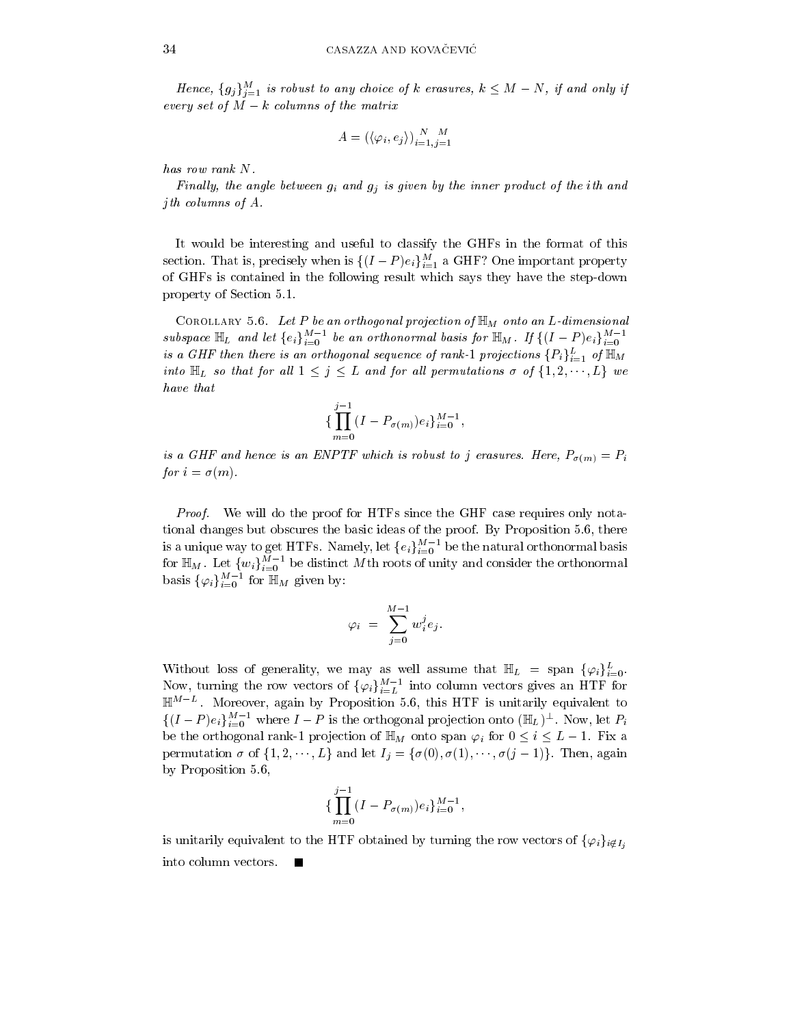Hence,  $\{g_j\}_{j=1}^M$  is robust to any choice of k erasures,  $k \leq M - N$ , if and only if every set of  $M - k$  columns of the matrix

$$
A = (\langle \varphi_i, e_j \rangle)_{i=1, j=1}^N
$$

has row rank N.

Finally, the angle between  $g_i$  and  $g_j$  is given by the inner product of the ith and *j*th columns of  $A$ .

It would be interesting and useful to classify the GHFs in the format of this section. That is, precisely when is  $\{(I-P)e_i\}_{i=1}^M$  a GHF? One important property of GHFs is contained in the following result which says they have the step-down property of Section 5.1.

COROLLARY 5.6. Let P be an orthogonal projection of  $\mathbb{H}_M$  onto an L-dimensional subspace  $\mathbb{H}_L$  and let  $\{e_i\}_{i=0}^{M-1}$  be an orthonormal basis for  $\mathbb{H}_M$ . If  $\{(I-P)e_i\}_{i=0}^{M-1}$ is a GHF then there is an orthogonal sequence of rank-1 projections  $\{P_i\}_{i=1}^L$  of  $\mathbb{H}_M$ into  $\mathbb{H}_L$  so that for all  $1 \leq j \leq L$  and for all permutations  $\sigma$  of  $\{1, 2, \dots, L\}$  we have that

$$
\{\prod_{m=0}^{j-1} (I - P_{\sigma(m)})e_i\}_{i=0}^{M-1},
$$

is a GHF and hence is an ENPTF which is robust to j erasures. Here,  $P_{\sigma(m)} = P_i$ for  $i = \sigma(m)$ .

*Proof.* We will do the proof for HTFs since the GHF case requires only notational changes but obscures the basic ideas of the proof. By Proposition 5.6, there is a unique way to get HTFs. Namely, let  ${e_i}_{i=0}^{M-1}$  be the natural orthonormal basis<br>for  $\mathbb{H}_M$ . Let  ${w_i}_{i=0}^{M-1}$  be distinct Mth roots of unity and consider the orthonormal basis  $\{\varphi_i\}_{i=0}^{M-1}$  for  $\mathbb{H}_M$  given by:

$$
\varphi_i \,\,=\,\,\sum_{j=0}^{M-1}\,w_i^j e_j.
$$

Without loss of generality, we may as well assume that  $\mathbb{H}_L = \text{span} \{ \varphi_i \}_{i=0}^L$ .<br>Now, turning the row vectors of  $\{ \varphi_i \}_{i=L}^{M-1}$  into column vectors gives an HTF for  $\mathbb{H}^{M-L}$ . Moreover, again by Proposition 5.6, this HTF is unitarily equivalent to  $\{(I-P)e_i\}_{i=0}^{M-1}$  where  $I-P$  is the orthogonal projection onto  $(\mathbb{H}_L)^{\perp}$ . Now, let  $P_i$ be the orthogonal rank-1 projection of  $\mathbb{H}_M$  onto span  $\varphi_i$  for  $0 \leq i \leq L-1$ . Fix a permutation  $\sigma$  of  $\{1, 2, \dots, L\}$  and let  $I_j = \{\sigma(0), \sigma(1), \dots, \sigma(j-1)\}\$ . Then, again by Proposition 5.6,

$$
\{\prod_{m=0}^{j-1} (I - P_{\sigma(m)})e_i\}_{i=0}^{M-1}
$$

is unitarily equivalent to the HTF obtained by turning the row vectors of  $\{\varphi_i\}_{i \notin I}$ , into column vectors. **The Second Service**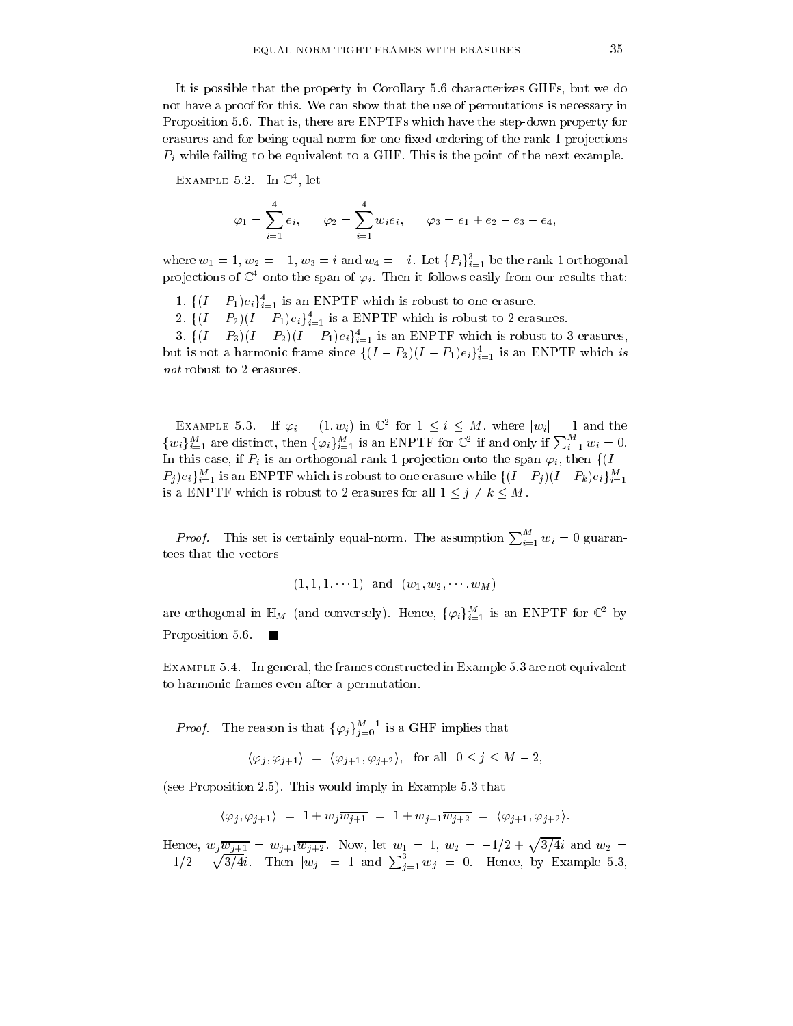It is possible that the property in Corollary 5.6 characterizes GHFs, but we do not have a proof for this. We can show that the use of permutations is necessary in Proposition 5.6. That is, there are ENPTFs which have the step-down property for erasures and for being equal-norm for one fixed ordering of the rank-1 projections  $P_i$  while failing to be equivalent to a GHF. This is the point of the next example.

EXAMPLE 5.2. In  $\mathbb{C}^4$ , let

$$
\varphi_1 = \sum_{i=1}^4 e_i, \qquad \varphi_2 = \sum_{i=1}^4 w_i e_i, \qquad \varphi_3 = e_1 + e_2 - e_3 - e_4,
$$

where  $w_1 = 1, w_2 = -1, w_3 = i$  and  $w_4 = -i$ . Let  $\{P_i\}_{i=1}^3$  be the rank-1 orthogonal projections of  $\mathbb{C}^4$  onto the span of  $\varphi_i$ . Then it follows easily from our results that:

- 1.  $\{(I-P_1)e_i\}_{i=1}^4$  is an ENPTF which is robust to one erasure.
- 2.  $\{(I-P_2)(I-P_1)e_i\}_{i=1}^4$  is a ENPTF which is robust to 2 erasures.

3.  $\{(I-P_3)(I-P_2)(I-P_1)e_i\}_{i=1}^4$  is an ENPTF which is robust to 3 erasures, but is not a harmonic frame since  $\{(I-P_3)(I-P_1)e_i\}_{i=1}^4$  is an ENPTF which is not robust to 2 erasures.

EXAMPLE 5.3. If  $\varphi_i = (1, w_i)$  in  $\mathbb{C}^2$  for  $1 \leq i \leq M$ , where  $|w_i| = 1$  and the  $\{w_i\}_{i=1}^M$  are distinct, then  $\{\varphi_i\}_{i=1}^M$  is an ENPTF for  $\mathbb{C}^2$  if and only if  $\sum_{i=1}^M w_i = 0$ . In this case, if  $P_i$  is an orthogonal rank-1 projection onto the span  $\varphi_i$ , then  $\{(I P_j)e_i\}_{i=1}^M$  is an ENPTF which is robust to one erasure while  $\{(I-P_j)(I-P_k)e_i\}_{i=1}^M$ is a ENPTF which is robust to 2 erasures for all  $1 \leq j \neq k \leq M$ .

*Proof.* This set is certainly equal-norm. The assumption  $\sum_{i=1}^{M} w_i = 0$  guarantees that the vectors

$$
(1, 1, 1, \dots 1)
$$
 and  $(w_1, w_2, \dots, w_M)$ 

are orthogonal in  $\mathbb{H}_M$  (and conversely). Hence,  $\{\varphi_i\}_{i=1}^M$  is an ENPTF for  $\mathbb{C}^2$  by Proposition 5.6.

EXAMPLE 5.4. In general, the frames constructed in Example 5.3 are not equivalent to harmonic frames even after a permutation.

*Proof.* The reason is that  $\{\varphi_j\}_{j=0}^{M-1}$  is a GHF implies that

$$
\langle \varphi_j, \varphi_{j+1} \rangle = \langle \varphi_{j+1}, \varphi_{j+2} \rangle
$$
, for all  $0 \le j \le M - 2$ ,

(see Proposition 2.5). This would imply in Example 5.3 that

$$
\langle \varphi_j, \varphi_{j+1} \rangle \ = \ 1 + w_j \overline{w_{j+1}} \ = \ 1 + w_{j+1} \overline{w_{j+2}} \ = \ \langle \varphi_{j+1}, \varphi_{j+2} \rangle.
$$

Hence,  $w_j \overline{w_{j+1}} = w_{j+1} \overline{w_{j+2}}$ . Now, let  $w_1 = 1$ ,  $w_2 = -1/2 + \sqrt{3/4}i$  and  $w_2 = -1/2 - \sqrt{3/4}i$ . Then  $|w_j| = 1$  and  $\sum_{j=1}^3 w_j = 0$ . Hence, by Example 5.3,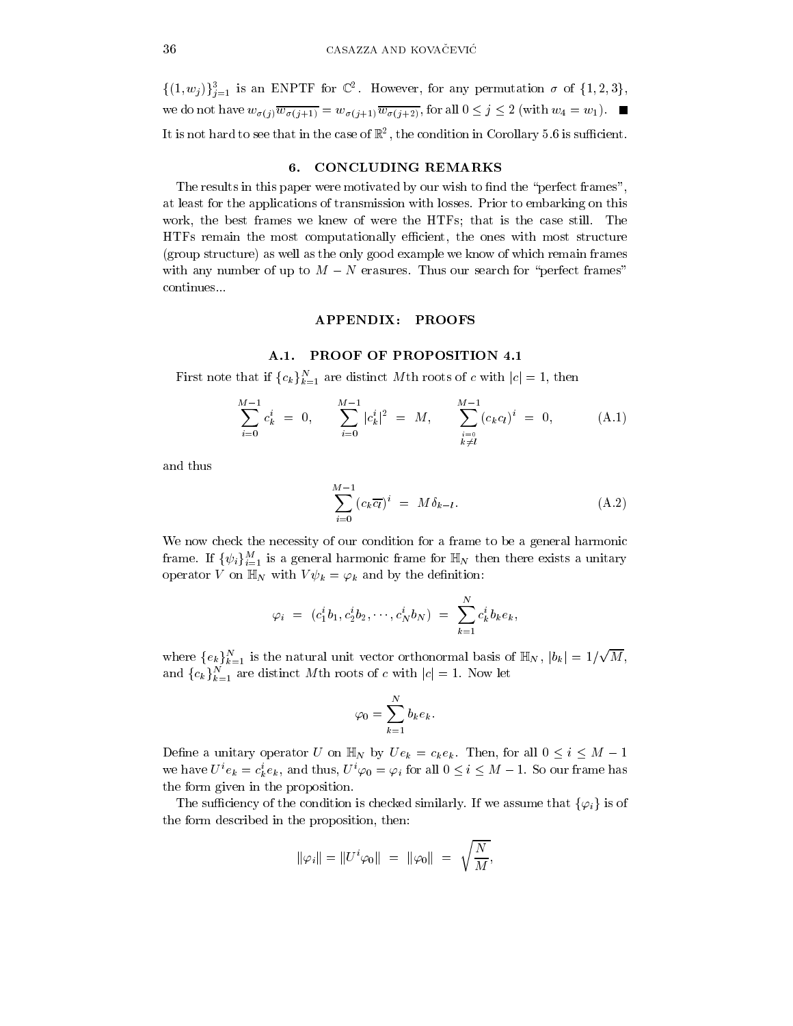$\{(1, w_j)\}_{j=1}^3$  is an ENPTF for  $\mathbb{C}^2$ . However, for any permutation  $\sigma$  of  $\{1, 2, 3\}$ , we do not have  $w_{\sigma(j)}\overline{w_{\sigma(j+1)}}=w_{\sigma(j+1)}\overline{w_{\sigma(j+2)}}$ , for all  $0\leq j\leq 2$  (with  $w_4=w_1$ ). It is not hard to see that in the case of  $\mathbb{R}^2$ , the condition in Corollary 5.6 is sufficient.

#### 6. **CONCLUDING REMARKS**

The results in this paper were motivated by our wish to find the "perfect frames", at least for the applications of transmission with losses. Prior to embarking on this work, the best frames we knew of were the HTFs; that is the case still. The HTFs remain the most computationally efficient, the ones with most structure (group structure) as well as the only good example we know of which remain frames with any number of up to  $M - N$  erasures. Thus our search for "perfect frames" continues...

### APPENDIX: PROOFS

### A.1. PROOF OF PROPOSITION 4.1

First note that if  ${c_k}_{k=1}^N$  are distinct Mth roots of c with  $|c|=1$ , then

$$
\sum_{i=0}^{M-1} c_k^i = 0, \qquad \sum_{i=0}^{M-1} |c_k^i|^2 = M, \qquad \sum_{\substack{i=0 \ k \neq l}}^{M-1} (c_k c_l)^i = 0, \qquad (A.1)
$$

and thus

$$
\sum_{i=0}^{M-1} (c_k \overline{c_l})^i = M \delta_{k-l}.
$$
\n(A.2)

We now check the necessity of our condition for a frame to be a general harmonic frame. If  $\{\psi_i\}_{i=1}^M$  is a general harmonic frame for  $\mathbb{H}_N$  then there exists a unitary operator V on  $\mathbb{H}_N$  with  $V\psi_k = \varphi_k$  and by the definition:

$$
\varphi_i = (c_1^i b_1, c_2^i b_2, \cdots, c_N^i b_N) = \sum_{k=1}^N c_k^i b_k e_k,
$$

where  $\{e_k\}_{k=1}^N$  is the natural unit vector orthonormal basis of  $\mathbb{H}_N$ ,  $|b_k| = 1/\sqrt{M}$ , and  ${c_k}_{k=1}^N$  are distinct Mth roots of c with  $|c|=1$ . Now let

$$
\varphi_0 = \sum_{k=1}^N b_k e_k.
$$

Define a unitary operator U on  $\mathbb{H}_N$  by  $Ue_k = c_k e_k$ . Then, for all  $0 \le i \le M - 1$ we have  $U^i e_k = c_k^i e_k$ , and thus,  $U^i \varphi_0 = \varphi_i$  for all  $0 \le i \le M - 1$ . So our frame has the form given in the proposition.

The sufficiency of the condition is checked similarly. If we assume that  $\{\varphi_i\}$  is of the form described in the proposition, then:

$$
\|\varphi_i\| = \|U^i \varphi_0\| = \|\varphi_0\| = \sqrt{\frac{N}{M}}.
$$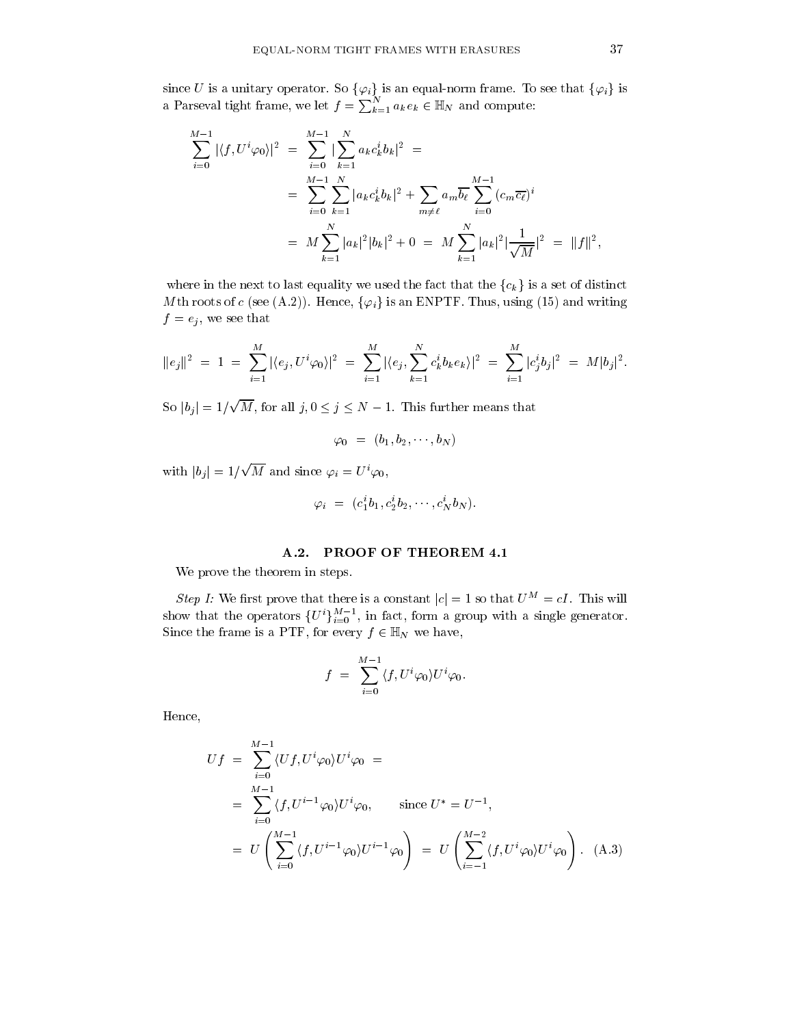since U is a unitary operator. So  $\{\varphi_i\}$  is an equal-norm frame. To see that  $\{\varphi_i\}$  is a Parseval tight frame, we let  $f = \sum_{k=1}^{N} a_k e_k \in \mathbb{H}_N$  and compute:

$$
\sum_{i=0}^{M-1} |\langle f, U^i \varphi_0 \rangle|^2 = \sum_{i=0}^{M-1} |\sum_{k=1}^N a_k c_k^i b_k|^2 =
$$
  
= 
$$
\sum_{i=0}^{M-1} \sum_{k=1}^N |a_k c_k^i b_k|^2 + \sum_{m \neq \ell} a_m \overline{b_\ell} \sum_{i=0}^{M-1} (c_m \overline{c_\ell})^i
$$
  
= 
$$
M \sum_{k=1}^N |a_k|^2 |b_k|^2 + 0 = M \sum_{k=1}^N |a_k|^2 |\frac{1}{\sqrt{M}}|^2 = ||f||^2,
$$

where in the next to last equality we used the fact that the  ${c_k}$  is a set of distinct Mth roots of c (see (A.2)). Hence,  $\{\varphi_i\}$  is an ENPTF. Thus, using (15) and writing  $f = e_j$ , we see that

$$
||e_j||^2 = 1 = \sum_{i=1}^M |\langle e_j, U^i \varphi_0 \rangle|^2 = \sum_{i=1}^M |\langle e_j, \sum_{k=1}^N c_k^i b_k e_k \rangle|^2 = \sum_{i=1}^M |c_j^i b_j|^2 = M |b_j|^2.
$$

So  $|b_j| = 1/\sqrt{M}$ , for all  $j, 0 \le j \le N - 1$ . This further means that

$$
\varphi_0 = (b_1, b_2, \cdots, b_N)
$$

with  $|b_i| = 1/\sqrt{M}$  and since  $\varphi_i = U^i \varphi_0$ ,

$$
\varphi_i = (c_1^i b_1, c_2^i b_2, \cdots, c_N^i b_N).
$$

#### PROOF OF THEOREM 4.1  $A.2.$

We prove the theorem in steps.

Step I: We first prove that there is a constant  $|c| = 1$  so that  $U^M = cI$ . This will show that the operators  $\{U^{i}\}_{i=0}^{M-1}$ , in fact, form a group with a single generator. Since the frame is a PTF, for every  $f \in \mathbb{H}_N$  we have,

$$
f = \sum_{i=0}^{M-1} \langle f, U^i \varphi_0 \rangle U^i \varphi_0.
$$

Hence,

$$
Uf = \sum_{i=0}^{M-1} \langle Uf, U^i \varphi_0 \rangle U^i \varphi_0 =
$$
  
= 
$$
\sum_{i=0}^{M-1} \langle f, U^{i-1} \varphi_0 \rangle U^i \varphi_0, \quad \text{since } U^* = U^{-1},
$$
  
= 
$$
U \left( \sum_{i=0}^{M-1} \langle f, U^{i-1} \varphi_0 \rangle U^{i-1} \varphi_0 \right) = U \left( \sum_{i=-1}^{M-2} \langle f, U^i \varphi_0 \rangle U^i \varphi_0 \right).
$$
 (A.3)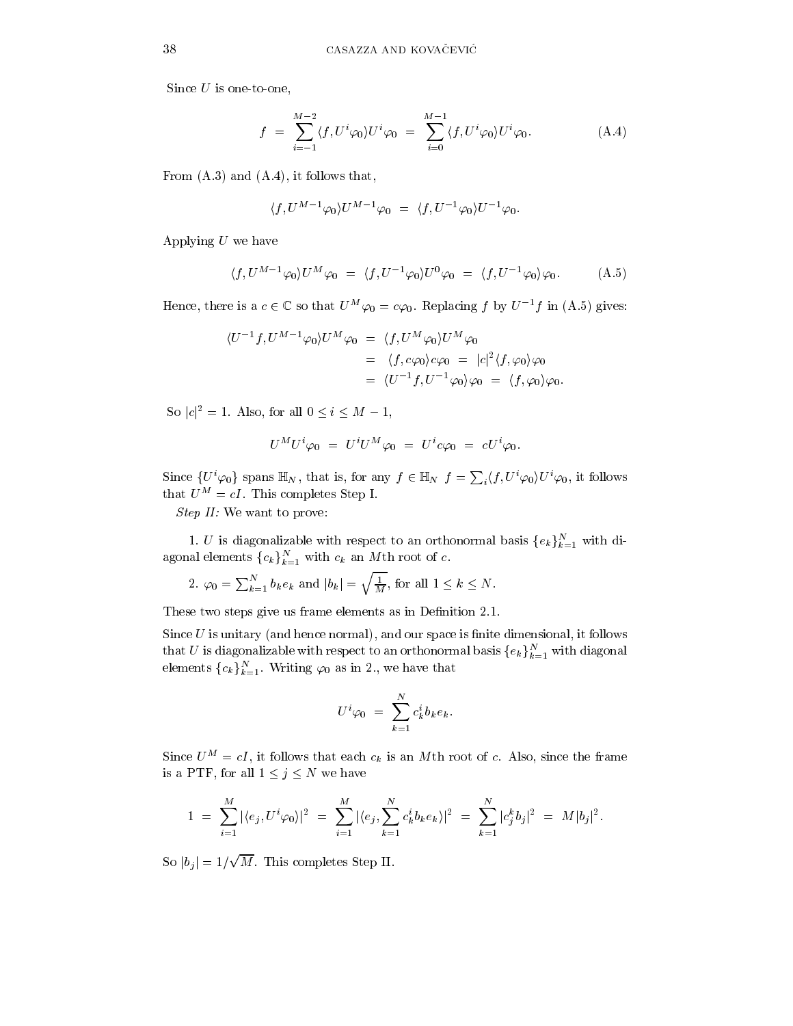Since  $U$  is one-to-one,

$$
f = \sum_{i=-1}^{M-2} \langle f, U^i \varphi_0 \rangle U^i \varphi_0 = \sum_{i=0}^{M-1} \langle f, U^i \varphi_0 \rangle U^i \varphi_0.
$$
 (A.4)

From  $(A.3)$  and  $(A.4)$ , it follows that,

$$
\langle f, U^{M-1}\varphi_0 \rangle U^{M-1}\varphi_0 = \langle f, U^{-1}\varphi_0 \rangle U^{-1}\varphi_0.
$$

Applying  $U$  we have

$$
\langle f, U^{M-1}\varphi_0 \rangle U^M \varphi_0 = \langle f, U^{-1}\varphi_0 \rangle U^0 \varphi_0 = \langle f, U^{-1}\varphi_0 \rangle \varphi_0. \tag{A.5}
$$

Hence, there is a  $c \in \mathbb{C}$  so that  $U^M \varphi_0 = c \varphi_0$ . Replacing f by  $U^{-1}f$  in (A.5) gives:

$$
\langle U^{-1}f, U^{M-1}\varphi_0\rangle U^M\varphi_0 = \langle f, U^M\varphi_0\rangle U^M\varphi_0
$$
  
=  $\langle f, c\varphi_0\rangle c\varphi_0 = |c|^2 \langle f, \varphi_0\rangle \varphi_0$   
=  $\langle U^{-1}f, U^{-1}\varphi_0\rangle \varphi_0 = \langle f, \varphi_0\rangle \varphi_0.$ 

So  $|c|^2 = 1$ . Also, for all  $0 \le i \le M - 1$ ,

$$
U^M U^i \varphi_0 = U^i U^M \varphi_0 = U^i c \varphi_0 = c U^i \varphi_0
$$

Since  $\{U^i\varphi_0\}$  spans  $\mathbb{H}_N$ , that is, for any  $f \in \mathbb{H}_N$   $f = \sum_i \langle f, U^i\varphi_0 \rangle U^i\varphi_0$ , it follows that  $U^M = cI$ . This completes Step I.

Step II: We want to prove:

1. U is diagonalizable with respect to an orthonormal basis  $\{e_k\}_{k=1}^N$  with diagonal elements  ${c_k}_{k=1}^N$  with  $c_k$  an Mth root of c.

2. 
$$
\varphi_0 = \sum_{k=1}^N b_k e_k
$$
 and  $|b_k| = \sqrt{\frac{1}{M}}$ , for all  $1 \le k \le N$ 

These two steps give us frame elements as in Definition 2.1.

Since  $U$  is unitary (and hence normal), and our space is finite dimensional, it follows that U is diagonalizable with respect to an orthonormal basis  $\{e_k\}_{k=1}^N$  with diagonal elements  ${c_k}_{k=1}^N$ . Writing  $\varphi_0$  as in 2., we have that

$$
U^i \varphi_0 = \sum_{k=1}^N c_k^i b_k e_k.
$$

Since  $U^M = cI$ , it follows that each  $c_k$  is an Mth root of c. Also, since the frame is a PTF, for all  $1 \leq j \leq N$  we have

$$
1 = \sum_{i=1}^{M} |\langle e_j, U^i \varphi_0 \rangle|^2 = \sum_{i=1}^{M} |\langle e_j, \sum_{k=1}^{N} c_k^i b_k e_k \rangle|^2 = \sum_{k=1}^{N} |c_j^k b_j|^2 = M |b_j|^2.
$$

So  $|b_j|=1/\sqrt{M}$ . This completes Step II.

38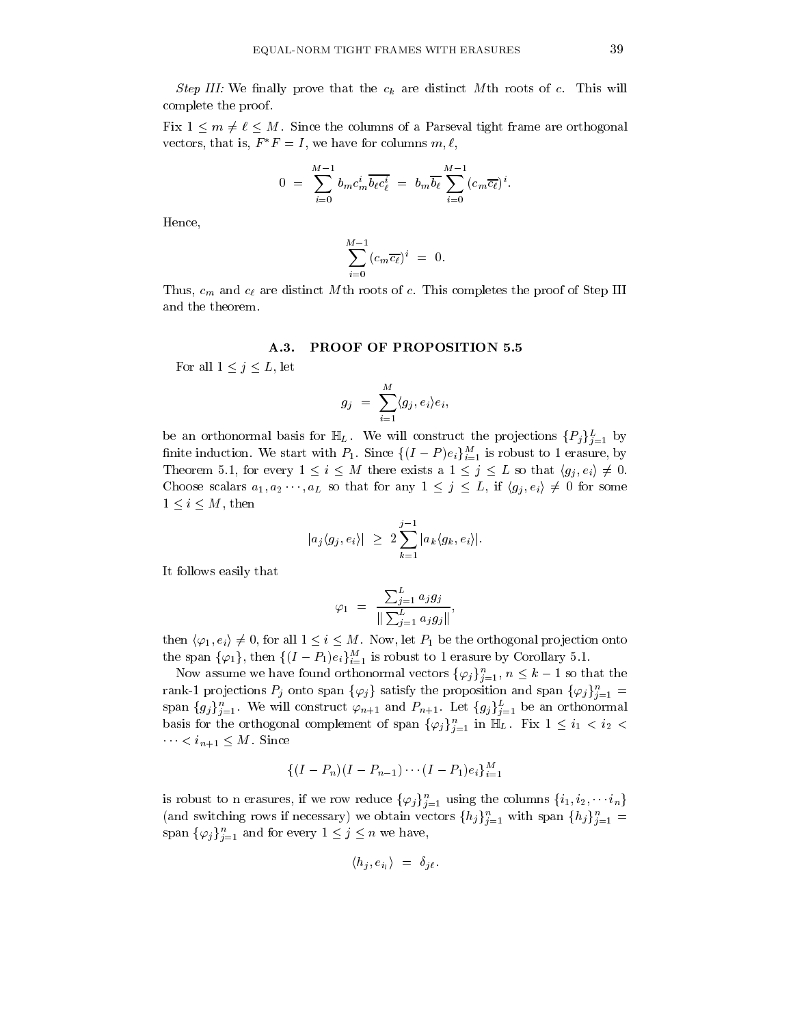*Step III:* We finally prove that the  $c_k$  are distinct Mth roots of c. This will complete the proof.

Fix  $1 \leq m \neq \ell \leq M$ . Since the columns of a Parseval tight frame are orthogonal vectors, that is,  $F^*F = I$ , we have for columns  $m, \ell$ ,

$$
0 = \sum_{i=0}^{M-1} b_m c_m^i \overline{b_\ell c_\ell^i} = b_m \overline{b_\ell} \sum_{i=0}^{M-1} (c_m \overline{c_\ell})^i.
$$

Hence,

$$
\sum_{i=0}^{M-1} (c_m \overline{c_\ell})^i = 0
$$

Thus,  $c_m$  and  $c_\ell$  are distinct Mth roots of c. This completes the proof of Step III and the theorem.

#### A.3. **PROOF OF PROPOSITION 5.5**

For all  $1 \leq j \leq L$ , let

$$
g_j = \sum_{i=1}^M \langle g_j, e_i \rangle e_i,
$$

be an orthonormal basis for  $\mathbb{H}_L$ . We will construct the projections  $\{P_j\}_{j=1}^L$  by finite induction. We start with  $P_1$ . Since  $\{(I-P)e_i\}_{i=1}^M$  is robust to 1 erasure, by Theorem 5.1, for every  $1 \leq i \leq M$  there exists a  $1 \leq j \leq L$  so that  $\langle g_i, e_i \rangle \neq 0$ . Choose scalars  $a_1, a_2 \cdots, a_L$  so that for any  $1 \leq j \leq L$ , if  $\langle g_j, e_i \rangle \neq 0$  for some  $1 \leq i \leq M$ , then

$$
|a_j\langle g_j, e_i\rangle| \geq 2 \sum_{k=1}^{j-1} |a_k\langle g_k, e_i\rangle|.
$$

It follows easily that

$$
\varphi_1 = \frac{\sum_{j=1}^L a_j g_j}{\|\sum_{j=1}^L a_j g_j\|},
$$

then  $\langle \varphi_1, e_i \rangle \neq 0$ , for all  $1 \leq i \leq M$ . Now, let  $P_1$  be the orthogonal projection onto the span  $\{\varphi_1\}$ , then  $\{(I-P_1)e_i\}_{i=1}^M$  is robust to 1 erasure by Corollary 5.1.

Now assume we have found orthonormal vectors  $\{\varphi_j\}_{j=1}^n$ ,  $n \leq k-1$  so that the rank-1 projections  $P_j$  onto span  $\{\varphi_j\}$  satisfy the proposition and span  $\{\varphi_j\}_{j=1}^n =$ span  $\{g_j\}_{j=1}^n$ . We will construct  $\varphi_{n+1}$  and  $P_{n+1}$ . Let  $\{g_j\}_{j=1}^L$  be an orthonormal basis for the orthogonal complement of span  $\{\varphi_j\}_{j=1}^n$  in  $\mathbb{H}_L$ . Fix  $1 \leq i_1 < i_2$  $. Since$ 

$$
\{(I-P_n)(I-P_{n-1})\cdots (I-P_1)e_i\}_{i=1}^M
$$

is robust to n erasures, if we row reduce  $\{\varphi_j\}_{j=1}^n$  using the columns  $\{i_1, i_2, \cdots i_n\}$ (and switching rows if necessary) we obtain vectors  $\{h_j\}_{j=1}^n$  with span  $\{h_j\}_{j=1}^n$ span  $\{\varphi_j\}_{j=1}^n$  and for every  $1 \leq j \leq n$  we have,

$$
\langle h_j, e_{i_l} \rangle = \delta_{j\ell}
$$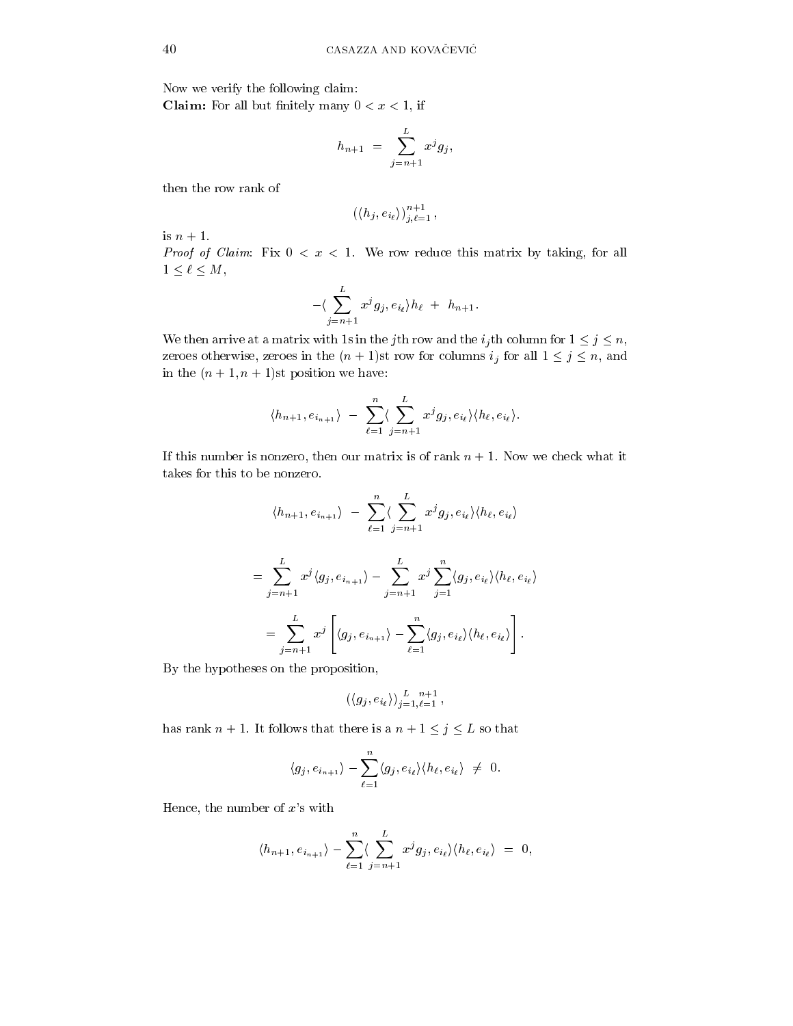Now we verify the following claim: **Claim:** For all but finitely many  $0 < x < 1$ , if

$$
h_{n+1} = \sum_{j=n+1}^{L} x^j g_j,
$$

then the row rank of

$$
\left(\langle h_j, e_{i_\ell}\rangle\right)_{j,\ell=1}^{n+1},
$$

is  $n+1$ .

*Proof of Claim:* Fix  $0 < x < 1$ . We row reduce this matrix by taking, for all  $1\leq \ell \leq M,$ 

$$
-\langle \sum_{j=n+1}^{L} x^{j} g_{j}, e_{i_{\ell}} \rangle h_{\ell} + h_{n+1}.
$$

We then arrive at a matrix with 1s in the jth row and the  $i_j$ th column for  $1 \leq j \leq n$ , zeroes otherwise, zeroes in the  $(n + 1)$ st row for columns  $i_j$  for all  $1 \leq j \leq n$ , and in the  $(n+1, n+1)$ st position we have:

$$
\langle h_{n+1}, e_{i_{n+1}} \rangle - \sum_{\ell=1}^n \langle \sum_{j=n+1}^L x^j g_j, e_{i_\ell} \rangle \langle h_\ell, e_{i_\ell} \rangle.
$$

If this number is nonzero, then our matrix is of rank  $n + 1$ . Now we check what it takes for this to be nonzero.

$$
\langle h_{n+1}, e_{i_{n+1}} \rangle - \sum_{\ell=1}^{n} \langle \sum_{j=n+1}^{L} x^{j} g_{j}, e_{i_{\ell}} \rangle \langle h_{\ell}, e_{i_{\ell}} \rangle
$$
  

$$
= \sum_{j=n+1}^{L} x^{j} \langle g_{j}, e_{i_{n+1}} \rangle - \sum_{j=n+1}^{L} x^{j} \sum_{j=1}^{n} \langle g_{j}, e_{i_{\ell}} \rangle \langle h_{\ell}, e_{i_{\ell}} \rangle
$$
  

$$
= \sum_{j=n+1}^{L} x^{j} \left[ \langle g_{j}, e_{i_{n+1}} \rangle - \sum_{\ell=1}^{n} \langle g_{j}, e_{i_{\ell}} \rangle \langle h_{\ell}, e_{i_{\ell}} \rangle \right].
$$

By the hypotheses on the proposition,

$$
\left(\langle g_j, e_{i_\ell}\rangle\right)_{j=1,\ell=1}^L, ,
$$

has rank  $n+1$ . It follows that there is a  $n+1\leq j\leq L$  so that

$$
\langle g_j, e_{i_{n+1}} \rangle - \sum_{\ell=1}^n \langle g_j, e_{i_\ell} \rangle \langle h_\ell, e_{i_\ell} \rangle \neq 0.
$$

Hence, the number of  $x$ 's with

$$
\langle h_{n+1}, e_{i_{n+1}} \rangle - \sum_{\ell=1}^n \langle \sum_{j=n+1}^L x^j g_j, e_{i_\ell} \rangle \langle h_\ell, e_{i_\ell} \rangle = 0,
$$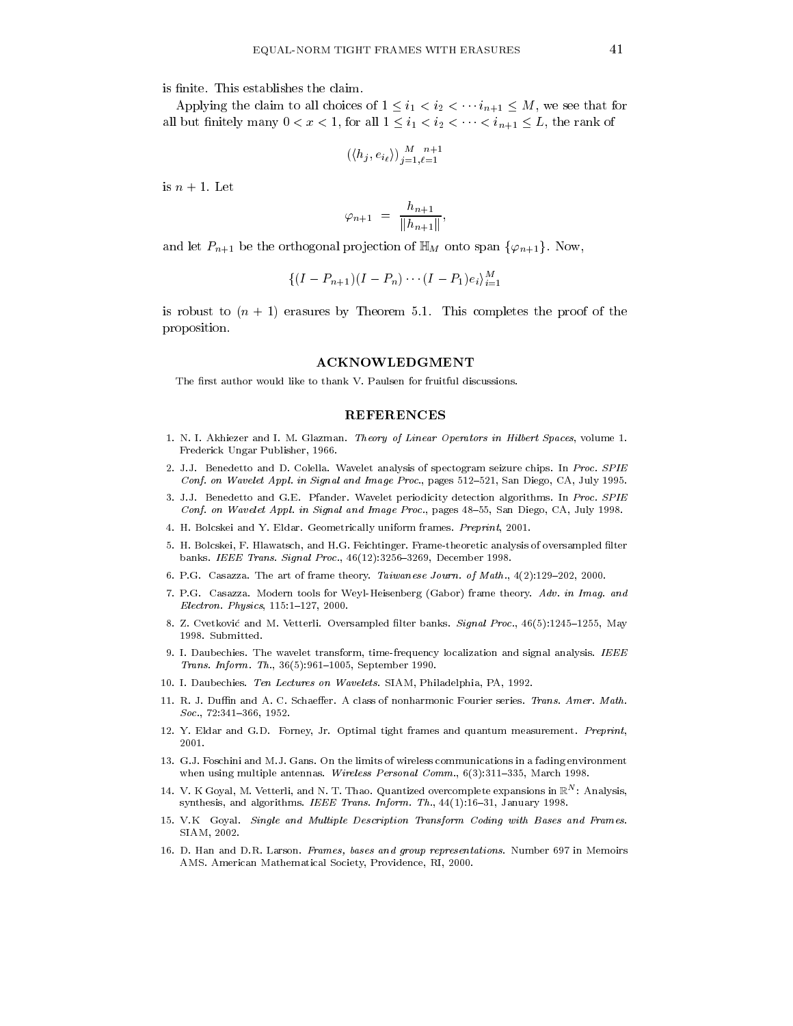is finite. This establishes the claim.

Applying the claim to all choices of  $1 \leq i_1 < i_2 < \cdots i_{n+1} \leq M$ , we see that for all but finitely many  $0 < x < 1$ , for all  $1 \leq i_1 < i_2 < \cdots < i_{n+1} \leq L$ , the rank of

$$
(\langle h_j, e_{i_\ell} \rangle)_{j=1, \ell=1}^{M} \xrightarrow{n+1}
$$

is  $n+1$ . Let

$$
\varphi_{n+1} = \frac{h_{n+1}}{\|h_{n+1}\|}
$$

and let  $P_{n+1}$  be the orthogonal projection of  $\mathbb{H}_M$  onto span  $\{\varphi_{n+1}\}\$ . Now,

$$
\{(I-P_{n+1})(I-P_n)\cdots (I-P_1)e_i\}_{i=1}^M
$$

is robust to  $(n + 1)$  erasures by Theorem 5.1. This completes the proof of the proposition.

## **ACKNOWLEDGMENT**

The first author would like to thank V. Paulsen for fruitful discussions.

### **REFERENCES**

- 1. N. I. Akhiezer and I. M. Glazman. Theory of Linear Operators in Hilbert Spaces, volume 1. Frederick Ungar Publisher, 1966.
- 2. J.J. Benedetto and D. Colella. Wavelet analysis of spectogram seizure chips. In Proc. SPIE Conf. on Wavelet Appl. in Signal and Image Proc., pages 512-521, San Diego, CA, July 1995.
- 3. J.J. Benedetto and G.E. Pfander. Wavelet periodicity detection algorithms. In Proc. SPIE Conf. on Wavelet Appl. in Signal and Image Proc., pages 48-55, San Diego, CA, July 1998.
- 4. H. Bolcskei and Y. Eldar. Geometrically uniform frames. Preprint, 2001.
- 5. H. Bolcskei, F. Hlawatsch, and H.G. Feichtinger. Frame-theoretic analysis of oversampled filter banks. IEEE Trans. Signal Proc., 46(12):3256-3269, December 1998.
- 6. P.G. Casazza. The art of frame theory. Taiwanese Journ. of Math., 4(2):129-202, 2000.
- 7. P.G. Casazza. Modern tools for Weyl-Heisenberg (Gabor) frame theory. Adv. in Imag. and Electron. Physics, 115:1-127, 2000.
- 8. Z. Cvetković and M. Vetterli. Oversampled filter banks. Signal Proc., 46(5):1245-1255, May 1998. Submitted.
- 9. I. Daubechies. The wavelet transform, time-frequency localization and signal analysis. IEEE Trans. Inform. Th., 36(5):961-1005, September 1990.
- 10. I. Daubechies. Ten Lectures on Wavelets. SIAM, Philadelphia, PA, 1992.
- 11. R. J. Duffin and A. C. Schaeffer. A class of nonharmonic Fourier series. Trans. Amer. Math.  $Soc., 72:341-366, 1952.$
- 12. Y. Eldar and G.D. Forney, Jr. Optimal tight frames and quantum measurement. Preprint, 2001.
- 13. G.J. Foschini and M.J. Gans. On the limits of wireless communications in a fading environment when using multiple antennas. Wireless Personal Comm.,  $6(3):311-335$ , March 1998.
- 14. V. K Goyal, M. Vetterli, and N. T. Thao. Quantized overcomplete expansions in  $\mathbb{R}^N$ : Analysis, synthesis, and algorithms. IEEE Trans. Inform. Th., 44(1):16-31, January 1998.
- 15. V.K Goyal. Single and Multiple Description Transform Coding with Bases and Frames. SIAM, 2002.
- 16. D. Han and D.R. Larson. Frames, bases and group representations. Number 697 in Memoirs AMS. American Mathematical Society, Providence, RI, 2000.